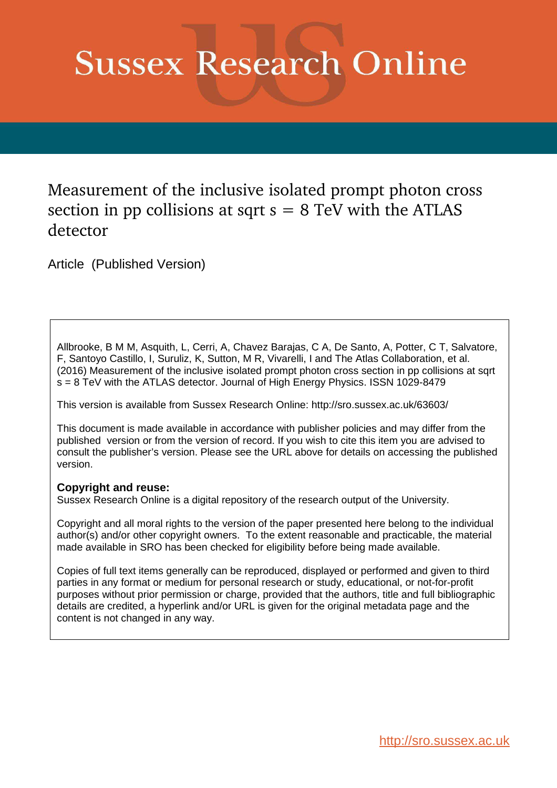# **Sussex Research Online**

## Measurement of the inclusive isolated prompt photon cross section in pp collisions at sqrt  $s = 8$  TeV with the ATLAS detector

Article (Published Version)

Allbrooke, B M M, Asquith, L, Cerri, A, Chavez Barajas, C A, De Santo, A, Potter, C T, Salvatore, F, Santoyo Castillo, I, Suruliz, K, Sutton, M R, Vivarelli, I and The Atlas Collaboration, et al. (2016) Measurement of the inclusive isolated prompt photon cross section in pp collisions at sqrt s = 8 TeV with the ATLAS detector. Journal of High Energy Physics. ISSN 1029-8479

This version is available from Sussex Research Online: http://sro.sussex.ac.uk/63603/

This document is made available in accordance with publisher policies and may differ from the published version or from the version of record. If you wish to cite this item you are advised to consult the publisher's version. Please see the URL above for details on accessing the published version.

## **Copyright and reuse:**

Sussex Research Online is a digital repository of the research output of the University.

Copyright and all moral rights to the version of the paper presented here belong to the individual author(s) and/or other copyright owners. To the extent reasonable and practicable, the material made available in SRO has been checked for eligibility before being made available.

Copies of full text items generally can be reproduced, displayed or performed and given to third parties in any format or medium for personal research or study, educational, or not-for-profit purposes without prior permission or charge, provided that the authors, title and full bibliographic details are credited, a hyperlink and/or URL is given for the original metadata page and the content is not changed in any way.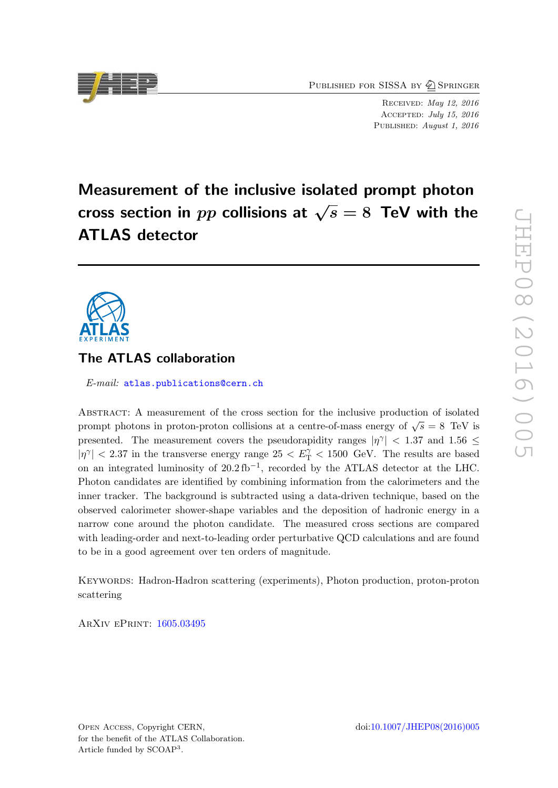PUBLISHED FOR SISSA BY 2 SPRINGER

RECEIVED: May 12, 2016 Accepted : July 15, 2016 PUBLISHED: August 1, 2016

# Measurement of the inclusive isolated prompt photon cross section in  $pp$  collisions at  $\sqrt{s}=8\,$  TeV with the ATLAS detector



### The ATLAS collaboration

E-mail: [atlas.publications@cern.ch](mailto:atlas.publications@cern.ch)

<span id="page-1-0"></span>Abstract: A measurement of the cross section for the inclusive production of isolated prompt photons in proton-proton collisions at a centre-of-mass energy of  $\sqrt{s} = 8$  TeV is presented. The measurement covers the pseudorapidity ranges  $|\eta^{\gamma}|$  < 1.37 and 1.56  $\leq$  $|\eta^{\gamma}| < 2.37$  in the transverse energy range  $25 < E_T^{\gamma} < 1500$  GeV. The results are based on an integrated luminosity of  $20.2 \text{ fb}^{-1}$ , recorded by the ATLAS detector at the LHC. Photon candidates are identified by combining information from the calorimeters and the inner tracker. The background is subtracted using a data-driven technique, based on the observed calorimeter shower-shape variables and the deposition of hadronic energy in a narrow cone around the photon candidate. The measured cross sections are compared with leading-order and next-to-leading order perturbative QCD calculations and are found to be in a good agreement over ten orders of magnitude.

KEYWORDS: Hadron-Hadron scattering (experiments), Photon production, proton-proton scattering

ArXiv ePrint: [1605.03495](http://arxiv.org/abs/1605.03495)

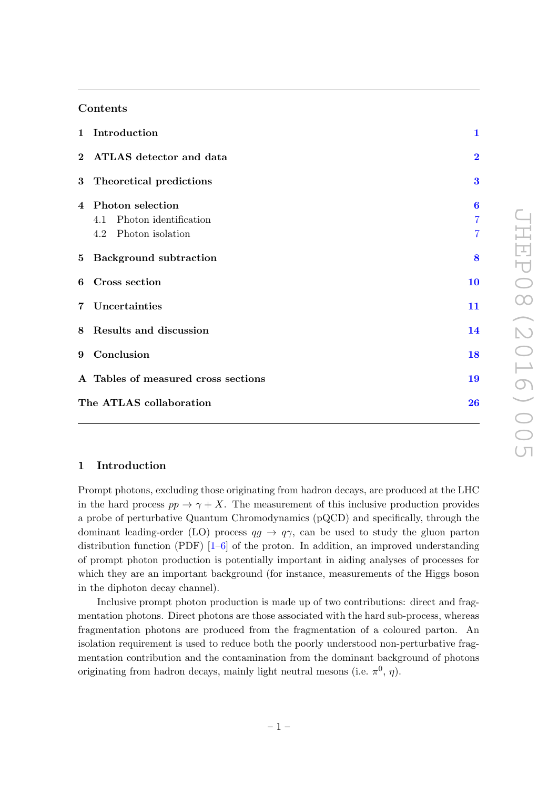#### Contents

| 1 Introduction                                    | $\mathbf{1}$                     |
|---------------------------------------------------|----------------------------------|
| 2 ATLAS detector and data                         | $\overline{\mathbf{2}}$          |
| 3 Theoretical predictions                         | $\bf{3}$                         |
| 4 Photon selection                                | $\boldsymbol{6}$                 |
| 4.1 Photon identification<br>4.2 Photon isolation | $\overline{7}$<br>$\overline{7}$ |
| 5 Background subtraction                          | 8                                |
| 6 Cross section                                   | 10                               |
| 7 Uncertainties                                   | 11                               |
| 8 Results and discussion                          | 14                               |
| 9 Conclusion                                      | 18                               |
| A Tables of measured cross sections               | 19                               |
| The ATLAS collaboration                           | 26                               |

#### 1 Introduction

Prompt photons, excluding those originating from hadron decays, are produced at the LHC in the hard process  $pp \to \gamma + X$ . The measurement of this inclusive production provides a probe of perturbative Quantum Chromodynamics (pQCD) and specifically, through the dominant leading-order (LO) process  $qg \to q\gamma$ , can be used to study the gluon parton distribution function (PDF) [ [1](#page-22-0) – [6\]](#page-23-0) of the proton. In addition, an improved understanding of prompt photon production is potentially important in aiding analyses of processes for which they are an important background (for instance, measurements of the Higgs boson in the diphoton decay channel).

<span id="page-2-1"></span><span id="page-2-0"></span>Inclusive prompt photon production is made up of two contributions: direct and fragmentation photons. Direct photons are those associated with the hard sub-process, whereas fragmentation photons are produced from the fragmentation of a coloured parton. An isolation requirement is used to reduce both the poorly understood non-perturbative fragmentation contribution and the contamination from the dominant background of photons originating from hadron decays, mainly light neutral mesons (i.e.  $\pi^0$ ,  $\eta$ ).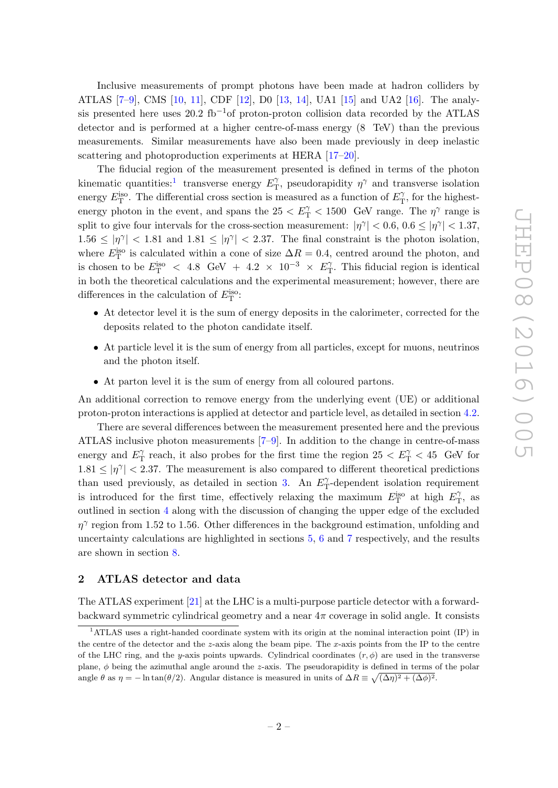Inclusive measurements of prompt photons have been made at hadron colliders by ATLAS [[7](#page-23-1)–[9\]](#page-23-2), CMS [\[10](#page-23-3), [11\]](#page-23-4), CDF [\[12\]](#page-23-5), D0 [\[13](#page-23-6), [14\]](#page-23-7), UA1 [\[15\]](#page-23-8) and UA2 [\[16\]](#page-23-9). The analysis presented here uses 20.2 fb<sup>-1</sup>of proton-proton collision data recorded by the ATLAS detector and is performed at a higher centre-of-mass energy (8 TeV) than the previous measurements. Similar measurements have also been made previously in deep inelastic scattering and photoproduction experiments at HERA [\[17](#page-23-10)[–20\]](#page-23-11).

The fiducial region of the measurement presented is defined in terms of the photon kinematic quantities:<sup>[1](#page-2-1)</sup> transverse energy  $E_{\text{T}}^{\gamma}$  $\eta^{\gamma}$ , pseudorapidity  $\eta^{\gamma}$  and transverse isolation energy  $E_{\rm T}^{\rm iso}$ . The differential cross section is measured as a function of  $E_{\rm T}^{\gamma}$  $T_{\rm T}^{\gamma}$ , for the highestenergy photon in the event, and spans the  $25 < E_T^{\gamma} < 1500$  GeV range. The  $\eta^{\gamma}$  range is split to give four intervals for the cross-section measurement:  $|\eta^{\gamma}| < 0.6, 0.6 \le |\eta^{\gamma}| < 1.37$ ,  $1.56 \leq |\eta^{\gamma}| < 1.81$  and  $1.81 \leq |\eta^{\gamma}| < 2.37$ . The final constraint is the photon isolation, where  $E_T^{\text{iso}}$  is calculated within a cone of size  $\Delta R = 0.4$ , centred around the photon, and is chosen to be  $E_{\rm T}^{\rm iso}$   $\langle 4.8 \text{ GeV} + 4.2 \times 10^{-3} \times E_{\rm T}^{\gamma}$  $T<sub>T</sub>$ . This fiducial region is identical in both the theoretical calculations and the experimental measurement; however, there are differences in the calculation of  $E_{\rm T}^{\rm iso}$ :

- At detector level it is the sum of energy deposits in the calorimeter, corrected for the deposits related to the photon candidate itself.
- At particle level it is the sum of energy from all particles, except for muons, neutrinos and the photon itself.
- At parton level it is the sum of energy from all coloured partons.

An additional correction to remove energy from the underlying event (UE) or additional proton-proton interactions is applied at detector and particle level, as detailed in section [4.2](#page-7-1) .

There are several differences between the measurement presented here and the previous ATLAS inclusive photon measurements  $[7-9]$  $[7-9]$  $[7-9]$  $[7-9]$ . In addition to the change in centre-of-mass energy and  $E_{\text{T}}^{\gamma}$  $T_T^{\gamma}$  reach, it also probes for the first time the region  $25 < E_T^{\gamma}$  $T_{\rm T}^{\gamma} < 45$  GeV for  $1.81 \leq |\eta^{\gamma}| < 2.37$ . The measurement is also compared to different theoretical predictions than used previously, as detailed in section [3.](#page-3-0) An  $E_{\text{T}}^{\gamma}$ <sup>7</sup>/<sub>T</sub>-dependent isolation requirement is introduced for the first time, effectively relaxing the maximum  $E_{\rm T}^{\rm iso}$  at high  $E_{\rm T}^{\gamma}$  $T$ , as outlined in section [4](#page-6-0) along with the discussion of changing the upper edge of the excluded  $\eta^{\gamma}$  region from 1.52 to 1.56. Other differences in the background estimation, unfolding and uncertainty calculations are highlighted in sections [5](#page-8-0) , [6](#page-10-0) and [7](#page-11-0) respectively, and the results are shown in section [8](#page-14-0) .

#### <span id="page-3-0"></span>2 ATLAS detector and data

The ATLAS experiment [\[21\]](#page-24-0) at the LHC is a multi-purpose particle detector with a forwardbackward symmetric cylindrical geometry and a near  $4\pi$  coverage in solid angle. It consists

<sup>1</sup>ATLAS uses a right-handed coordinate system with its origin at the nominal interaction point (IP) in the centre of the detector and the z-axis along the beam pipe. The x-axis points from the IP to the centre of the LHC ring, and the y-axis points upwards. Cylindrical coordinates  $(r, \phi)$  are used in the transverse plane, φ being the azimuthal angle around the z-axis. The pseudorapidity is defined in terms of the polar angle  $\theta$  as  $\eta = -\ln \tan(\theta/2)$ . Angular distance is measured in units of  $\Delta R \equiv \sqrt{(\Delta \eta)^2 + (\Delta \phi)^2}$ .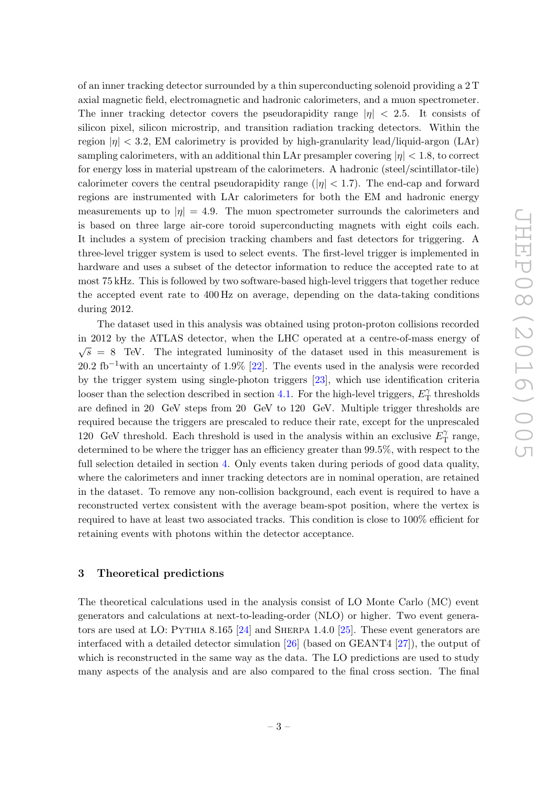of an inner tracking detector surrounded by a thin superconducting solenoid providing a 2 T axial magnetic field, electromagnetic and hadronic calorimeters, and a muon spectrometer. The inner tracking detector covers the pseudorapidity range  $|\eta| < 2.5$ . It consists of silicon pixel, silicon microstrip, and transition radiation tracking detectors. Within the region  $|\eta| < 3.2$ , EM calorimetry is provided by high-granularity lead/liquid-argon (LAr) sampling calorimeters, with an additional thin LAr presampler covering  $|\eta| < 1.8$ , to correct for energy loss in material upstream of the calorimeters. A hadronic (steel/scintillator-tile) calorimeter covers the central pseudorapidity range  $(|\eta| < 1.7)$ . The end-cap and forward regions are instrumented with LAr calorimeters for both the EM and hadronic energy measurements up to  $|\eta| = 4.9$ . The muon spectrometer surrounds the calorimeters and is based on three large air-core toroid superconducting magnets with eight coils each. It includes a system of precision tracking chambers and fast detectors for triggering. A three-level trigger system is used to select events. The first-level trigger is implemented in hardware and uses a subset of the detector information to reduce the accepted rate to at most 75 kHz. This is followed by two software-based high-level triggers that together reduce the accepted event rate to 400 Hz on average, depending on the data-taking conditions during 2012.

The dataset used in this analysis was obtained using proton-proton collisions recorded in 2012 by the ATLAS detector, when the LHC operated at a centre-of-mass energy of  $\sqrt{s} = 8$  TeV. The integrated luminosity of the dataset used in this measurement is  $20.2 \text{ fb}^{-1}$  with an uncertainty of 1.9% [\[22\]](#page-24-1). The events used in the analysis were recorded by the trigger system using single-photon triggers [\[23\]](#page-24-2), which use identification criteria looser than the selection described in section [4.1.](#page-7-0) For the high-level triggers,  $E_{\text{T}}^{\gamma}$  $T_{\rm T}^{\gamma}$  thresholds are defined in 20 GeV steps from 20 GeV to 120 GeV. Multiple trigger thresholds are required because the triggers are prescaled to reduce their rate, except for the unprescaled 120 GeV threshold. Each threshold is used in the analysis within an exclusive  $E_{\rm T}^{\gamma}$  $T_{\rm T}^{\gamma}$  range, determined to be where the trigger has an efficiency greater than 99.5%, with respect to the full selection detailed in section [4.](#page-6-0) Only events taken during periods of good data quality, where the calorimeters and inner tracking detectors are in nominal operation, are retained in the dataset. To remove any non-collision background, each event is required to have a reconstructed vertex consistent with the average beam-spot position, where the vertex is required to have at least two associated tracks. This condition is close to 100% efficient for retaining events with photons within the detector acceptance.

#### 3 Theoretical predictions

<span id="page-4-1"></span><span id="page-4-0"></span>The theoretical calculations used in the analysis consist of LO Monte Carlo (MC) event generators and calculations at next-to-leading-order (NLO) or higher. Two event generators are used at LO: Pythia 8.165 [\[24\]](#page-24-3) and Sherpa 1.4.0 [\[25\]](#page-24-4). These event generators are interfaced with a detailed detector simulation [\[26\]](#page-24-5) (based on GEANT4 [\[27\]](#page-24-6)), the output of which is reconstructed in the same way as the data. The LO predictions are used to study many aspects of the analysis and are also compared to the final cross section. The final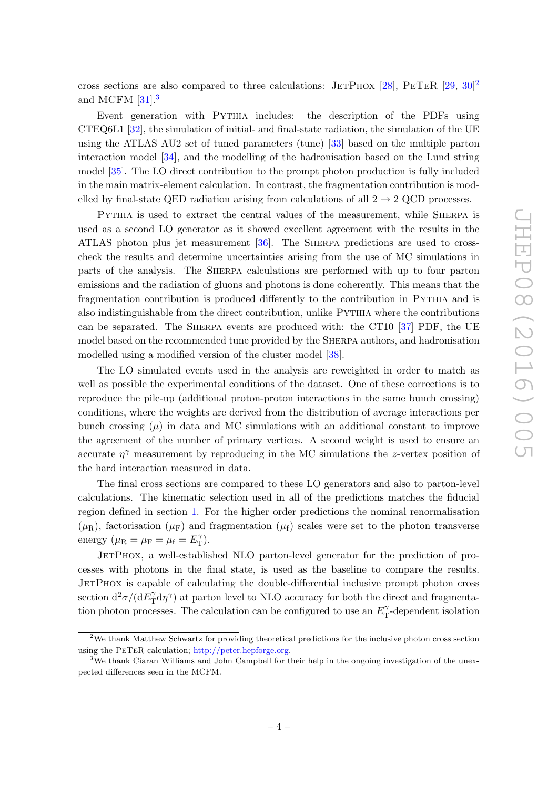cross sections are also compared to three calculations: JETPHOX  $[28]$ , PETER  $[29, 30]$  $[29, 30]$  $[29, 30]$  $[29, 30]$ <sup>[2](#page-4-0)</sup> and MCFM  $[31]$ .<sup>[3](#page-4-1)</sup>

Event generation with Pythia includes: the description of the PDFs using CTEQ6L1 [\[32\]](#page-24-11), the simulation of initial- and final-state radiation, the simulation of the UE using the ATLAS AU2 set of tuned parameters (tune) [\[33\]](#page-24-12) based on the multiple parton interaction model [\[34\]](#page-24-13), and the modelling of the hadronisation based on the Lund string model [\[35\]](#page-24-14). The LO direct contribution to the prompt photon production is fully included in the main matrix-element calculation. In contrast, the fragmentation contribution is modelled by final-state QED radiation arising from calculations of all  $2 \rightarrow 2$  QCD processes.

Pythia is used to extract the central values of the measurement, while Sherpa is used as a second LO generator as it showed excellent agreement with the results in the ATLAS photon plus jet measurement [\[36\]](#page-24-15). The Sherpa predictions are used to crosscheck the results and determine uncertainties arising from the use of MC simulations in parts of the analysis. The Sherpa calculations are performed with up to four parton emissions and the radiation of gluons and photons is done coherently. This means that the fragmentation contribution is produced differently to the contribution in Pythia and is also indistinguishable from the direct contribution, unlike Pythia where the contributions can be separated. The SHERPA events are produced with: the CT10 [\[37\]](#page-24-16) PDF, the UE model based on the recommended tune provided by the Sherpa authors, and hadronisation modelled using a modified version of the cluster model [\[38\]](#page-24-17).

The LO simulated events used in the analysis are reweighted in order to match as well as possible the experimental conditions of the dataset. One of these corrections is to reproduce the pile-up (additional proton-proton interactions in the same bunch crossing) conditions, where the weights are derived from the distribution of average interactions per bunch crossing  $(\mu)$  in data and MC simulations with an additional constant to improve the agreement of the number of primary vertices. A second weight is used to ensure an accurate  $\eta^{\gamma}$  measurement by reproducing in the MC simulations the z-vertex position of the hard interaction measured in data.

The final cross sections are compared to these LO generators and also to parton-level calculations. The kinematic selection used in all of the predictions matches the fiducial region defined in section [1.](#page-1-0) For the higher order predictions the nominal renormalisation  $(\mu_R)$ , factorisation  $(\mu_F)$  and fragmentation  $(\mu_f)$  scales were set to the photon transverse energy  $(\mu_R = \mu_F = \mu_f = E_T^{\gamma})$  $\mathcal{T}_{\text{T}}^{\gamma}).$ 

JETPHOX, a well-established NLO parton-level generator for the prediction of processes with photons in the final state, is used as the baseline to compare the results. JETPHOX is capable of calculating the double-differential inclusive prompt photon cross section  $d^2\sigma/(dE_{\rm T}^{\gamma})$  $\gamma_{\rm T}$ d $\eta^{\gamma}$ ) at parton level to NLO accuracy for both the direct and fragmentation photon processes. The calculation can be configured to use an  $E_{\text{T}}^{\gamma}$ -dependent isolation

<sup>2</sup>We thank Matthew Schwartz for providing theoretical predictions for the inclusive photon cross section using the PeTeR calculation; <http://peter.hepforge.org> .

<span id="page-5-0"></span><sup>&</sup>lt;sup>3</sup>We thank Ciaran Williams and John Campbell for their help in the ongoing investigation of the unexpected differences seen in the MCFM.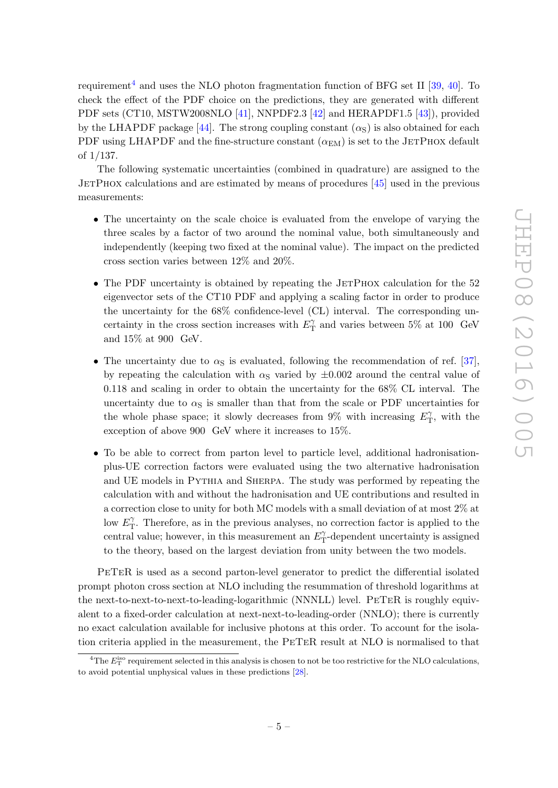requirement<sup>[4](#page-5-0)</sup> and uses the NLO photon fragmentation function of BFG set II [\[39](#page-24-18), [40\]](#page-24-19). To check the effect of the PDF choice on the predictions, they are generated with different PDF sets (CT10, MSTW2008NLO [\[41\]](#page-25-0), NNPDF2.3 [\[42\]](#page-25-1) and HERAPDF1.5 [\[43\]](#page-25-2)), provided by the LHAPDF package [\[44\]](#page-25-3). The strong coupling constant  $(\alpha_S)$  is also obtained for each PDF using LHAPDF and the fine-structure constant  $(\alpha_{EM})$  is set to the JETPHOX default of 1 /137.

The following systematic uncertainties (combined in quadrature) are assigned to the  $JETPHOX$  calculations and are estimated by means of procedures  $[45]$  used in the previous measurements:

- The uncertainty on the scale choice is evaluated from the envelope of varying the three scales by a factor of two around the nominal value, both simultaneously and independently (keeping two fixed at the nominal value). The impact on the predicted cross section varies between 12% and 20%.
- <span id="page-6-0"></span>• The PDF uncertainty is obtained by repeating the JETPHOX calculation for the 52 eigenvector sets of the CT10 PDF and applying a scaling factor in order to produce the uncertainty for the 68% confidence-level (CL) interval. The corresponding uncertainty in the cross section increases with  $E_T^{\gamma}$  and varies between 5% at 100 GeV and 15% at 900 GeV.
- The uncertainty due to  $\alpha_{\rm S}$  is evaluated, following the recommendation of ref. [\[37\]](#page-24-16), by repeating the calculation with  $\alpha_{\rm S}$  varied by  $\pm 0.002$  around the central value of 0.118 and scaling in order to obtain the uncertainty for the 68% CL interval. The uncertainty due to  $\alpha_{\rm S}$  is smaller than that from the scale or PDF uncertainties for the whole phase space; it slowly decreases from 9% with increasing  $E_{\text{T}}^{\gamma}$  $T_{\rm T}^{\gamma}$ , with the exception of above 900 GeV where it increases to 15%.
- To be able to correct from parton level to particle level, additional hadronisationplus-UE correction factors were evaluated using the two alternative hadronisation and UE models in Pythia and Sherpa. The study was performed by repeating the calculation with and without the hadronisation and UE contributions and resulted in a correction close to unity for both MC models with a small deviation of at most 2% at low  $E_{\rm T}^{\gamma}$  $T<sub>T</sub>$ . Therefore, as in the previous analyses, no correction factor is applied to the central value; however, in this measurement an  $E_{\rm T}^{\gamma}$  $\int_{T}^{\gamma}$ -dependent uncertainty is assigned to the theory, based on the largest deviation from unity between the two models.

PeTeR is used as a second parton-level generator to predict the differential isolated prompt photon cross section at NLO including the resummation of threshold logarithms at the next-to-next-to-next-to-leading-logarithmic (NNNLL) level. PeTeR is roughly equivalent to a fixed-order calculation at next-next-to-leading-order (NNLO); there is currently no exact calculation available for inclusive photons at this order. To account for the isolation criteria applied in the measurement, the PeTeR result at NLO is normalised to that

<sup>&</sup>lt;sup>4</sup>The  $E_{\rm T}^{\rm iso}$  requirement selected in this analysis is chosen to not be too restrictive for the NLO calculations, to avoid potential unphysical values in these predictions [\[28\]](#page-24-7).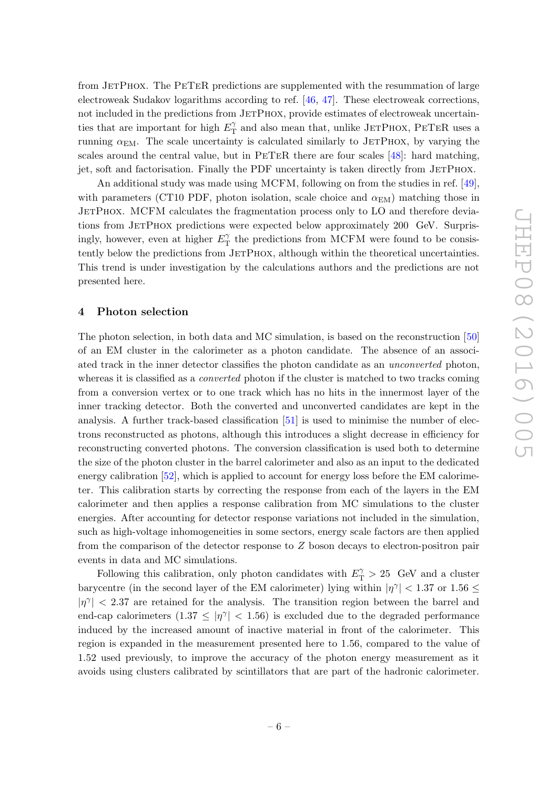from JETPHOX. The PETER predictions are supplemented with the resummation of large electroweak Sudakov logarithms according to ref. [\[46](#page-25-5) , [47\]](#page-25-6). These electroweak corrections, not included in the predictions from JETPHOX, provide estimates of electroweak uncertainties that are important for high  $E_T^{\gamma}$  and also mean that, unlike JETPHOX, PETER uses a running  $\alpha_{EM}$ . The scale uncertainty is calculated similarly to JETPHOX, by varying the scales around the central value, but in PeTeR there are four scales [\[48\]](#page-25-7): hard matching, jet, soft and factorisation. Finally the PDF uncertainty is taken directly from JETPHOX.

<span id="page-7-0"></span>An additional study was made using MCFM, following on from the studies in ref. [\[49\]](#page-25-8), with parameters (CT10 PDF, photon isolation, scale choice and  $\alpha_{EM}$ ) matching those in JETPHOX. MCFM calculates the fragmentation process only to LO and therefore deviations from JetPhox predictions were expected below approximately 200 GeV. Surprisingly, however, even at higher  $E_{\text{T}}^{\gamma}$  the predictions from MCFM were found to be consistently below the predictions from JETPHOX, although within the theoretical uncertainties. This trend is under investigation by the calculations authors and the predictions are not presented here.

#### 4 Photon selection

The photon selection, in both data and MC simulation, is based on the reconstruction [\[50](#page-25-9) ] of an EM cluster in the calorimeter as a photon candidate. The absence of an associated track in the inner detector classifies the photon candidate as an unconverted photon, whereas it is classified as a *converted* photon if the cluster is matched to two tracks coming from a conversion vertex or to one track which has no hits in the innermost layer of the inner tracking detector. Both the converted and unconverted candidates are kept in the analysis. A further track-based classification [\[51\]](#page-25-10) is used to minimise the number of electrons reconstructed as photons, although this introduces a slight decrease in efficiency for reconstructing converted photons. The conversion classification is used both to determine the size of the photon cluster in the barrel calorimeter and also as an input to the dedicated energy calibration [\[52\]](#page-25-11), which is applied to account for energy loss before the EM calorimeter. This calibration starts by correcting the response from each of the layers in the EM calorimeter and then applies a response calibration from MC simulations to the cluster energies. After accounting for detector response variations not included in the simulation, such as high-voltage inhomogeneities in some sectors, energy scale factors are then applied from the comparison of the detector response to Z boson decays to electron-positron pair events in data and MC simulations.

<span id="page-7-2"></span><span id="page-7-1"></span>Following this calibration, only photon candidates with  $E_{\text{T}}^{\gamma}$  $T_{\rm T}^{\gamma} > 25$  GeV and a cluster barycentre (in the second layer of the EM calorimeter) lying within  $|\eta^{\gamma}| < 1.37$  or  $1.56 \le$  $|\eta^{\gamma}| < 2.37$  are retained for the analysis. The transition region between the barrel and end-cap calorimeters (1.37  $\leq$   $|\eta^{\gamma}|$   $\lt$  1.56) is excluded due to the degraded performance induced by the increased amount of inactive material in front of the calorimeter. This region is expanded in the measurement presented here to 1 .56, compared to the value of 1 .52 used previously, to improve the accuracy of the photon energy measurement as it avoids using clusters calibrated by scintillators that are part of the hadronic calorimeter.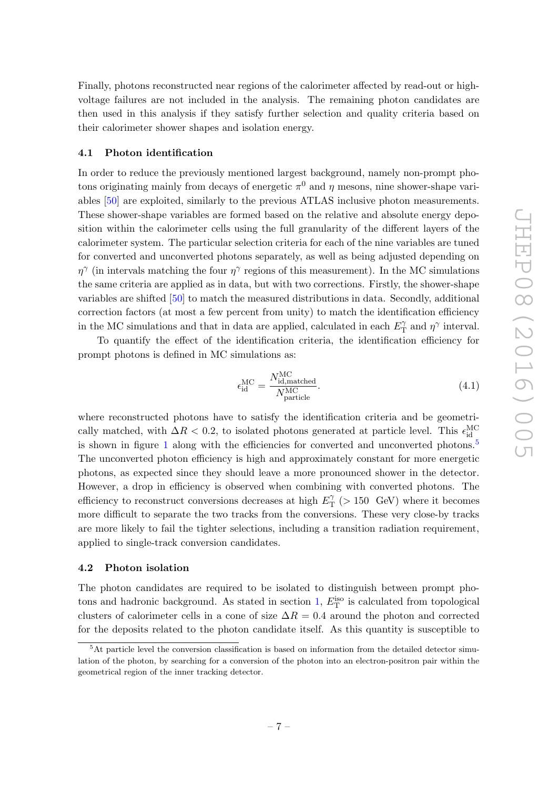Finally, photons reconstructed near regions of the calorimeter affected by read-out or highvoltage failures are not included in the analysis. The remaining photon candidates are then used in this analysis if they satisfy further selection and quality criteria based on their calorimeter shower shapes and isolation energy.

#### 4.1 Photon identification

<span id="page-8-1"></span>In order to reduce the previously mentioned largest background, namely non-prompt photons originating mainly from decays of energetic  $\pi^0$  and  $\eta$  mesons, nine shower-shape variables [\[50\]](#page-25-9) are exploited, similarly to the previous ATLAS inclusive photon measurements. These shower-shape variables are formed based on the relative and absolute energy deposition within the calorimeter cells using the full granularity of the different layers of the calorimeter system. The particular selection criteria for each of the nine variables are tuned for converted and unconverted photons separately, as well as being adjusted depending on  $\eta^{\gamma}$  (in intervals matching the four  $\eta^{\gamma}$  regions of this measurement). In the MC simulations the same criteria are applied as in data, but with two corrections. Firstly, the shower-shape variables are shifted [\[50\]](#page-25-9) to match the measured distributions in data. Secondly, additional correction factors (at most a few percent from unity) to match the identification efficiency in the MC simulations and that in data are applied, calculated in each  $E_{\text{T}}^{\gamma}$  $\int_{T}^{\gamma}$  and  $\eta^{\gamma}$  interval.

To quantify the effect of the identification criteria, the identification efficiency for prompt photons is defined in MC simulations as:

$$
\epsilon_{\rm id}^{\rm MC} = \frac{N_{\rm id,matched}^{\rm MC}}{N_{\rm particle}^{\rm MC}}.\tag{4.1}
$$

where reconstructed photons have to satisfy the identification criteria and be geometrically matched, with  $\Delta R < 0.2$ , to isolated photons generated at particle level. This  $\epsilon_{\rm id}^{\rm MC}$ is shown in figure [1](#page-8-1) along with the efficiencies for converted and unconverted photons.<sup>[5](#page-7-2)</sup> The unconverted photon efficiency is high and approximately constant for more energetic photons, as expected since they should leave a more pronounced shower in the detector. However, a drop in efficiency is observed when combining with converted photons. The efficiency to reconstruct conversions decreases at high  $E_{\rm T}^{\gamma}$  $T_{\rm T}^{\gamma}$  (> 150 GeV) where it becomes more difficult to separate the two tracks from the conversions. These very close-by tracks are more likely to fail the tighter selections, including a transition radiation requirement, applied to single-track conversion candidates.

#### <span id="page-8-0"></span>4.2 Photon isolation

The photon candidates are required to be isolated to distinguish between prompt pho-tons and hadronic background. As stated in section [1,](#page-1-0)  $E_{\rm T}^{\rm iso}$  is calculated from topological clusters of calorimeter cells in a cone of size  $\Delta R = 0.4$  around the photon and corrected for the deposits related to the photon candidate itself. As this quantity is susceptible to

 $5$ At particle level the conversion classification is based on information from the detailed detector simulation of the photon, by searching for a conversion of the photon into an electron-positron pair within the geometrical region of the inner tracking detector.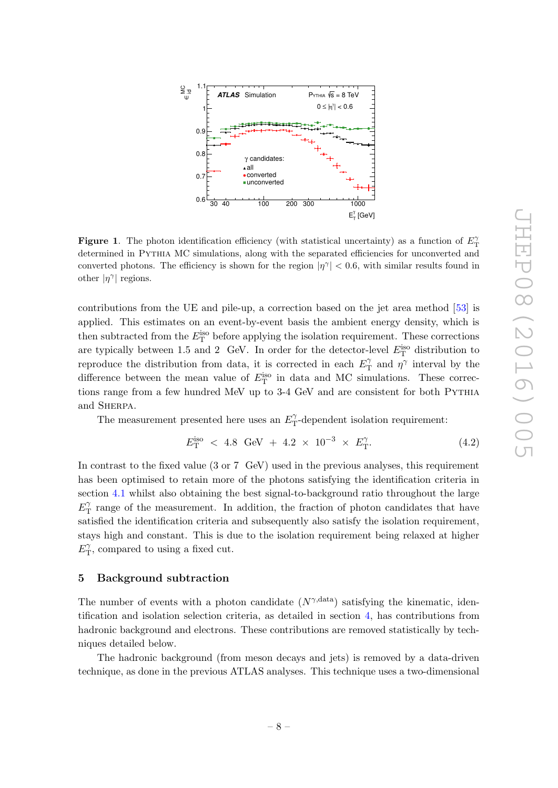

**Figure 1.** The photon identification efficiency (with statistical uncertainty) as a function of  $E_{\text{T}}^{\gamma}$ determined in PYTHIA MC simulations, along with the separated efficiencies for unconverted and converted photons. The efficiency is shown for the region  $|\eta^{\gamma}| < 0.6$ , with similar results found in other  $|\eta^{\gamma}|$  regions.

contributions from the UE and pile-up, a correction based on the jet area method [\[53\]](#page-25-12) is applied. This estimates on an event-by-event basis the ambient energy density, which is then subtracted from the  $E_T^{\text{iso}}$  before applying the isolation requirement. These corrections are typically between 1.5 and 2 GeV. In order for the detector-level  $E_{\rm T}^{\rm iso}$  distribution to reproduce the distribution from data, it is corrected in each  $E_{\text{T}}^{\gamma}$  $\eta^{\gamma}$  and  $\eta^{\gamma}$  interval by the difference between the mean value of  $E_{\rm T}^{\rm iso}$  in data and MC simulations. These corrections range from a few hundred MeV up to 3-4 GeV and are consistent for both Pythia and SHERPA.

The measurement presented here uses an  $E_{\text{T}}^{\gamma}$  $T_{\text{T}}^{\gamma}$ -dependent isolation requirement:

$$
E_{\rm T}^{\rm iso} \; < \; 4.8 \ \ \text{GeV} \; + \; 4.2 \; \times \; 10^{-3} \; \times \; E_{\rm T}^{\gamma}.\tag{4.2}
$$

In contrast to the fixed value (3 or 7 GeV) used in the previous analyses, this requirement has been optimised to retain more of the photons satisfying the identification criteria in section [4.1](#page-7-0) whilst also obtaining the best signal-to-background ratio throughout the large  $E_T^{\gamma}$  range of the measurement. In addition, the fraction of photon candidates that have satisfied the identification criteria and subsequently also satisfy the isolation requirement, stays high and constant. This is due to the isolation requirement being relaxed at higher  $E_{\text{T}}^{\gamma}$ , compared to using a fixed cut.

#### 5 Background subtraction

The number of events with a photon candidate  $(N^{\gamma, \text{data}})$  satisfying the kinematic, identification and isolation selection criteria, as detailed in section [4,](#page-6-0) has contributions from hadronic background and electrons. These contributions are removed statistically by techniques detailed below.

The hadronic background (from meson decays and jets) is removed by a data-driven technique, as done in the previous ATLAS analyses. This technique uses a two-dimensional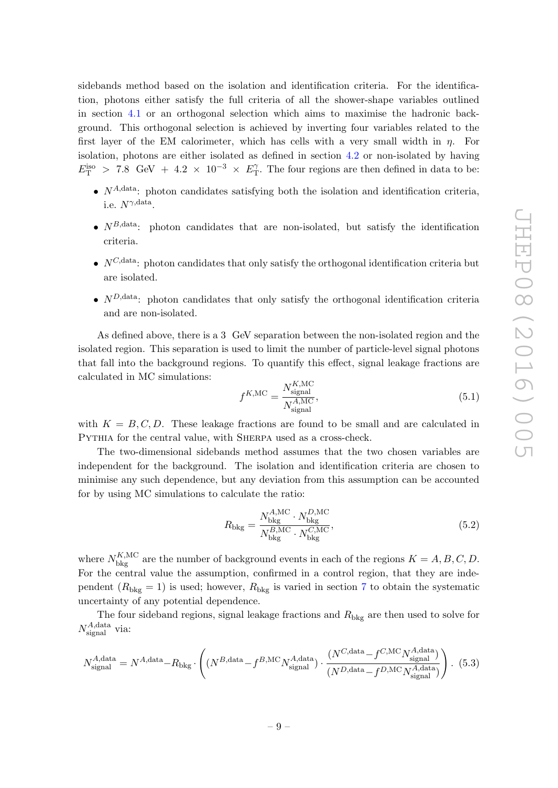sidebands method based on the isolation and identification criteria. For the identification, photons either satisfy the full criteria of all the shower-shape variables outlined in section [4.1](#page-7-0) or an orthogonal selection which aims to maximise the hadronic background. This orthogonal selection is achieved by inverting four variables related to the first layer of the EM calorimeter, which has cells with a very small width in  $\eta$ . For isolation, photons are either isolated as defined in section [4.2](#page-7-1) or non-isolated by having  $E_{\rm T}^{\rm iso}$  > 7.8 GeV + 4.2 × 10<sup>-3</sup> ×  $E_{\rm T}^{\gamma}$ . The four regions are then defined in data to be:

- $N^{A,\text{data}}$ : photon candidates satisfying both the isolation and identification criteria, i.e.  $N^{\gamma,\text{data}}$ .
- $N^{B,\text{data}}$ : photon candidates that are non-isolated, but satisfy the identification criteria.
- $N^{C,\text{data}}$ : photon candidates that only satisfy the orthogonal identification criteria but are isolated.
- $N^{D,\text{data}}$ : photon candidates that only satisfy the orthogonal identification criteria and are non-isolated.

<span id="page-10-0"></span>As defined above, there is a 3 GeV separation between the non-isolated region and the isolated region. This separation is used to limit the number of particle-level signal photons that fall into the background regions. To quantify this effect, signal leakage fractions are calculated in MC simulations: K,MC

$$
f^{K, \text{MC}} = \frac{N_{\text{signal}}^{K, \text{MC}}}{N_{\text{signal}}^{A, \text{MC}}},\tag{5.1}
$$

<span id="page-10-1"></span>with  $K = B, C, D$ . These leakage fractions are found to be small and are calculated in Pythia for the central value, with Sherpa used as a cross-check.

The two-dimensional sidebands method assumes that the two chosen variables are independent for the background. The isolation and identification criteria are chosen to minimise any such dependence, but any deviation from this assumption can be accounted for by using MC simulations to calculate the ratio:

$$
R_{\text{bkg}} = \frac{N_{\text{bkg}}^{A, \text{MC}} \cdot N_{\text{bkg}}^{D, \text{MC}}}{N_{\text{bkg}}^{B, \text{MC}} \cdot N_{\text{bkg}}^{C, \text{MC}}},
$$
\n(5.2)

where  $N_{\text{bkg}}^{K, \text{MC}}$  are the number of background events in each of the regions  $K = A, B, C, D$ . For the central value the assumption, confirmed in a control region, that they are independent  $(R_{\text{bkg}} = 1)$  is used; however,  $R_{\text{bkg}}$  is varied in section [7](#page-11-0) to obtain the systematic uncertainty of any potential dependence.

The four sideband regions, signal leakage fractions and  $R_{\text{bkg}}$  are then used to solve for  $N_{\text{signal}}^{A,\text{data}}$  via:

$$
N_{\text{signal}}^{A,\text{data}} = N^{A,\text{data}} - R_{\text{bkg}} \cdot \left( (N^{B,\text{data}} - f^{B,\text{MC}} N_{\text{signal}}^{A,\text{data}}) \cdot \frac{(N^{C,\text{data}} - f^{C,\text{MC}} N_{\text{signal}}^{A,\text{data}})}{(N^{D,\text{data}} - f^{D,\text{MC}} N_{\text{signal}}^{A,\text{data}})} \right). (5.3)
$$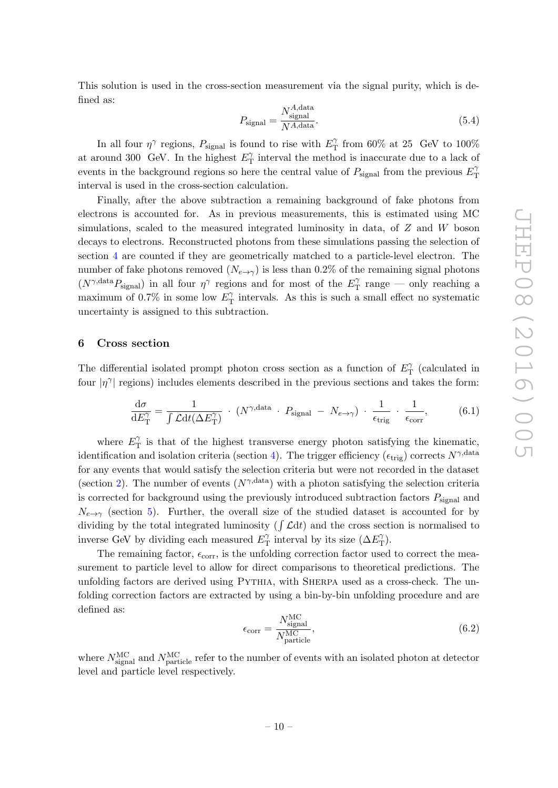This solution is used in the cross-section measurement via the signal purity, which is defined as:

$$
P_{\text{signal}} = \frac{N_{\text{signal}}^{A, \text{data}}}{N^{A, \text{data}}}.\tag{5.4}
$$

In all four  $\eta^{\gamma}$  regions,  $P_{\text{signal}}$  is found to rise with  $E_{\text{T}}^{\gamma}$  $\frac{17}{1}$  from 60% at 25 GeV to 100% at around 300 GeV. In the highest  $E_{\text{T}}^{\gamma}$  $\gamma$ <sup> $\gamma$ </sup> interval the method is inaccurate due to a lack of events in the background regions so here the central value of  $P_{\text{signal}}$  from the previous  $E_{\text{1}}^{\gamma}$ T interval is used in the cross-section calculation.

<span id="page-11-0"></span>Finally, after the above subtraction a remaining background of fake photons from electrons is accounted for. As in previous measurements, this is estimated using MC simulations, scaled to the measured integrated luminosity in data, of Z and W boson decays to electrons. Reconstructed photons from these simulations passing the selection of section [4](#page-6-0) are counted if they are geometrically matched to a particle-level electron. The number of fake photons removed  $(N_{e\rightarrow\gamma})$  is less than 0.2% of the remaining signal photons  $(N^{\gamma,\text{data}}P_{\text{signal}})$  in all four  $\eta^{\gamma}$  regions and for most of the  $E_{\text{T}}^{\gamma}$  $T_{\rm T}^{\gamma}$  range — only reaching a maximum of 0.7% in some low  $E_T^{\gamma}$  $\gamma$ <sup> $\gamma$ </sup> intervals. As this is such a small effect no systematic uncertainty is assigned to this subtraction.

#### 6 Cross section

The differential isolated prompt photon cross section as a function of  $E_{\text{T}}^{\gamma}$  $T_{\rm T}^{\gamma}$  (calculated in four  $|\eta^{\gamma}|$  regions) includes elements described in the previous sections and takes the form:

$$
\frac{\mathrm{d}\sigma}{\mathrm{d}E_{\mathrm{T}}^{\gamma}} = \frac{1}{\int \mathcal{L}\mathrm{d}t(\Delta E_{\mathrm{T}}^{\gamma})} \cdot (N^{\gamma,\mathrm{data}} \cdot P_{\mathrm{signal}} - N_{e\to\gamma}) \cdot \frac{1}{\epsilon_{\mathrm{trig}}} \cdot \frac{1}{\epsilon_{\mathrm{corr}}},\tag{6.1}
$$

where  $E_{\text{T}}^{\gamma}$  $T_{\text{T}}^{\gamma}$  is that of the highest transverse energy photon satisfying the kinematic, identification and isolation criteria (section [4\)](#page-6-0). The trigger efficiency  $(\epsilon_{\text{trig}})$  corrects  $N^{\gamma,\text{data}}$ for any events that would satisfy the selection criteria but were not recorded in the dataset (section [2\)](#page-2-0). The number of events  $(N^{\gamma, \text{data}})$  with a photon satisfying the selection criteria is corrected for background using the previously introduced subtraction factors  $P_{\text{signal}}$  and  $N_{e\rightarrow\gamma}$  (section [5\)](#page-8-0). Further, the overall size of the studied dataset is accounted for by dividing by the total integrated luminosity  $(\int \mathcal{L}dt)$  and the cross section is normalised to inverse GeV by dividing each measured  $E_{\text{T}}^{\gamma}$  $\int_{\mathcal{T}}^{\gamma}$  interval by its size  $(\Delta E)^{\gamma}$  $T_1^{\gamma}).$ 

The remaining factor,  $\epsilon_{\text{corr}}$ , is the unfolding correction factor used to correct the measurement to particle level to allow for direct comparisons to theoretical predictions. The unfolding factors are derived using Pythia, with Sherpa used as a cross-check. The unfolding correction factors are extracted by using a bin-by-bin unfolding procedure and are defined as:

$$
\epsilon_{\text{corr}} = \frac{N_{\text{signal}}^{\text{MC}}}{N_{\text{particle}}^{\text{MC}}},\tag{6.2}
$$

<span id="page-11-1"></span>where  $N_{\text{signal}}^{\text{MC}}$  and  $N_{\text{particle}}^{\text{MC}}$  refer to the number of events with an isolated photon at detector level and particle level respectively.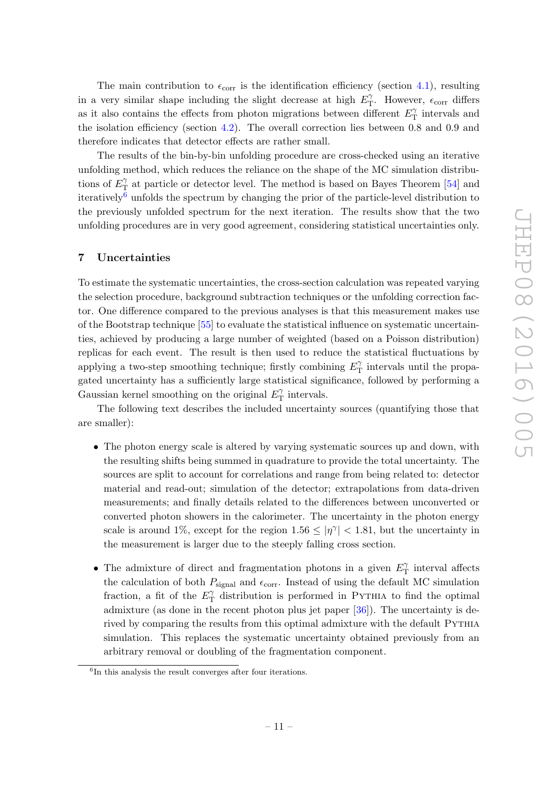The main contribution to  $\epsilon_{\text{corr}}$  is the identification efficiency (section [4.1\)](#page-7-0), resulting in a very similar shape including the slight decrease at high  $E_{\text{I}}^{\gamma}$  $T_{\rm T}^{\gamma}$ . However,  $\epsilon_{\rm corr}$  differs as it also contains the effects from photon migrations between different  $E_{\text{T}}^{\gamma}$  $T_{\text{T}}^{\gamma}$  intervals and the isolation efficiency (section [4.2\)](#page-7-1). The overall correction lies between 0.8 and 0.9 and therefore indicates that detector effects are rather small.

The results of the bin-by-bin unfolding procedure are cross-checked using an iterative unfolding method, which reduces the reliance on the shape of the MC simulation distributions of  $E_T^{\gamma}$  at particle or detector level. The method is based on Bayes Theorem [\[54\]](#page-25-13) and iteratively [6](#page-11-1) unfolds the spectrum by changing the prior of the particle-level distribution to the previously unfolded spectrum for the next iteration. The results show that the two unfolding procedures are in very good agreement, considering statistical uncertainties only.

#### 7 Uncertainties

To estimate the systematic uncertainties, the cross-section calculation was repeated varying the selection procedure, background subtraction techniques or the unfolding correction factor. One difference compared to the previous analyses is that this measurement makes use of the Bootstrap technique [\[55\]](#page-25-14) to evaluate the statistical influence on systematic uncertainties, achieved by producing a large number of weighted (based on a Poisson distribution) replicas for each event. The result is then used to reduce the statistical fluctuations by applying a two-step smoothing technique; firstly combining  $E_{\text{L}}^{\gamma}$  $\int_{\mathcal{T}}^{\gamma}$  intervals until the propagated uncertainty has a sufficiently large statistical significance, followed by performing a Gaussian kernel smoothing on the original  $E_{\text{T}}^{\gamma}$  $T_{\rm T}^{\gamma}$  intervals.

The following text describes the included uncertainty sources (quantifying those that are smaller):

- The photon energy scale is altered by varying systematic sources up and down, with the resulting shifts being summed in quadrature to provide the total uncertainty. The sources are split to account for correlations and range from being related to: detector material and read-out; simulation of the detector; extrapolations from data-driven measurements; and finally details related to the differences between unconverted or converted photon showers in the calorimeter. The uncertainty in the photon energy scale is around 1%, except for the region  $1.56 \leq |\eta^{\gamma}| < 1.81$ , but the uncertainty in the measurement is larger due to the steeply falling cross section.
- The admixture of direct and fragmentation photons in a given  $E_{\text{T}}^{\gamma}$  $T_{\text{T}}^{\gamma}$  interval affects the calculation of both  $P_{\text{signal}}$  and  $\epsilon_{\text{corr}}$ . Instead of using the default MC simulation fraction, a fit of the  $E_{\text{T}}^{\gamma}$  $\gamma$ <sup> $\gamma$ </sup> distribution is performed in PYTHIA to find the optimal admixture (as done in the recent photon plus jet paper [\[36\]](#page-24-15)). The uncertainty is derived by comparing the results from this optimal admixture with the default PYTHIA simulation. This replaces the systematic uncertainty obtained previously from an arbitrary removal or doubling of the fragmentation component.

<sup>6</sup> In this analysis the result converges after four iterations.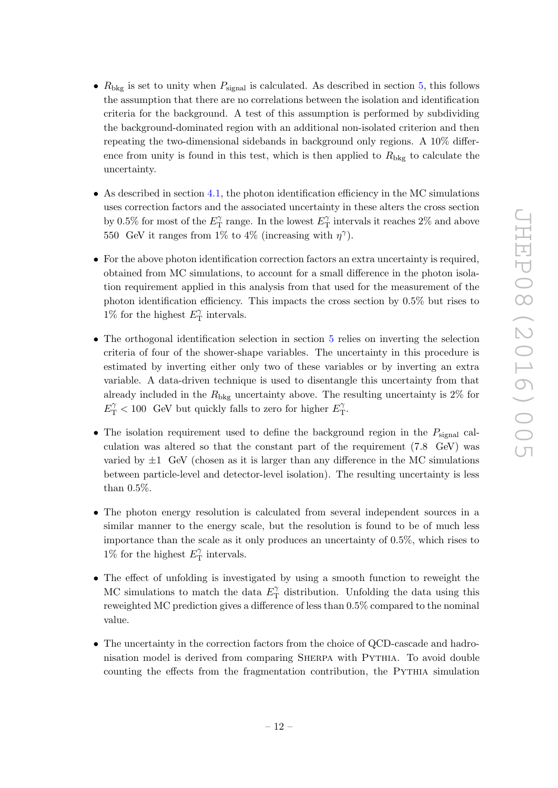- $R_{\text{bkg}}$  is set to unity when  $P_{\text{signal}}$  is calculated. As described in section [5,](#page-8-0) this follows the assumption that there are no correlations between the isolation and identification criteria for the background. A test of this assumption is performed by subdividing the background-dominated region with an additional non-isolated criterion and then repeating the two-dimensional sidebands in background only regions. A 10% difference from unity is found in this test, which is then applied to  $R_{\text{bkg}}$  to calculate the uncertainty.
- As described in section [4.1,](#page-7-0) the photon identification efficiency in the MC simulations uses correction factors and the associated uncertainty in these alters the cross section by 0.5% for most of the  $E_{\rm T}^{\gamma}$  $T_{\rm T}^{\gamma}$  range. In the lowest  $E_{\rm T}^{\gamma}$  $\frac{1}{1}$  intervals it reaches 2\% and above 550 GeV it ranges from 1% to 4% (increasing with  $\eta^{\gamma}$ ).
- <span id="page-13-0"></span>• For the above photon identification correction factors an extra uncertainty is required, obtained from MC simulations, to account for a small difference in the photon isolation requirement applied in this analysis from that used for the measurement of the photon identification efficiency. This impacts the cross section by 0.5% but rises to 1% for the highest  $E_{\rm T}^{\gamma}$  $T$  intervals.
- The orthogonal identification selection in section [5](#page-8-0) relies on inverting the selection criteria of four of the shower-shape variables. The uncertainty in this procedure is estimated by inverting either only two of these variables or by inverting an extra variable. A data-driven technique is used to disentangle this uncertainty from that already included in the  $R_{\text{bkg}}$  uncertainty above. The resulting uncertainty is 2% for  $E_{\rm T}^{\gamma}$  $_{\rm T}^{\gamma} < 100~$  GeV but quickly falls to zero for higher  $E_{\rm T}^{\gamma}$  $\mathop{\rm T}\limits^\gamma$
- The isolation requirement used to define the background region in the  $P_{\text{signal}}$  calculation was altered so that the constant part of the requirement (7.8 GeV) was varied by  $\pm 1$  GeV (chosen as it is larger than any difference in the MC simulations between particle-level and detector-level isolation). The resulting uncertainty is less than 0.5%.
- The photon energy resolution is calculated from several independent sources in a similar manner to the energy scale, but the resolution is found to be of much less importance than the scale as it only produces an uncertainty of 0.5%, which rises to 1% for the highest  $E_{\rm T}^{\gamma}$  $T$  intervals.
- The effect of unfolding is investigated by using a smooth function to reweight the MC simulations to match the data  $E_{\rm T}^{\gamma}$  $\int_{T}^{\gamma}$  distribution. Unfolding the data using this reweighted MC prediction gives a difference of less than 0.5% compared to the nominal value.
- The uncertainty in the correction factors from the choice of QCD-cascade and hadronisation model is derived from comparing Sherpa with Pythia. To avoid double counting the effects from the fragmentation contribution, the PYTHIA simulation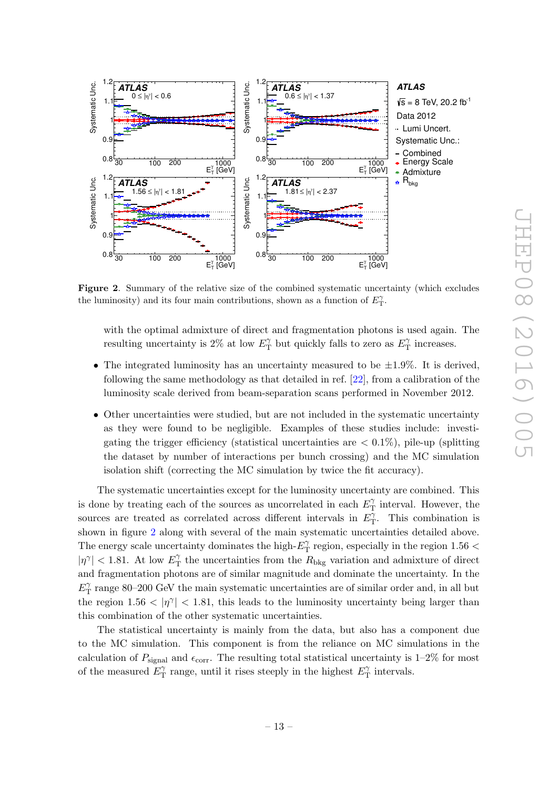

Figure 2. Summary of the relative size of the combined systematic uncertainty (which excludes the luminosity) and its four main contributions, shown as a function of  $E_{\textrm{T}}^{\gamma}$ .

<span id="page-14-1"></span>with the optimal admixture of direct and fragmentation photons is used again. The resulting uncertainty is 2% at low  $E_{\rm T}^{\gamma}$  $E_{\rm T}^{\gamma}$  but quickly falls to zero as  $E_{\rm T}^{\gamma}$  $T_{\rm T}^{\gamma}$  increases.

- The integrated luminosity has an uncertainty measured to be  $\pm 1.9\%$ . It is derived, following the same methodology as that detailed in ref. [\[22\]](#page-24-1), from a calibration of the luminosity scale derived from beam-separation scans performed in November 2012.
- <span id="page-14-0"></span>• Other uncertainties were studied, but are not included in the systematic uncertainty as they were found to be negligible. Examples of these studies include: investigating the trigger efficiency (statistical uncertainties are  $\langle 0.1\% \rangle$ , pile-up (splitting the dataset by number of interactions per bunch crossing) and the MC simulation isolation shift (correcting the MC simulation by twice the fit accuracy).

The systematic uncertainties except for the luminosity uncertainty are combined. This is done by treating each of the sources as uncorrelated in each  $E_{\text{T}}^{\gamma}$  $T_{\text{T}}^{\gamma}$  interval. However, the sources are treated as correlated across different intervals in  $E_{\rm T}^{\gamma}$  $T$ . This combination is shown in figure [2](#page-13-0) along with several of the main systematic uncertainties detailed above. The energy scale uncertainty dominates the high- $E_{\text{T}}^{\gamma}$  $T_{\rm T}^{\gamma}$  region, especially in the region 1.56 <  $|\eta^{\gamma}|$  < 1.81. At low  $E_{\rm T}^{\gamma}$  the uncertainties from the  $R_{\rm bkg}$  variation and admixture of direct and fragmentation photons are of similar magnitude and dominate the uncertainty. In the  $E_T^{\gamma}$  range 80–200 GeV the main systematic uncertainties are of similar order and, in all but the region  $1.56 < |\eta^{\gamma}| < 1.81$ , this leads to the luminosity uncertainty being larger than this combination of the other systematic uncertainties.

The statistical uncertainty is mainly from the data, but also has a component due to the MC simulation. This component is from the reliance on MC simulations in the calculation of  $P_{\text{signal}}$  and  $\epsilon_{\text{corr}}$ . The resulting total statistical uncertainty is 1–2% for most of the measured  $E_{\text{T}}^{\gamma}$  $T_{\rm T}^{\gamma}$  range, until it rises steeply in the highest  $E_{\rm T}^{\gamma}$  $T_{\rm T}^{\gamma}$  intervals.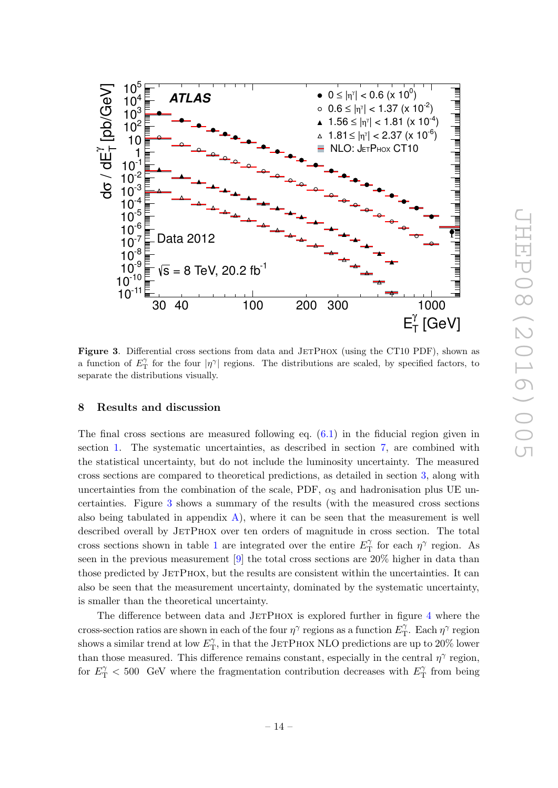<span id="page-15-0"></span>

Figure 3. Differential cross sections from data and JETPHOX (using the CT10 PDF), shown as a function of  $E_{\rm T}^{\gamma}$  for the four  $|\eta^{\gamma}|$  regions. The distributions are scaled, by specified factors, to separate the distributions visually.

#### 8 Results and discussion

<span id="page-15-1"></span>The final cross sections are measured following eq. [\(6.1\)](#page-10-1) in the fiducial region given in section [1.](#page-1-0) The systematic uncertainties, as described in section [7,](#page-11-0) are combined with the statistical uncertainty, but do not include the luminosity uncertainty. The measured cross sections are compared to theoretical predictions, as detailed in section [3,](#page-3-0) along with uncertainties from the combination of the scale, PDF,  $\alpha_{\rm S}$  and hadronisation plus UE uncertainties. Figure [3](#page-14-1) shows a summary of the results (with the measured cross sections also being tabulated in appendix  $A$ ), where it can be seen that the measurement is well described overall by JETPHOX over ten orders of magnitude in cross section. The total cross sections shown in table [1](#page-15-0) are integrated over the entire  $E_{\text{T}}^{\gamma}$  $\eta^{\gamma}$  for each  $\eta^{\gamma}$  region. As seen in the previous measurement [ [9\]](#page-23-2) the total cross sections are 20% higher in data than those predicted by JETPHOX, but the results are consistent within the uncertainties. It can also be seen that the measurement uncertainty, dominated by the systematic uncertainty, is smaller than the theoretical uncertainty.

The difference between data and JETPHOX is explored further in figure [4](#page-15-1) where the cross-section ratios are shown in each of the four  $\eta^{\gamma}$  regions as a function  $E_{\text{T}}^{\gamma}$  $\int_{T}^{\gamma}$ . Each  $\eta^{\gamma}$  region shows a similar trend at low  $E_{\text{T}}^{\gamma}$  $T_{\rm T}^{\gamma}$ , in that the JETPHOX NLO predictions are up to 20% lower than those measured. This difference remains constant, especially in the central  $\eta^{\gamma}$  region, for  $E_{\tau}^{\gamma}$  $T_{\rm T}$  < 500 GeV where the fragmentation contribution decreases with  $E_{\rm T}^{\gamma}$  $T_{\rm T}^{\gamma}$  from being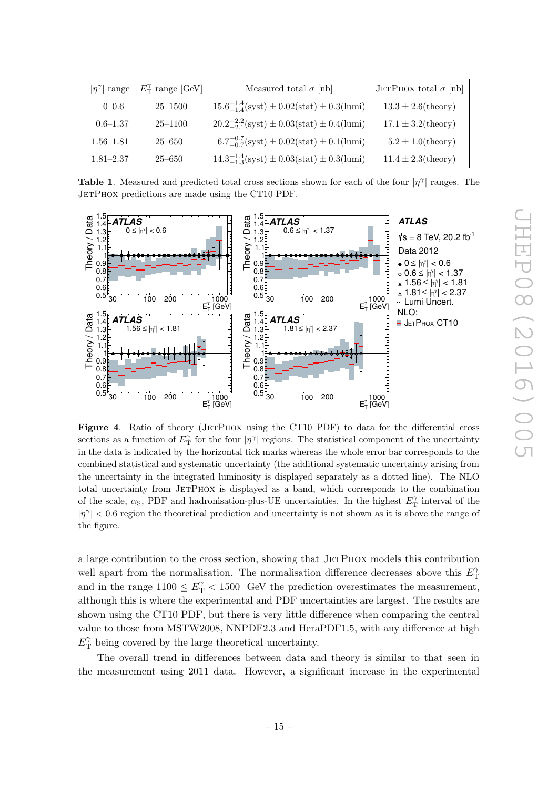| range<br>$\eta^{\gamma}$ | $E_{\rm T}^{\gamma}$ range [GeV] | Measured total $\sigma$ [nb]                                   | JETPHOX total $\sigma$ [nb] |
|--------------------------|----------------------------------|----------------------------------------------------------------|-----------------------------|
| $0 - 0.6$                | $25 - 1500$                      | $15.6^{+1.4}_{-1.4}$ (syst) $\pm 0.02$ (stat) $\pm 0.3$ (lumi) | $13.3 \pm 2.6$ (theory)     |
| $0.6 - 1.37$             | $25 - 1100$                      | $20.2^{+2.2}_{-2.1}$ (syst) $\pm 0.03$ (stat) $\pm 0.4$ (lumi) | $17.1 \pm 3.2$ (theory)     |
| $1.56 - 1.81$            | $25 - 650$                       | $6.7^{+0.7}_{-0.7}$ (syst) $\pm 0.02$ (stat) $\pm 0.1$ (lumi)  | $5.2 \pm 1.0$ (theory)      |
| $1.81 - 2.37$            | $25 - 650$                       | $14.3^{+1.4}_{-1.3}$ (syst) $\pm 0.03$ (stat) $\pm 0.3$ (lumi) | $11.4 \pm 2.3$ (theory)     |

<span id="page-16-1"></span>**Table 1.** Measured and predicted total cross sections shown for each of the four  $|\eta^{\gamma}|$  ranges. The JETPHOX predictions are made using the CT10 PDF.



Figure 4. Ratio of theory (JETPHOX using the CT10 PDF) to data for the differential cross sections as a function of  $E_{\text{T}}^{\gamma}$  for the four  $|\eta^{\gamma}|$  regions. The statistical component of the uncertainty in the data is indicated by the horizontal tick marks whereas the whole error bar corresponds to the combined statistical and systematic uncertainty (the additional systematic uncertainty arising from the uncertainty in the integrated luminosity is displayed separately as a dotted line). The NLO total uncertainty from JETPHOX is displayed as a band, which corresponds to the combination of the scale,  $\alpha_{\rm S}$ , PDF and hadronisation-plus-UE uncertainties. In the highest  $E_{\rm T}^{\gamma}$  interval of the  $|\eta^{\gamma}|$  < 0.6 region the theoretical prediction and uncertainty is not shown as it is above the range of the figure.

a large contribution to the cross section, showing that  $JETPHOX$  models this contribution well apart from the normalisation. The normalisation difference decreases above this  $E_{\perp}^{\gamma}$ T and in the range  $1100 \leq E_{\text{T}}^{\gamma}$  $T_{\rm T}$  < 1500 GeV the prediction overestimates the measurement, although this is where the experimental and PDF uncertainties are largest. The results are shown using the CT10 PDF, but there is very little difference when comparing the central value to those from MSTW2008, NNPDF2.3 and HeraPDF1.5, with any difference at high  $E_{\mathrm{T}}^{\gamma}$  being covered by the large theoretical uncertainty.

<span id="page-16-0"></span>The overall trend in differences between data and theory is similar to that seen in the measurement using 2011 data. However, a significant increase in the experimental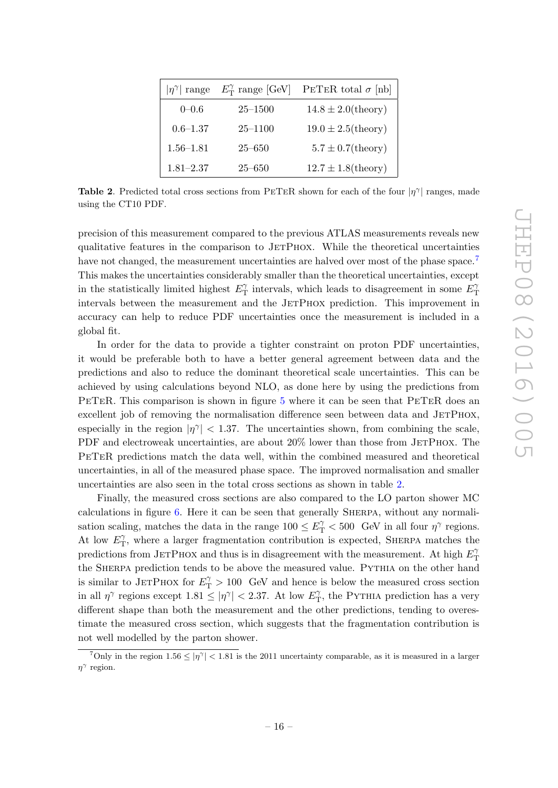| $ \eta^{\gamma} $ range | $E_{\rm T}^{\gamma}$ range [GeV] | PETER total $\sigma$ [nb] |
|-------------------------|----------------------------------|---------------------------|
| $0 - 0.6$               | $25 - 1500$                      | $14.8 \pm 2.0$ (theory)   |
| $0.6 - 1.37$            | $25 - 1100$                      | $19.0 \pm 2.5$ (theory)   |
| $1.56 - 1.81$           | $25 - 650$                       | $5.7 \pm 0.7$ (theory)    |
| $1.81 - 2.37$           | $25 - 650$                       | $12.7 \pm 1.8$ (theory)   |

**Table 2.** Predicted total cross sections from PETER shown for each of the four  $|\eta^{\gamma}|$  ranges, made using the CT10 PDF.

<span id="page-17-0"></span>precision of this measurement compared to the previous ATLAS measurements reveals new qualitative features in the comparison to JETPHOX. While the theoretical uncertainties have not changed, the measurement uncertainties are halved over most of the phase space.<sup>[7](#page-16-0)</sup> This makes the uncertainties considerably smaller than the theoretical uncertainties, except in the statistically limited highest  $E_{\text{T}}^{\gamma}$  $\gamma_{\rm T}^{\gamma}$  intervals, which leads to disagreement in some  $E_{\rm T}^{\gamma}$ T intervals between the measurement and the JETPHOX prediction. This improvement in accuracy can help to reduce PDF uncertainties once the measurement is included in a global fit.

 $|\eta^{\gamma}|$  range  $E_T^{\gamma}$  range  $[GeV]$  PETER total  $\sigma$  [nb]<br>
0–0–06 25–1500 14.8 ± 2.0(theory)<br>
16.6–1.37 25–100 19.0 ± 2.5(theory)<br>
1.56–1.81 25–650 5.7 ± 0.7(theory)<br>
1.81–2.37 25–650 12.7 ± 1.8(theory)<br>
1.81–2.37 25–65 In order for the data to provide a tighter constraint on proton PDF uncertainties, it would be preferable both to have a better general agreement between data and the predictions and also to reduce the dominant theoretical scale uncertainties. This can be achieved by using calculations beyond NLO, as done here by using the predictions from PETER. This comparison is shown in figure [5](#page-17-0) where it can be seen that PETER does an excellent job of removing the normalisation difference seen between data and JETPHOX, especially in the region  $|\eta^{\gamma}| < 1.37$ . The uncertainties shown, from combining the scale, PDF and electroweak uncertainties, are about 20% lower than those from JETPHOX. The PeTeR predictions match the data well, within the combined measured and theoretical uncertainties, in all of the measured phase space. The improved normalisation and smaller uncertainties are also seen in the total cross sections as shown in table [2](#page-16-1) .

<span id="page-17-1"></span>Finally, the measured cross sections are also compared to the LO parton shower MC calculations in figure [6.](#page-17-1) Here it can be seen that generally SHERPA, without any normalisation scaling, matches the data in the range  $100 \le E_T^{\gamma} < 500$  GeV in all four  $\eta^{\gamma}$  regions. At low  $E_{\rm T}^{\gamma}$  $T_{\rm T}^{\gamma}$ , where a larger fragmentation contribution is expected, SHERPA matches the predictions from JETPHOX and thus is in disagreement with the measurement. At high  $E_{\rm T}^{\gamma}$ T the SHERPA prediction tends to be above the measured value. PYTHIA on the other hand is similar to JETPHOX for  $E_{\text{T}}^{\gamma}$  $T_{\text{T}}^{\gamma} > 100$  GeV and hence is below the measured cross section in all  $\eta^{\gamma}$  regions except  $1.81 \leq |\eta^{\gamma}| < 2.37$ . At low  $E_{\text{T}}^{\gamma}$  $T_{\rm T}^{\gamma}$ , the PYTHIA prediction has a very different shape than both the measurement and the other predictions, tending to overestimate the measured cross section, which suggests that the fragmentation contribution is not well modelled by the parton shower.

<sup>&</sup>lt;sup>7</sup>Only in the region  $1.56 \le |\eta^{\gamma}| < 1.81$  is the 2011 uncertainty comparable, as it is measured in a larger  $\eta^{\gamma}$  region.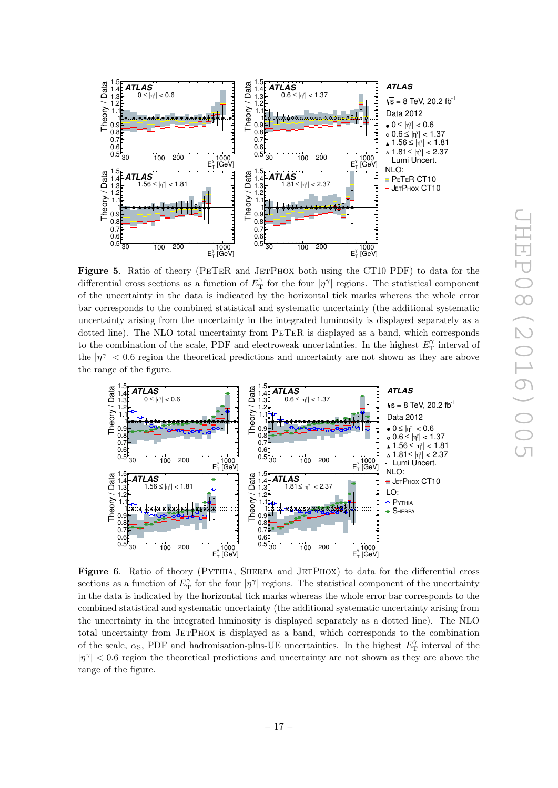<span id="page-18-0"></span>

Figure 5. Ratio of theory (PETER and JETPHOX both using the CT10 PDF) to data for the differential cross sections as a function of  $E_{\text{T}}^{\gamma}$  for the four  $|\eta^{\gamma}|$  regions. The statistical component of the uncertainty in the data is indicated by the horizontal tick marks whereas the whole error bar corresponds to the combined statistical and systematic uncertainty (the additional systematic uncertainty arising from the uncertainty in the integrated luminosity is displayed separately as a dotted line). The NLO total uncertainty from PeTeR is displayed as a band, which corresponds to the combination of the scale, PDF and electroweak uncertainties. In the highest  $E_{\text{T}}^{\gamma}$  interval of the  $|\eta^{\gamma}| < 0.6$  region the theoretical predictions and uncertainty are not shown as they are above the range of the figure.



Figure 6. Ratio of theory (PYTHIA, SHERPA and JETPHOX) to data for the differential cross sections as a function of  $E_{\rm T}^{\gamma}$  for the four  $|\eta^{\gamma}|$  regions. The statistical component of the uncertainty in the data is indicated by the horizontal tick marks whereas the whole error bar corresponds to the combined statistical and systematic uncertainty (the additional systematic uncertainty arising from the uncertainty in the integrated luminosity is displayed separately as a dotted line). The NLO total uncertainty from JetPhox is displayed as a band, which corresponds to the combination of the scale,  $\alpha_{\rm S}$ , PDF and hadronisation-plus-UE uncertainties. In the highest  $E_{\rm T}^{\gamma}$  interval of the  $|\eta^{\gamma}| < 0.6$  region the theoretical predictions and uncertainty are not shown as they are above the range of the figure.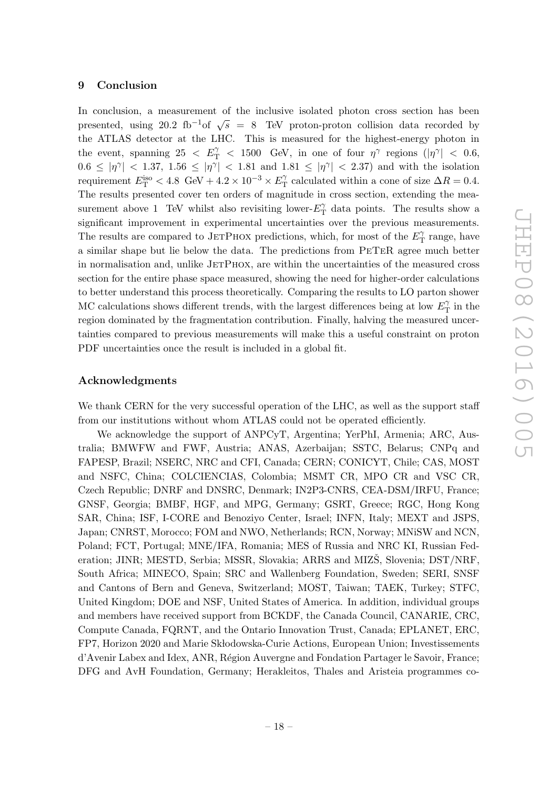#### 9 Conclusion

<span id="page-19-0"></span>In conclusion, a measurement of the inclusive isolated photon cross section has been presented, using 20.2 fb<sup>-1</sup>of  $\sqrt{s}$  = 8 TeV proton-proton collision data recorded by the ATLAS detector at the LHC. This is measured for the highest-energy photon in the event, spanning  $25 < E_{\text{T}}^{\gamma}$  $T_{\rm T}$  < 1500 GeV, in one of four  $\eta^{\gamma}$  regions ( $|\eta^{\gamma}|$  < 0.6,  $0.6 \le |\eta^{\gamma}| < 1.37, 1.56 \le |\eta^{\gamma}| < 1.81$  and  $1.81 \le |\eta^{\gamma}| < 2.37$ ) and with the isolation requirement  $E_{\rm T}^{\rm iso}$  < 4.8 GeV + 4.2 ×  $10^{-3}$  ×  $E_{\rm T}^{\gamma}$  $\gamma_{\rm T}^{\gamma}$  calculated within a cone of size  $\Delta R = 0.4$ . The results presented cover ten orders of magnitude in cross section, extending the measurement above 1 TeV whilst also revisiting lower- $E_T^{\gamma}$  data points. The results show a significant improvement in experimental uncertainties over the previous measurements. The results are compared to JETPHOX predictions, which, for most of the  $E_{\text{T}}^{\gamma}$  $T_{\rm T}^{\gamma}$  range, have a similar shape but lie below the data. The predictions from PeTeR agree much better in normalisation and, unlike JETPHOX, are within the uncertainties of the measured cross section for the entire phase space measured, showing the need for higher-order calculations to better understand this process theoretically. Comparing the results to LO parton shower MC calculations shows different trends, with the largest differences being at low  $E_{\rm T}^{\gamma}$  $T_{\rm T}^{\gamma}$  in the region dominated by the fragmentation contribution. Finally, halving the measured uncertainties compared to previous measurements will make this a useful constraint on proton PDF uncertainties once the result is included in a global fit.

#### Acknowledgments

We thank CERN for the very successful operation of the LHC, as well as the support staff from our institutions without whom ATLAS could not be operated efficiently.

<span id="page-19-1"></span>We acknowledge the support of ANPCyT, Argentina; YerPhI, Armenia; ARC, Australia; BMWFW and FWF, Austria; ANAS, Azerbaijan; SSTC, Belarus; CNPq and FAPESP, Brazil; NSERC, NRC and CFI, Canada; CERN; CONICYT, Chile; CAS, MOST and NSFC, China; COLCIENCIAS, Colombia; MSMT CR, MPO CR and VSC CR, Czech Republic; DNRF and DNSRC, Denmark; IN2P3-CNRS, CEA-DSM/IRFU, France; GNSF, Georgia; BMBF, HGF, and MPG, Germany; GSRT, Greece; RGC, Hong Kong SAR, China; ISF, I-CORE and Benoziyo Center, Israel; INFN, Italy; MEXT and JSPS, Japan; CNRST, Morocco; FOM and NWO, Netherlands; RCN, Norway; MNiSW and NCN, Poland; FCT, Portugal; MNE/IFA, Romania; MES of Russia and NRC KI, Russian Federation; JINR; MESTD, Serbia; MSSR, Slovakia; ARRS and MIZS, Slovenia; DST/NRF, South Africa; MINECO, Spain; SRC and Wallenberg Foundation, Sweden; SERI, SNSF and Cantons of Bern and Geneva, Switzerland; MOST, Taiwan; TAEK, Turkey; STFC, United Kingdom; DOE and NSF, United States of America. In addition, individual groups and members have received support from BCKDF, the Canada Council, CANARIE, CRC, Compute Canada, FQRNT, and the Ontario Innovation Trust, Canada; EPLANET, ERC, FP7, Horizon 2020 and Marie Skłodowska-Curie Actions, European Union; Investissements d'Avenir Labex and Idex, ANR, R´egion Auvergne and Fondation Partager le Savoir, France; DFG and AvH Foundation, Germany; Herakleitos, Thales and Aristeia programmes co-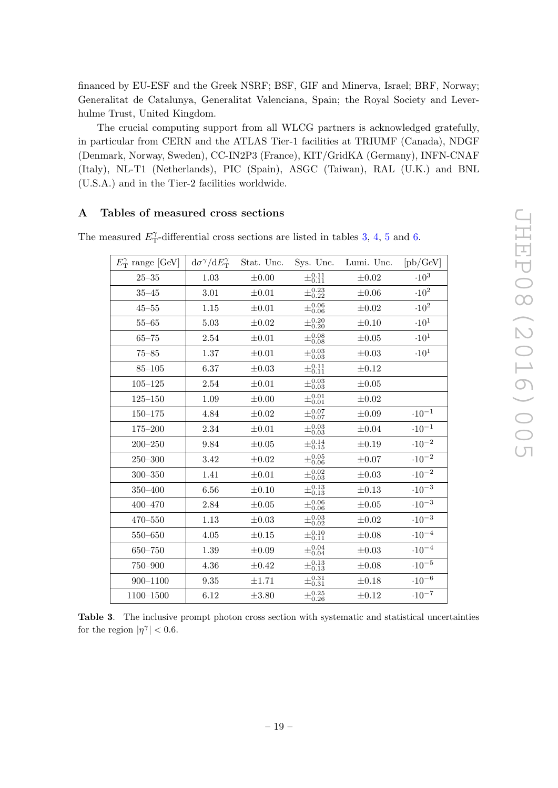financed by EU-ESF and the Greek NSRF; BSF, GIF and Minerva, Israel; BRF, Norway; Generalitat de Catalunya, Generalitat Valenciana, Spain; the Royal Society and Leverhulme Trust, United Kingdom.

The crucial computing support from all WLCG partners is acknowledged gratefully, in particular from CERN and the ATLAS Tier-1 facilities at TRIUMF (Canada), NDGF (Denmark, Norway, Sweden), CC-IN2P3 (France), KIT/GridKA (Germany), INFN-CNAF (Italy), NL-T1 (Netherlands), PIC (Spain), ASGC (Taiwan), RAL (U.K.) and BNL (U.S.A.) and in the Tier-2 facilities worldwide.

#### A Tables of measured cross sections

| $E_{\rm T}^{\gamma}$ range [GeV] | $d\sigma^{\gamma}/dE_T^{\gamma}$ | Stat. Unc. | Sys. Unc.           | Lumi. Unc. | [pb/GeV]        |
|----------------------------------|----------------------------------|------------|---------------------|------------|-----------------|
| $25 - 35$                        | 1.03                             | $\pm 0.00$ | $\pm^{0.11}_{0.11}$ | $\pm 0.02$ | $-10^{3}$       |
| $35 - 45$                        | 3.01                             | $\pm 0.01$ | $\pm^{0.23}_{0.22}$ | $\pm 0.06$ | $\cdot 10^{2}$  |
| $45 - 55$                        | 1.15                             | $\pm 0.01$ | $\pm^{0.06}_{0.06}$ | $\pm 0.02$ | $\cdot 10^2$    |
| $55 - 65$                        | 5.03                             | $\pm 0.02$ | $\pm^{0.20}_{0.20}$ | $\pm 0.10$ | $\cdot 10^{1}$  |
| $65 - 75$                        | 2.54                             | $\pm 0.01$ | $\pm^{0.08}_{0.08}$ | $\pm 0.05$ | $\cdot 10^{1}$  |
| $75 - 85$                        | 1.37                             | $\pm 0.01$ | $\pm^{0.03}_{0.03}$ | $\pm 0.03$ | $\cdot 10^{1}$  |
| $85 - 105$                       | 6.37                             | $\pm 0.03$ | $\pm^{0.11}_{0.11}$ | $\pm 0.12$ |                 |
| $105 - 125$                      | 2.54                             | $\pm 0.01$ | $\pm^{0.03}_{0.03}$ | $\pm 0.05$ |                 |
| $125 - 150$                      | 1.09                             | $\pm 0.00$ | $\pm^{0.01}_{0.01}$ | $\pm 0.02$ |                 |
| $150 - 175$                      | 4.84                             | $\pm 0.02$ | $\pm^{0.07}_{0.07}$ | $\pm 0.09$ | $\cdot 10^{-1}$ |
| $175 - 200$                      | 2.34                             | $\pm 0.01$ | $\pm^{0.03}_{0.03}$ | $\pm 0.04$ | $\cdot 10^{-1}$ |
| $200 - 250$                      | 9.84                             | $\pm 0.05$ | $\pm^{0.14}_{0.15}$ | $\pm 0.19$ | $\cdot 10^{-2}$ |
| $250 - 300$                      | 3.42                             | $\pm 0.02$ | $\pm^{0.05}_{0.06}$ | $\pm 0.07$ | $\cdot 10^{-2}$ |
| $300 - 350$                      | 1.41                             | $\pm 0.01$ | $\pm^{0.02}_{0.03}$ | $\pm 0.03$ | $\cdot 10^{-2}$ |
| 350-400                          | 6.56                             | $\pm 0.10$ | $\pm^{0.13}_{0.13}$ | $\pm 0.13$ | $\cdot 10^{-3}$ |
| $400 - 470$                      | 2.84                             | $\pm 0.05$ | $\pm^{0.06}_{0.06}$ | $\pm 0.05$ | $\cdot 10^{-3}$ |
| $470 - 550$                      | 1.13                             | $\pm 0.03$ | $\pm^{0.03}_{0.02}$ | $\pm 0.02$ | $\cdot 10^{-3}$ |
| 550-650                          | 4.05                             | $\pm 0.15$ | $\pm^{0.10}_{0.11}$ | $\pm 0.08$ | $\cdot 10^{-4}$ |
| 650-750                          | 1.39                             | $\pm 0.09$ | $\pm^{0.04}_{0.04}$ | $\pm 0.03$ | $\cdot 10^{-4}$ |
| 750-900                          | 4.36                             | $\pm 0.42$ | $\pm^{0.13}_{0.13}$ | $\pm 0.08$ | $\cdot 10^{-5}$ |
| $900 - 1100$                     | 9.35                             | $\pm 1.71$ | $\pm^{0.31}_{0.31}$ | $\pm 0.18$ | $\cdot 10^{-6}$ |
| $1100 - 1500$                    | 6.12                             | $\pm 3.80$ | $\pm^{0.25}_{0.26}$ | $\pm 0.12$ | $\cdot 10^{-7}$ |

The measured  $E_{\text{T}}^{\gamma}$  $\gamma$ -differential cross sections are listed in tables [3](#page-19-1), [4](#page-20-0), [5](#page-21-0) and [6](#page-22-1).

<span id="page-20-0"></span>Table 3. The inclusive prompt photon cross section with systematic and statistical uncertainties for the region  $|\eta^{\gamma}| < 0.6$ .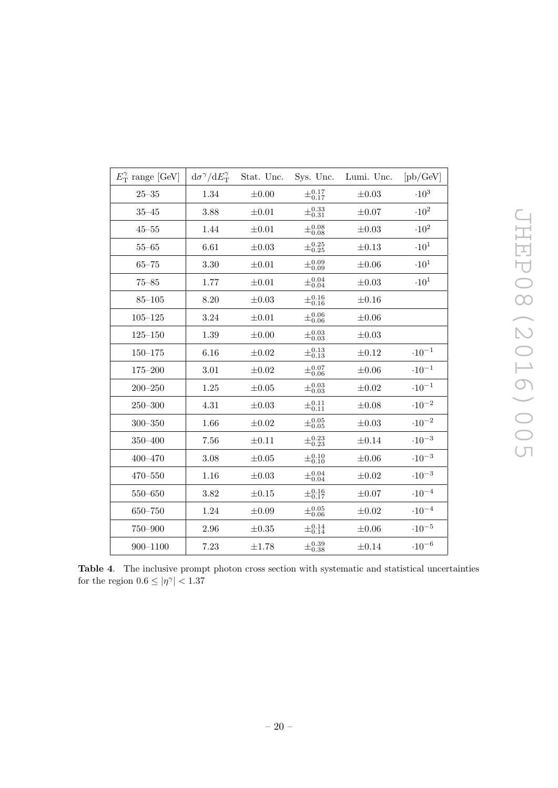| $E_{\rm T}^{\gamma}$ range [GeV] | $d\sigma^{\gamma}/dE_T^{\gamma}$ | Stat. Unc. | Sys. Unc.           | Lumi. Unc. | [pb/GeV]        |
|----------------------------------|----------------------------------|------------|---------------------|------------|-----------------|
| $25 - 35$                        | 1.34                             | $\pm 0.00$ | $\pm^{0.17}_{0.17}$ | $\pm 0.03$ | $\cdot 10^3$    |
| $35 - 45$                        | 3.88                             | $\pm 0.01$ | $\pm^{0.33}_{0.31}$ | $\pm 0.07$ | $\cdot 10^2$    |
| $45 - 55$                        | 1.44                             | $\pm 0.01$ | $\pm^{0.08}_{0.08}$ | $\pm 0.03$ | $\cdot 10^2$    |
| $55 - 65$                        | 6.61                             | $\pm 0.03$ | $\pm^{0.25}_{0.25}$ | $\pm 0.13$ | $\cdot 10^{1}$  |
| $65 - 75$                        | 3.30                             | $\pm 0.01$ | $\pm^{0.09}_{0.09}$ | $\pm 0.06$ | $\cdot 10^{1}$  |
| $75 - 85$                        | 1.77                             | $\pm 0.01$ | $\pm^{0.04}_{0.04}$ | $\pm 0.03$ | $\cdot 10^{1}$  |
| $85 - 105$                       | 8.20                             | $\pm 0.03$ | $\pm^{0.16}_{0.16}$ | $\pm 0.16$ |                 |
| $105 - 125$                      | 3.24                             | $\pm 0.01$ | $\pm^{0.06}_{0.06}$ | $\pm 0.06$ |                 |
| $125 - 150$                      | 1.39                             | $\pm 0.00$ | $\pm^{0.03}_{0.03}$ | $\pm 0.03$ |                 |
| $150 - 175$                      | 6.16                             | $\pm 0.02$ | $\pm^{0.13}_{0.13}$ | $\pm 0.12$ | $\cdot 10^{-1}$ |
| $175 - 200$                      | 3.01                             | $\pm 0.02$ | $\pm^{0.07}_{0.06}$ | $\pm 0.06$ | $-10^{-1}$      |
| $200 - 250$                      | 1.25                             | $\pm 0.05$ | $\pm^{0.03}_{0.03}$ | $\pm 0.02$ | $-10^{-1}$      |
| $250 - 300$                      | 4.31                             | $\pm 0.03$ | $\pm^{0.11}_{0.11}$ | $\pm 0.08$ | $\cdot 10^{-2}$ |
| $300 - 350$                      | 1.66                             | $\pm 0.02$ | $\pm^{0.05}_{0.05}$ | $\pm 0.03$ | $\cdot 10^{-2}$ |
| $350 - 400$                      | 7.56                             | $\pm 0.11$ | $\pm^{0.23}_{0.23}$ | $\pm 0.14$ | $-10^{-3}$      |
| $400 - 470$                      | 3.08                             | $\pm 0.05$ | $\pm^{0.10}_{0.10}$ | $\pm 0.06$ | $-10^{-3}$      |
| $470 - 550$                      | 1.16                             | $\pm 0.03$ | $\pm^{0.04}_{0.04}$ | $\pm 0.02$ | $\cdot 10^{-3}$ |
| 550-650                          | 3.82                             | $\pm 0.15$ | $\pm^{0.16}_{0.17}$ | $\pm 0.07$ | $\cdot 10^{-4}$ |
| 650-750                          | 1.24                             | $\pm 0.09$ | $\pm^{0.05}_{0.06}$ | $\pm 0.02$ | $-10^{-4}$      |
| 750-900                          | 2.96                             | $\pm 0.35$ | $\pm^{0.14}_{0.14}$ | $\pm 0.06$ | $\cdot 10^{-5}$ |
| $900 - 1100$                     | 7.23                             | $\pm 1.78$ | $\pm^{0.39}_{0.38}$ | $\pm 0.14$ | $\cdot 10^{-6}$ |

<span id="page-21-0"></span>Table 4. The inclusive prompt photon cross section with systematic and statistical uncertainties for the region  $0.6 \leq |\eta^{\gamma}| < 1.37$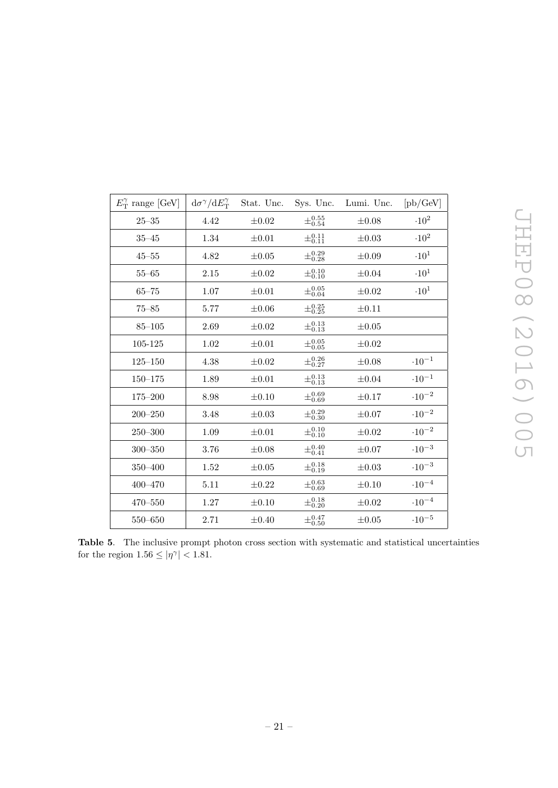| $d\sigma^{\gamma}/dE_{\rm T}^{\gamma}$ | Stat. Unc. | Sys. Unc.           | Lumi. Unc. | [pb/GeV]        |
|----------------------------------------|------------|---------------------|------------|-----------------|
| 4.42                                   | $\pm 0.02$ | $\pm^{0.55}_{0.54}$ | $\pm 0.08$ | $\cdot 10^2$    |
| 1.34                                   | $\pm 0.01$ | $\pm^{0.11}_{0.11}$ | $\pm 0.03$ | $\cdot 10^2$    |
| 4.82                                   | $\pm 0.05$ | $\pm^{0.29}_{0.28}$ | $\pm 0.09$ | $\cdot 10^{1}$  |
| 2.15                                   | $\pm 0.02$ | $\pm^{0.10}_{0.10}$ | $\pm 0.04$ | $\cdot 10^{1}$  |
| 1.07                                   | $\pm 0.01$ | $\pm^{0.05}_{0.04}$ | $\pm 0.02$ | $\cdot 10^{1}$  |
| 5.77                                   | $\pm 0.06$ | $\pm^{0.25}_{0.25}$ | $\pm 0.11$ |                 |
| 2.69                                   | $\pm 0.02$ | $\pm^{0.13}_{0.13}$ | $\pm 0.05$ |                 |
| 1.02                                   | $\pm 0.01$ | $\pm^{0.05}_{0.05}$ | $\pm 0.02$ |                 |
| 4.38                                   | $\pm 0.02$ | $\pm^{0.26}_{0.27}$ | $\pm 0.08$ | $-10^{-1}$      |
| 1.89                                   | $\pm 0.01$ | $\pm^{0.13}_{0.13}$ | $\pm 0.04$ | $\cdot 10^{-1}$ |
| 8.98                                   | $\pm 0.10$ | $\pm^{0.69}_{0.69}$ | $\pm 0.17$ | $\cdot 10^{-2}$ |
| 3.48                                   | $\pm 0.03$ | $\pm^{0.29}_{0.30}$ | $\pm 0.07$ | $\cdot 10^{-2}$ |
| 1.09                                   | $\pm 0.01$ | $\pm^{0.10}_{0.10}$ | $\pm 0.02$ | $\cdot 10^{-2}$ |
| 3.76                                   | $\pm 0.08$ | $\pm^{0.40}_{0.41}$ | $\pm 0.07$ | $\cdot 10^{-3}$ |
| 1.52                                   | $\pm 0.05$ | $\pm^{0.18}_{0.19}$ | $\pm 0.03$ | $\cdot 10^{-3}$ |
| 5.11                                   | $\pm 0.22$ | $\pm^{0.63}_{0.69}$ | $\pm 0.10$ | $\cdot 10^{-4}$ |
| 1.27                                   | $\pm 0.10$ | $\pm^{0.18}_{0.20}$ | $\pm 0.02$ | $\cdot 10^{-4}$ |
| 2.71                                   | $\pm 0.40$ | $\pm^{0.47}_{0.50}$ | $\pm 0.05$ | $\cdot 10^{-5}$ |
|                                        |            |                     |            |                 |

<span id="page-22-1"></span><span id="page-22-0"></span>Table 5. The inclusive prompt photon cross section with systematic and statistical uncertainties for the region  $1.56 \leq |\eta^{\gamma}| < 1.81$ .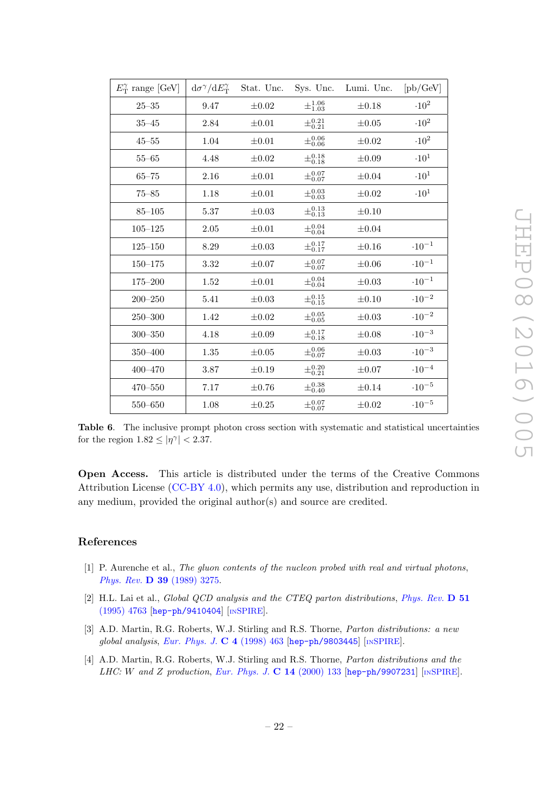<span id="page-23-2"></span><span id="page-23-1"></span><span id="page-23-0"></span>

| $E_{\rm T}^{\gamma}$ range [GeV] | $d\sigma^{\gamma}/dE_{\rm T}^{\gamma}$ | Stat. Unc. | Sys. Unc.           | Lumi. Unc. | [pb/GeV]        |
|----------------------------------|----------------------------------------|------------|---------------------|------------|-----------------|
| $25 - 35$                        | 9.47                                   | $\pm 0.02$ | $\pm^{1.06}_{1.03}$ | $\pm 0.18$ | $\cdot 10^2$    |
| $35 - 45$                        | 2.84                                   | $\pm 0.01$ | $\pm^{0.21}_{0.21}$ | $\pm 0.05$ | $\cdot 10^{2}$  |
| $45 - 55$                        | 1.04                                   | $\pm 0.01$ | $\pm^{0.06}_{0.06}$ | $\pm 0.02$ | $\cdot 10^2$    |
| $55 - 65$                        | 4.48                                   | $\pm 0.02$ | $\pm^{0.18}_{0.18}$ | $\pm 0.09$ | $\cdot 10^{1}$  |
| $65 - 75$                        | 2.16                                   | $\pm 0.01$ | $\pm^{0.07}_{0.07}$ | $\pm 0.04$ | $\cdot 10^{1}$  |
| $75 - 85$                        | 1.18                                   | $\pm 0.01$ | $\pm^{0.03}_{0.03}$ | $\pm 0.02$ | $\cdot 10^{1}$  |
| $85 - 105$                       | 5.37                                   | $\pm 0.03$ | $\pm^{0.13}_{0.13}$ | $\pm 0.10$ |                 |
| $105 - 125$                      | 2.05                                   | $\pm 0.01$ | $\pm^{0.04}_{0.04}$ | $\pm 0.04$ |                 |
| $125 - 150$                      | 8.29                                   | $\pm 0.03$ | $\pm^{0.17}_{0.17}$ | $\pm 0.16$ | $-10^{-1}$      |
| $150 - 175$                      | 3.32                                   | $\pm 0.07$ | $\pm^{0.07}_{0.07}$ | $\pm 0.06$ | $-10^{-1}$      |
| $175 - 200$                      | 1.52                                   | $\pm 0.01$ | $\pm^{0.04}_{0.04}$ | $\pm 0.03$ | $\cdot 10^{-1}$ |
| $200 - 250$                      | 5.41                                   | $\pm 0.03$ | $\pm^{0.15}_{0.15}$ | $\pm 0.10$ | $-10^{-2}$      |
| $250 - 300$                      | 1.42                                   | $\pm 0.02$ | $\pm^{0.05}_{0.05}$ | $\pm 0.03$ | $\cdot 10^{-2}$ |
| $300 - 350$                      | 4.18                                   | $\pm 0.09$ | $\pm^{0.17}_{0.18}$ | $\pm 0.08$ | $\cdot 10^{-3}$ |
| $350 - 400$                      | 1.35                                   | $\pm 0.05$ | $\pm^{0.06}_{0.07}$ | $\pm 0.03$ | $\cdot 10^{-3}$ |
| $400 - 470$                      | 3.87                                   | $\pm 0.19$ | $\pm^{0.20}_{0.21}$ | $\pm 0.07$ | $\cdot 10^{-4}$ |
| $470 - 550$                      | 7.17                                   | $\pm 0.76$ | $\pm^{0.38}_{0.40}$ | $\pm 0.14$ | $\cdot 10^{-5}$ |
| $550 - 650$                      | 1.08                                   | $\pm 0.25$ | $\pm^{0.07}_{0.07}$ | $\pm 0.02$ | $-10^{-5}$      |

<span id="page-23-6"></span><span id="page-23-5"></span><span id="page-23-4"></span><span id="page-23-3"></span>Table 6. The inclusive prompt photon cross section with systematic and statistical uncertainties for the region  $1.82 \leq |\eta^{\gamma}| < 2.37$ .

<span id="page-23-8"></span><span id="page-23-7"></span>Open Access. This article is distributed under the terms of the Creative Commons Attribution License [\(CC-BY 4.0\)](http://creativecommons.org/licenses/by/4.0/), which permits any use, distribution and reproduction in any medium, provided the original author(s) and source are credited.

#### <span id="page-23-10"></span><span id="page-23-9"></span>References

- [1] P. Aurenche et al., The gluon contents of the nucleon probed with real and virtual photons , Phys. Rev. **D 39** [\(1989\) 3275](http://dx.doi.org/10.1103/PhysRevD.39.3275).
- [2] H.L. Lai et al., *Global QCD analysis and the CTEQ parton distributions*, *[Phys. Rev.](http://dx.doi.org/10.1103/PhysRevD.51.4763)*  $\bf{D} 51$ [\(1995\) 4763](http://dx.doi.org/10.1103/PhysRevD.51.4763) [[hep-ph/9410404](http://arxiv.org/abs/hep-ph/9410404)] [IN[SPIRE](http://inspirehep.net/search?p=find+EPRINT+hep-ph/9410404)].
- [3] A.D. Martin, R.G. Roberts, W.J. Stirling and R.S. Thorne, Parton distributions: a new global analysis , [Eur. Phys. J.](http://dx.doi.org/10.1007/s100529800904) C 4 (1998) 463 [[hep-ph/9803445](http://arxiv.org/abs/hep-ph/9803445)] [IN[SPIRE](http://inspirehep.net/search?p=find+EPRINT+hep-ph/9803445)].
- <span id="page-23-11"></span>[4] A.D. Martin, R.G. Roberts, W.J. Stirling and R.S. Thorne, Parton distributions and the LHC: W and Z production, [Eur. Phys. J.](http://dx.doi.org/10.1007/s100520050740) C  $14$  (2000) 133 [[hep-ph/9907231](http://arxiv.org/abs/hep-ph/9907231)] [IN[SPIRE](http://inspirehep.net/search?p=find+EPRINT+hep-ph/9907231)].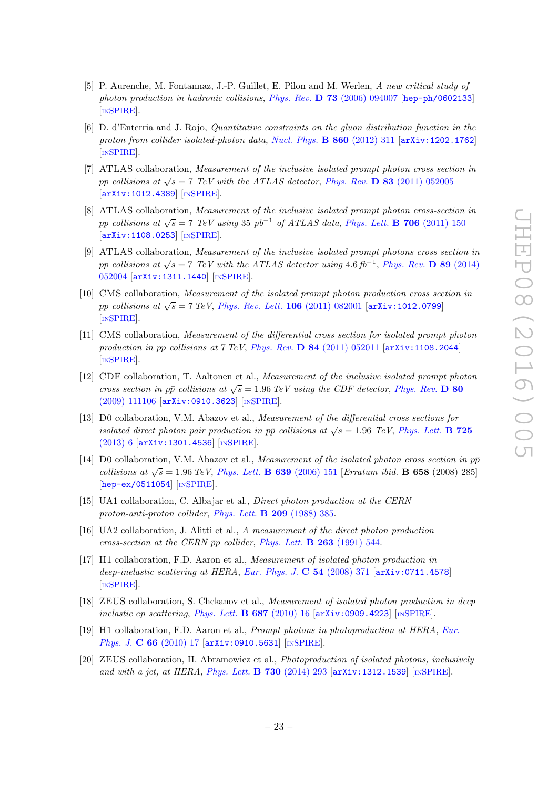- <span id="page-24-0"></span>[5] P. Aurenche, M. Fontannaz, J.-P. Guillet, E. Pilon and M. Werlen, A new critical study of photon production in hadronic collisions, Phys. Rev. **D 73** [\(2006\) 094007](http://dx.doi.org/10.1103/PhysRevD.73.094007) [[hep-ph/0602133](http://arxiv.org/abs/hep-ph/0602133)] [IN[SPIRE](http://inspirehep.net/search?p=find+EPRINT+hep-ph/0602133)].
- <span id="page-24-1"></span>[6] D. d'Enterria and J. Rojo, Quantitative constraints on the gluon distribution function in the proton from collider isolated-photon data, [Nucl. Phys.](http://dx.doi.org/10.1016/j.nuclphysb.2012.03.003)  $\bf{B} 860$  (2012) 311 [[arXiv:1202.1762](http://arxiv.org/abs/1202.1762)] [IN[SPIRE](http://inspirehep.net/search?p=find+EPRINT+arXiv:1202.1762)].
- <span id="page-24-3"></span><span id="page-24-2"></span>[7] ATLAS collaboration, Measurement of the inclusive isolated prompt photon cross section in pp collisions at  $\sqrt{s} = 7$  TeV with the ATLAS detector, Phys. Rev. **D 83** [\(2011\) 052005](http://dx.doi.org/10.1103/PhysRevD.83.052005) [[arXiv:1012.4389](http://arxiv.org/abs/1012.4389)] [IN[SPIRE](http://inspirehep.net/search?p=find+EPRINT+arXiv:1012.4389)].
- <span id="page-24-4"></span>[8] ATLAS collaboration, *Measurement of the inclusive isolated prompt photon cross-section in* pp collisions at  $\sqrt{s} = 7$  TeV using 35 pb<sup>-1</sup> of ATLAS data, [Phys. Lett.](http://dx.doi.org/10.1016/j.physletb.2011.11.010) **B 706** (2011) 150 [[arXiv:1108.0253](http://arxiv.org/abs/1108.0253)] [IN[SPIRE](http://inspirehep.net/search?p=find+EPRINT+arXiv:1108.0253)].
- <span id="page-24-5"></span>[9] ATLAS collaboration, Measurement of the inclusive isolated prompt photons cross section in pp collisions at  $\sqrt{s} = 7$  TeV with the ATLAS detector using 4.6 fb<sup>-1</sup>, [Phys. Rev.](http://dx.doi.org/10.1103/PhysRevD.89.052004) D 89 (2014) [052004](http://dx.doi.org/10.1103/PhysRevD.89.052004) [[arXiv:1311.1440](http://arxiv.org/abs/1311.1440)] [IN[SPIRE](http://inspirehep.net/search?p=find+EPRINT+arXiv:1311.1440)].
- <span id="page-24-7"></span><span id="page-24-6"></span>[10] CMS collaboration, Measurement of the isolated prompt photon production cross section in pp collisions at  $\sqrt{s} = 7 \; TeV$ , [Phys. Rev. Lett.](http://dx.doi.org/10.1103/PhysRevLett.106.082001) 106 (2011) 082001  $\left[$ [arXiv:1012.0799](http://arxiv.org/abs/1012.0799) [IN[SPIRE](http://inspirehep.net/search?p=find+EPRINT+arXiv:1012.0799)].
- <span id="page-24-8"></span>[11] CMS collaboration, Measurement of the differential cross section for isolated prompt photon production in pp collisions at  $7 \text{ TeV}$ , Phys. Rev. **D 84** [\(2011\) 052011](http://dx.doi.org/10.1103/PhysRevD.84.052011) [[arXiv:1108.2044](http://arxiv.org/abs/1108.2044)] [IN[SPIRE](http://inspirehep.net/search?p=find+EPRINT+arXiv:1108.2044)].
- <span id="page-24-10"></span><span id="page-24-9"></span>[12] CDF collaboration, T. Aaltonen et al., Measurement of the inclusive isolated prompt photon cross section in  $p\bar{p}$  collisions at  $\sqrt{s} = 1.96 \text{ TeV}$  using the CDF detector, [Phys. Rev.](http://dx.doi.org/10.1103/PhysRevD.80.111106) D 80 [\(2009\) 111106](http://dx.doi.org/10.1103/PhysRevD.80.111106) [[arXiv:0910.3623](http://arxiv.org/abs/0910.3623)] [IN[SPIRE](http://inspirehep.net/search?p=find+EPRINT+arXiv:0910.3623)].
- <span id="page-24-11"></span>[13] D0 collaboration, V.M. Abazov et al., Measurement of the differential cross sections for isolated direct photon pair production in  $p\bar{p}$  collisions at  $\sqrt{s} = 1.96$  TeV, [Phys. Lett.](http://dx.doi.org/10.1016/j.physletb.2013.06.036) **B** 725 [\(2013\) 6](http://dx.doi.org/10.1016/j.physletb.2013.06.036) [[arXiv:1301.4536](http://arxiv.org/abs/1301.4536)] [IN[SPIRE](http://inspirehep.net/search?p=find+EPRINT+arXiv:1301.4536)].
- <span id="page-24-12"></span>[14] D0 collaboration, V.M. Abazov et al., Measurement of the isolated photon cross section in  $p\bar{p}$ collisions at  $\sqrt{s} = 1.96 \text{ TeV}$ , [Phys. Lett.](http://dx.doi.org/10.1016/j.physletb.2007.06.047) **B 639** (2006) 151 [Erratum ibid. **B 658** (2008) 285] [[hep-ex/0511054](http://arxiv.org/abs/hep-ex/0511054)] [IN[SPIRE](http://inspirehep.net/search?p=find+EPRINT+hep-ex/0511054)].
- <span id="page-24-14"></span><span id="page-24-13"></span>[15] UA1 collaboration, C. Albajar et al., Direct photon production at the CERN proton-anti-proton collider, [Phys. Lett.](http://dx.doi.org/10.1016/0370-2693(88)90968-9) **B 209** (1988) 385.
- <span id="page-24-15"></span>[16] UA2 collaboration, J. Alitti et al., A measurement of the direct photon production cross-section at the CERN  $\bar{p}p$  collider, [Phys. Lett.](http://dx.doi.org/10.1016/0370-2693(91)90503-I) **B 263** (1991) 544.
- <span id="page-24-16"></span>[17] H1 collaboration, F.D. Aaron et al., Measurement of isolated photon production in deep-inelastic scattering at HERA, [Eur. Phys. J.](http://dx.doi.org/10.1140/epjc/s10052-008-0541-6) C 54 (2008) 371 [[arXiv:0711.4578](http://arxiv.org/abs/0711.4578)] [IN[SPIRE](http://inspirehep.net/search?p=find+EPRINT+arXiv:0711.4578)].
- <span id="page-24-17"></span>[18] ZEUS collaboration, S. Chekanov et al., *Measurement of isolated photon production in deep* inelastic ep scattering, [Phys. Lett.](http://dx.doi.org/10.1016/j.physletb.2010.02.045) **B 687** (2010) 16 [[arXiv:0909.4223](http://arxiv.org/abs/0909.4223)] [IN[SPIRE](http://inspirehep.net/search?p=find+EPRINT+arXiv:0909.4223)].
- <span id="page-24-18"></span>[19] H1 collaboration, F.D. Aaron et al., Prompt photons in photoproduction at HERA, [Eur.](http://dx.doi.org/10.1140/epjc/s10052-010-1240-7) Phys. J. C 66 [\(2010\) 17](http://dx.doi.org/10.1140/epjc/s10052-010-1240-7) [[arXiv:0910.5631](http://arxiv.org/abs/0910.5631)] [IN[SPIRE](http://inspirehep.net/search?p=find+EPRINT+arXiv:0910.5631)].
- <span id="page-24-19"></span>[20] ZEUS collaboration, H. Abramowicz et al., Photoproduction of isolated photons, inclusively and with a jet, at HERA, [Phys. Lett.](http://dx.doi.org/10.1016/j.physletb.2014.01.062) **B 730** (2014) 293 [[arXiv:1312.1539](http://arxiv.org/abs/1312.1539)] [IN[SPIRE](http://inspirehep.net/search?p=find+EPRINT+arXiv:1312.1539)].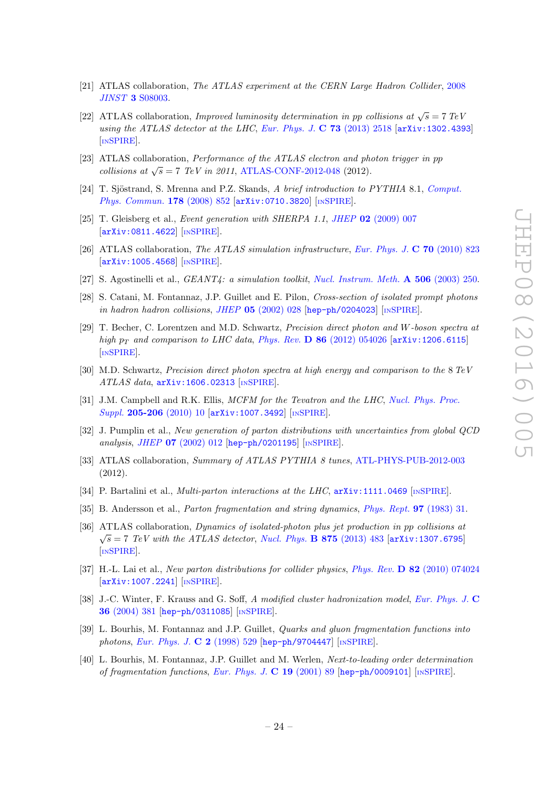- <span id="page-25-0"></span>[21] ATLAS collaboration, The ATLAS experiment at the CERN Large Hadron Collider, [2008](http://dx.doi.org/10.1088/1748-0221/3/08/S08003) JINST 3 [S08003](http://dx.doi.org/10.1088/1748-0221/3/08/S08003).
- <span id="page-25-1"></span>[22] ATLAS collaboration, *Improved luminosity determination in pp collisions at*  $\sqrt{s} = 7 \text{ TeV}$ using the ATLAS detector at the LHC, [Eur. Phys. J.](http://dx.doi.org/10.1140/epjc/s10052-013-2518-3)  $C$  73 (2013) 2518 [[arXiv:1302.4393](http://arxiv.org/abs/1302.4393)] [IN[SPIRE](http://inspirehep.net/search?p=find+EPRINT+arXiv:1302.4393)].
- <span id="page-25-3"></span><span id="page-25-2"></span>[23] ATLAS collaboration, Performance of the ATLAS electron and photon trigger in pp collisions at  $\sqrt{s} = 7$  TeV in 2011, [ATLAS-CONF-2012-048](http://cds.cern.ch/record/1450089) (2012).
- <span id="page-25-4"></span>[24] T. Sjöstrand, S. Mrenna and P.Z. Skands, A brief introduction to PYTHIA 8.1, [Comput.](http://dx.doi.org/10.1016/j.cpc.2008.01.036) [Phys. Commun.](http://dx.doi.org/10.1016/j.cpc.2008.01.036) 178 (2008) 852 [arXiv: 0710.3820] [IN[SPIRE](http://inspirehep.net/search?p=find+EPRINT+arXiv:0710.3820)].
- <span id="page-25-5"></span>[25] T. Gleisberg et al., *Event generation with SHERPA 1.1*, *JHEP*  $02$  [\(2009\) 007](http://dx.doi.org/10.1088/1126-6708/2009/02/007) [[arXiv:0811.4622](http://arxiv.org/abs/0811.4622)] [IN[SPIRE](http://inspirehep.net/search?p=find+EPRINT+arXiv:0811.4622)].
- <span id="page-25-6"></span>[26] ATLAS collaboration, The ATLAS simulation infrastructure, [Eur. Phys. J.](http://dx.doi.org/10.1140/epjc/s10052-010-1429-9) C 70 (2010) 823 [[arXiv:1005.4568](http://arxiv.org/abs/1005.4568)] [IN[SPIRE](http://inspirehep.net/search?p=find+EPRINT+arXiv:1005.4568)].
- <span id="page-25-7"></span>[27] S. Agostinelli et al.,  $GEANT4$ : a simulation toolkit, [Nucl. Instrum. Meth.](http://dx.doi.org/10.1016/S0168-9002(03)01368-8)  $\bf{A}$  506 (2003) 250.
- [28] S. Catani, M. Fontannaz, J.P. Guillet and E. Pilon, Cross-section of isolated prompt photons in hadron hadron collisions, JHEP 05 [\(2002\) 028](http://dx.doi.org/10.1088/1126-6708/2002/05/028) [[hep-ph/0204023](http://arxiv.org/abs/hep-ph/0204023)] [IN[SPIRE](http://inspirehep.net/search?p=find+EPRINT+hep-ph/0204023)].
- <span id="page-25-8"></span>[29] T. Becher, C. Lorentzen and M.D. Schwartz, Precision direct photon and W-boson spectra at high  $p_T$  and comparison to LHC data, Phys. Rev. **D 86** [\(2012\) 054026](http://dx.doi.org/10.1103/PhysRevD.86.054026)  $[$ [arXiv:1206.6115](http://arxiv.org/abs/1206.6115) $]$ [IN[SPIRE](http://inspirehep.net/search?p=find+EPRINT+arXiv:1206.6115)].
- <span id="page-25-10"></span><span id="page-25-9"></span>[30] M.D. Schwartz, Precision direct photon spectra at high energy and comparison to the 8 TeV  $ATLAS\ data,$   $\bm{\text{arXiv:1606.02313}}$  $\bm{\text{arXiv:1606.02313}}$  $\bm{\text{arXiv:1606.02313}}$  [IN[SPIRE](http://inspirehep.net/search?p=find+EPRINT+arXiv:1606.02313)].
- <span id="page-25-11"></span>[31] J.M. Campbell and R.K. Ellis, MCFM for the Tevatron and the LHC, [Nucl. Phys. Proc.](http://dx.doi.org/10.1016/j.nuclphysBPS.2010.08.011) Suppl. 205-206 [\(2010\) 10](http://dx.doi.org/10.1016/j.nuclphysBPS.2010.08.011) [[arXiv:1007.3492](http://arxiv.org/abs/1007.3492)] [IN[SPIRE](http://inspirehep.net/search?p=find+EPRINT+arXiv:1007.3492)].
- <span id="page-25-12"></span>[32] J. Pumplin et al., New generation of parton distributions with uncertainties from global QCD analysis, JHEP 07 [\(2002\) 012](http://dx.doi.org/10.1088/1126-6708/2002/07/012) [[hep-ph/0201195](http://arxiv.org/abs/hep-ph/0201195)] [IN[SPIRE](http://inspirehep.net/search?p=find+EPRINT+hep-ph/0201195)].
- <span id="page-25-13"></span>[33] ATLAS collaboration, Summary of ATLAS PYTHIA 8 tunes, [ATL-PHYS-PUB-2012-003](http://cds.cern.ch/record/1474107) (2012).
- [34] P. Bartalini et al., *Multi-parton interactions at the LHC*,  $arXiv:1111.0469$  [IN[SPIRE](http://inspirehep.net/search?p=find+EPRINT+arXiv:1111.0469)].
- <span id="page-25-14"></span>[35] B. Andersson et al., *Parton fragmentation and string dynamics*, *[Phys. Rept.](http://dx.doi.org/10.1016/0370-1573(83)90080-7)* **97** (1983) 31.
- [36] ATLAS collaboration, Dynamics of isolated-photon plus jet production in pp collisions at  $\sqrt{s} = 7$  TeV with the ATLAS detector, [Nucl. Phys.](http://dx.doi.org/10.1016/j.nuclphysb.2013.07.025) B 875 (2013) 483 [[arXiv:1307.6795](http://arxiv.org/abs/1307.6795)] [IN[SPIRE](http://inspirehep.net/search?p=find+EPRINT+arXiv:1307.6795)].
- [37] H.-L. Lai et al., New parton distributions for collider physics, Phys. Rev. D 82 [\(2010\) 074024](http://dx.doi.org/10.1103/PhysRevD.82.074024) [[arXiv:1007.2241](http://arxiv.org/abs/1007.2241)] [IN[SPIRE](http://inspirehep.net/search?p=find+EPRINT+arXiv:1007.2241)].
- [38] J.-C. Winter, F. Krauss and G. Soff, A modified cluster hadronization model, [Eur. Phys. J.](http://dx.doi.org/10.1140/epjc/s2004-01960-8) C 36 [\(2004\) 381](http://dx.doi.org/10.1140/epjc/s2004-01960-8) [[hep-ph/0311085](http://arxiv.org/abs/hep-ph/0311085)] [IN[SPIRE](http://inspirehep.net/search?p=find+EPRINT+hep-ph/0311085)].
- [39] L. Bourhis, M. Fontannaz and J.P. Guillet, Quarks and gluon fragmentation functions into photons, [Eur. Phys. J.](http://dx.doi.org/10.1007/s100520050158) C 2 (1998) 529 [[hep-ph/9704447](http://arxiv.org/abs/hep-ph/9704447)] [IN[SPIRE](http://inspirehep.net/search?p=find+EPRINT+hep-ph/9704447)].
- [40] L. Bourhis, M. Fontannaz, J.P. Guillet and M. Werlen, Next-to-leading order determination of fragmentation functions, [Eur. Phys. J.](http://dx.doi.org/10.1007/s100520100579) C 19 (2001) 89 [[hep-ph/0009101](http://arxiv.org/abs/hep-ph/0009101)] [IN[SPIRE](http://inspirehep.net/search?p=find+EPRINT+hep-ph/0009101)].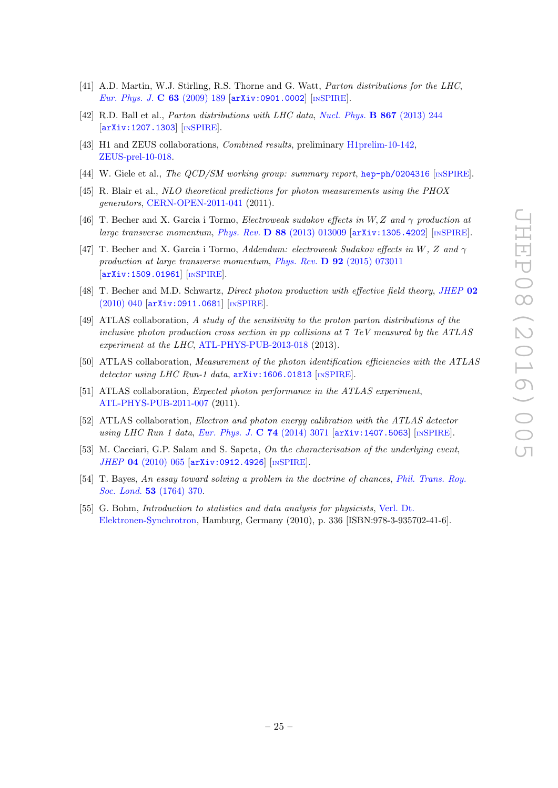- [41] A.D. Martin, W.J. Stirling, R.S. Thorne and G. Watt, Parton distributions for the LHC, [Eur. Phys. J.](http://dx.doi.org/10.1140/epjc/s10052-009-1072-5) C 63 (2009) 189 [[arXiv:0901.0002](http://arxiv.org/abs/0901.0002)] [IN[SPIRE](http://inspirehep.net/search?p=find+EPRINT+arXiv:0901.0002)].
- <span id="page-26-0"></span> $[42]$  R.D. Ball et al., *Parton distributions with LHC data, [Nucl. Phys.](http://dx.doi.org/10.1016/j.nuclphysb.2012.10.003)* **B 867** (2013) 244 [[arXiv:1207.1303](http://arxiv.org/abs/1207.1303)] [IN[SPIRE](http://inspirehep.net/search?p=find+EPRINT+arXiv:1207.1303)].
- [43] H1 and ZEUS collaborations, Combined results, preliminary [H1prelim-10-142](http://www.desy.de/h1zeus/combined_results/index.php?do=proton_structur) , [ZEUS-prel-10-018](http://www.desy.de/h1zeus/combined_results/index.php?do=proton_structur) .
- [44] W. Giele et al., *The QCD/SM working group: summary report*, [hep-ph/0204316](http://arxiv.org/abs/hep-ph/0204316) [IN[SPIRE](http://inspirehep.net/search?p=find+EPRINT+hep-ph/0204316)].
- [45] R. Blair et al., NLO theoretical predictions for photon measurements using the PHOX generators , [CERN-OPEN-2011-041](http://cds.cern.ch/record/1379880) (2011).
- [46] T. Becher and X. Garcia i Tormo, *Electroweak sudakov effects in*  $W$ , Z and  $\gamma$  production at large transverse momentum , Phys. Rev. D 88 [\(2013\) 013009](http://dx.doi.org/10.1103/PhysRevD.88.013009) [[arXiv:1305.4202](http://arxiv.org/abs/1305.4202)] [IN[SPIRE](http://inspirehep.net/search?p=find+EPRINT+arXiv:1305.4202)].
- [47] T. Becher and X. Garcia i Tormo, Addendum: electroweak Sudakov effects in W, Z and  $\gamma$ production at large transverse momentum, Phys. Rev.  $\bf{D}$  92 [\(2015\) 073011](http://dx.doi.org/10.1103/PhysRevD.92.073011) [[arXiv:1509.01961](http://arxiv.org/abs/1509.01961)] [IN[SPIRE](http://inspirehep.net/search?p=find+EPRINT+arXiv:1509.01961)].
- [48] T. Becher and M.D. Schwartz, Direct photon production with effective field theory, [JHEP](http://dx.doi.org/10.1007/JHEP02(2010)040) 02 [\(2010\) 040](http://dx.doi.org/10.1007/JHEP02(2010)040) [[arXiv:0911.0681](http://arxiv.org/abs/0911.0681)] [IN[SPIRE](http://inspirehep.net/search?p=find+EPRINT+arXiv:0911.0681)].
- [49] ATLAS collaboration, A study of the sensitivity to the proton parton distributions of the inclusive photon production cross section in pp collisions at 7 TeV measured by the ATLAS experiment at the LHC, [ATL-PHYS-PUB-2013-018](http://cds.cern.ch/record/1636863) (2013).
- [50] ATLAS collaboration, Measurement of the photon identification efficiencies with the ATLAS  $detector \ using \ LHC \ Run-1 \ data, \ \text{arXiv:1606.01813}$  $detector \ using \ LHC \ Run-1 \ data, \ \text{arXiv:1606.01813}$  $detector \ using \ LHC \ Run-1 \ data, \ \text{arXiv:1606.01813}$  [IN[SPIRE](http://inspirehep.net/search?p=find+EPRINT+arXiv:1606.01813)].
- [51] ATLAS collaboration, *Expected photon performance in the ATLAS experiment*, [ATL-PHYS-PUB-2011-007](http://cds.cern.ch/record/1345329) (2011).
- [52] ATLAS collaboration, Electron and photon energy calibration with the ATLAS detector using LHC Run 1 data, [Eur. Phys. J.](http://dx.doi.org/10.1140/epjc/s10052-014-3071-4) C 74 (2014) 3071 [[arXiv:1407.5063](http://arxiv.org/abs/1407.5063)] [IN[SPIRE](http://inspirehep.net/search?p=find+EPRINT+arXiv:1407.5063)].
- [53] M. Cacciari, G.P. Salam and S. Sapeta, On the characterisation of the underlying event, JHEP 04 [\(2010\) 065](http://dx.doi.org/10.1007/JHEP04(2010)065) [[arXiv:0912.4926](http://arxiv.org/abs/0912.4926)] [IN[SPIRE](http://inspirehep.net/search?p=find+EPRINT+arXiv:0912.4926)].
- [54] T. Bayes, An essay toward solving a problem in the doctrine of chances, [Phil. Trans. Roy.](http://dx.doi.org/10.1098/rstl.1763.0053) [Soc. Lond.](http://dx.doi.org/10.1098/rstl.1763.0053) **53** (1764) 370.
- [55] G. Bohm, *Introduction to statistics and data analysis for physicists*, [Verl. Dt.](http://www-library.desy.de/preparch/books/vstatmp_engl.pdf) [Elektronen-Synchrotron,](http://www-library.desy.de/preparch/books/vstatmp_engl.pdf) Hamburg, Germany (2010), p. 336 [ISBN:978-3-935702-41-6].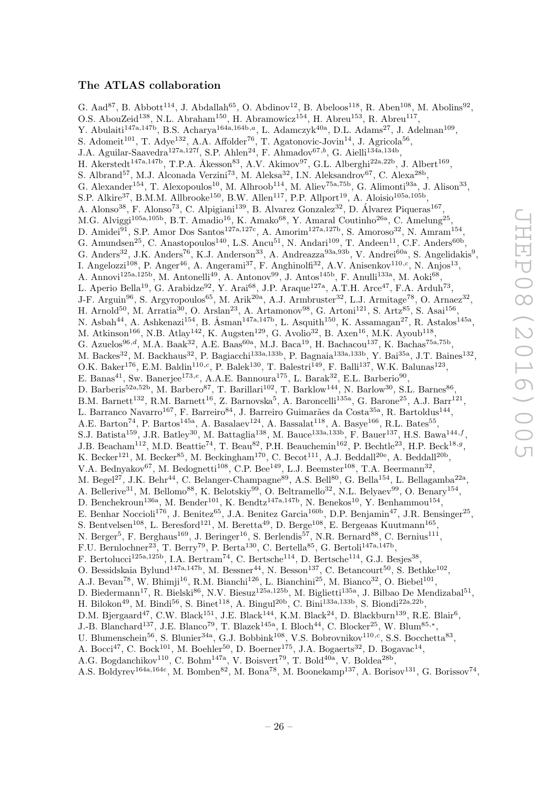#### The ATLAS collaboration

G. Aad<sup>87</sup>, B. Abbott<sup>114</sup>, J. Abdallah<sup>65</sup>, O. Abdinov<sup>12</sup>, B. Abeloos<sup>118</sup>, R. Aben<sup>108</sup>, M. Abolins<sup>92</sup>, O.S. AbouZeid<sup>138</sup>, N.L. Abraham<sup>150</sup>, H. Abramowicz<sup>154</sup>, H. Abreu<sup>153</sup>, R. Abreu<sup>117</sup>, Y. Abulaiti<sup>147a,147b</sup>, B.S. Acharya<sup>164a,164b,a</sup>, L. Adamczyk<sup>40a</sup>, D.L. Adams<sup>27</sup>, J. Adelman<sup>109</sup>, S. Adomeit<sup>101</sup>, T. Adye<sup>132</sup>, A.A. Affolder<sup>76</sup>, T. Agatonovic-Jovin<sup>14</sup>, J. Agricola<sup>56</sup>, J.A. Aguilar-Saavedra<sup>127a,127f</sup>, S.P. Ahlen<sup>24</sup>, F. Ahmadov<sup>67,b</sup>, G. Aielli<sup>134a,134b</sup>, H. Akerstedt<sup>147a,147b</sup>, T.P.A. Åkesson<sup>83</sup>, A.V. Akimov<sup>97</sup>, G.L. Alberghi<sup>22a,22b</sup>, J. Albert<sup>169</sup>, S. Albrand<sup>57</sup>, M.J. Alconada Verzini<sup>73</sup>, M. Aleksa<sup>32</sup>, I.N. Aleksandrov<sup>67</sup>, C. Alexa<sup>28b</sup>, G. Alexander<sup>154</sup>, T. Alexopoulos<sup>10</sup>, M. Alhroob<sup>114</sup>, M. Aliev<sup>75a,75b</sup>, G. Alimonti<sup>93a</sup>, J. Alison<sup>33</sup>, S.P. Alkire<sup>37</sup>, B.M.M. Allbrooke<sup>150</sup>, B.W. Allen<sup>117</sup>, P.P. Allport<sup>19</sup>, A. Aloisio<sup>105a,105b</sup>, A. Alonso<sup>38</sup>, F. Alonso<sup>73</sup>, C. Alpigiani<sup>139</sup>, B. Alvarez Gonzalez<sup>32</sup>, D. Álvarez Piqueras<sup>167</sup>, M.G. Alviggi<sup>105a,105b</sup>, B.T. Amadio<sup>16</sup>, K. Amako<sup>68</sup>, Y. Amaral Coutinho<sup>26a</sup>, C. Amelung<sup>25</sup>, D. Amidei<sup>91</sup>, S.P. Amor Dos Santos<sup>127a,127c</sup>, A. Amorim<sup>127a,127b</sup>, S. Amoroso<sup>32</sup>, N. Amram<sup>154</sup>, G. Amundsen<sup>25</sup>, C. Anastopoulos<sup>140</sup>, L.S. Ancu<sup>51</sup>, N. Andari<sup>109</sup>, T. Andeen<sup>11</sup>, C.F. Anders<sup>60b</sup>, G. Anders<sup>32</sup>, J.K. Anders<sup>76</sup>, K.J. Anderson<sup>33</sup>, A. Andreazza<sup>93a,93b</sup>, V. Andrei<sup>60a</sup>, S. Angelidakis<sup>9</sup>, I. Angelozzi<sup>108</sup>, P. Anger<sup>46</sup>, A. Angerami<sup>37</sup>, F. Anghinolfi<sup>32</sup>, A.V. Anisenkov<sup>110,c</sup>, N. Anjos<sup>13</sup>, A. Annovi<sup>125a,125b</sup>, M. Antonelli<sup>49</sup>, A. Antonov<sup>99</sup>, J. Antos<sup>145b</sup>, F. Anulli<sup>133a</sup>, M. Aoki<sup>68</sup>, L. Aperio Bella<sup>19</sup>, G. Arabidze<sup>92</sup>, Y. Arai<sup>68</sup>, J.P. Araque<sup>127a</sup>, A.T.H. Arce<sup>47</sup>, F.A. Arduh<sup>73</sup>, J-F. Arguin<sup>96</sup>, S. Argyropoulos<sup>65</sup>, M. Arik<sup>20a</sup>, A.J. Armbruster<sup>32</sup>, L.J. Armitage<sup>78</sup>, O. Arnaez<sup>32</sup>, H. Arnold<sup>50</sup>, M. Arratia<sup>30</sup>, O. Arslan<sup>23</sup>, A. Artamonov<sup>98</sup>, G. Artoni<sup>121</sup>, S. Artz<sup>85</sup>, S. Asai<sup>156</sup>, N. Asbah<sup>44</sup>, A. Ashkenazi<sup>154</sup>, B. Åsman<sup>147a,147b</sup>, L. Asquith<sup>150</sup>, K. Assamagan<sup>27</sup>, R. Astalos<sup>145a</sup>, M. Atkinson<sup>166</sup>, N.B. Atlay<sup>142</sup>, K. Augsten<sup>129</sup>, G. Avolio<sup>32</sup>, B. Axen<sup>16</sup>, M.K. Ayoub<sup>118</sup>, G. Azuelos<sup>96,d</sup>, M.A. Baak<sup>32</sup>, A.E. Baas<sup>60a</sup>, M.J. Baca<sup>19</sup>, H. Bachacou<sup>137</sup>, K. Bachas<sup>75a,75b</sup>, M. Backes<sup>32</sup>, M. Backhaus<sup>32</sup>, P. Bagiacchi<sup>133a,133b</sup>, P. Bagnaia<sup>133a,133b</sup>, Y. Bai<sup>35a</sup>, J.T. Baines<sup>132</sup>, O.K. Baker<sup>176</sup>, E.M. Baldin<sup>110,c</sup>, P. Balek<sup>130</sup>, T. Balestri<sup>149</sup>, F. Balli<sup>137</sup>, W.K. Balunas<sup>123</sup>, E. Banas<sup>41</sup>, Sw. Banerjee<sup>173,e</sup>, A.A.E. Bannoura<sup>175</sup>, L. Barak<sup>32</sup>, E.L. Barberio<sup>90</sup>, D. Barberis<sup>52a,52b</sup>, M. Barbero<sup>87</sup>, T. Barillari<sup>102</sup>, T. Barklow<sup>144</sup>, N. Barlow<sup>30</sup>, S.L. Barnes<sup>86</sup>, B.M. Barnett<sup>132</sup>, R.M. Barnett<sup>16</sup>, Z. Barnovska<sup>5</sup>, A. Baroncelli<sup>135a</sup>, G. Barone<sup>25</sup>, A.J. Barr<sup>121</sup>, L. Barranco Navarro<sup>167</sup>, F. Barreiro<sup>84</sup>, J. Barreiro Guimarães da Costa<sup>35a</sup>, R. Bartoldus<sup>144</sup>, A.E. Barton<sup>74</sup>, P. Bartos<sup>145a</sup>, A. Basalaev<sup>124</sup>, A. Bassalat<sup>118</sup>, A. Basye<sup>166</sup>, R.L. Bates<sup>55</sup>, S.J. Batista<sup>159</sup>, J.R. Batley<sup>30</sup>, M. Battaglia<sup>138</sup>, M. Bauce<sup>133a,133b</sup>, F. Bauer<sup>137</sup>, H.S. Bawa<sup>144,f</sup>, J.B. Beacham<sup>112</sup>, M.D. Beattie<sup>74</sup>, T. Beau<sup>82</sup>, P.H. Beauchemin<sup>162</sup>, P. Bechtle<sup>23</sup>, H.P. Beck<sup>18,9</sup>, K. Becker<sup>121</sup>, M. Becker<sup>85</sup>, M. Beckingham<sup>170</sup>, C. Becot<sup>111</sup>, A.J. Beddall<sup>20e</sup>, A. Beddall<sup>20b</sup>, V.A. Bednyakov<sup>67</sup>, M. Bedognetti<sup>108</sup>, C.P. Bee<sup>149</sup>, L.J. Beemster<sup>108</sup>, T.A. Beermann<sup>32</sup>, M. Begel<sup>27</sup>, J.K. Behr<sup>44</sup>, C. Belanger-Champagne<sup>89</sup>, A.S. Bell<sup>80</sup>, G. Bella<sup>154</sup>, L. Bellagamba<sup>22a</sup>, A. Bellerive<sup>31</sup>, M. Bellomo<sup>88</sup>, K. Belotskiy<sup>99</sup>, O. Beltramello<sup>32</sup>, N.L. Belyaev<sup>99</sup>, O. Benary<sup>154</sup>, D. Benchekroun<sup>136a</sup>, M. Bender<sup>101</sup>, K. Bendtz<sup>147a,147b</sup>, N. Benekos<sup>10</sup>, Y. Benhammou<sup>154</sup>, E. Benhar Noccioli<sup>176</sup>, J. Benitez<sup>65</sup>, J.A. Benitez Garcia<sup>160b</sup>, D.P. Benjamin<sup>47</sup>, J.R. Bensinger<sup>25</sup>, S. Bentvelsen<sup>108</sup>, L. Beresford<sup>121</sup>, M. Beretta<sup>49</sup>, D. Berge<sup>108</sup>, E. Bergeaas Kuutmann<sup>165</sup>, N. Berger<sup>5</sup>, F. Berghaus<sup>169</sup>, J. Beringer<sup>16</sup>, S. Berlendis<sup>57</sup>, N.R. Bernard<sup>88</sup>, C. Bernius<sup>111</sup>, F.U. Bernlochner<sup>23</sup>, T. Berry<sup>79</sup>, P. Berta<sup>130</sup>, C. Bertella<sup>85</sup>, G. Bertoli<sup>147a,147b</sup>, F. Bertolucci<sup>125a,125b</sup>, I.A. Bertram<sup>74</sup>, C. Bertsche<sup>114</sup>, D. Bertsche<sup>114</sup>, G.J. Besjes<sup>38</sup>, O. Bessidskaia Bylund<sup>147a,147b</sup>, M. Bessner<sup>44</sup>, N. Besson<sup>137</sup>, C. Betancourt<sup>50</sup>, S. Bethke<sup>102</sup>, A.J. Bevan<sup>78</sup>, W. Bhimji<sup>16</sup>, R.M. Bianchi<sup>126</sup>, L. Bianchini<sup>25</sup>, M. Bianco<sup>32</sup>, O. Biebel<sup>101</sup>, D. Biedermann<sup>17</sup>, R. Bielski<sup>86</sup>, N.V. Biesuz<sup>125a,125b</sup>, M. Biglietti<sup>135a</sup>, J. Bilbao De Mendizabal<sup>51</sup>, H. Bilokon<sup>49</sup>, M. Bindi<sup>56</sup>, S. Binet<sup>118</sup>, A. Bingul<sup>20b</sup>, C. Bini<sup>133a,133b</sup>, S. Biondi<sup>22a,22b</sup>, D.M. Bjergaard<sup>47</sup>, C.W. Black<sup>151</sup>, J.E. Black<sup>144</sup>, K.M. Black<sup>24</sup>, D. Blackburn<sup>139</sup>, R.E. Blair<sup>6</sup>, J.-B. Blanchard<sup>137</sup>, J.E. Blanco<sup>79</sup>, T. Blazek<sup>145a</sup>, I. Bloch<sup>44</sup>, C. Blocker<sup>25</sup>, W. Blum<sup>85,\*</sup>, U. Blumenschein<sup>56</sup>, S. Blunier<sup>34a</sup>, G.J. Bobbink<sup>108</sup>, V.S. Bobrovnikov<sup>110,c</sup>, S.S. Bocchetta<sup>83</sup>, A. Bocci<sup>47</sup>, C. Bock<sup>101</sup>, M. Boehler<sup>50</sup>, D. Boerner<sup>175</sup>, J.A. Bogaerts<sup>32</sup>, D. Bogavac<sup>14</sup>, A.G. Bogdanchikov<sup>110</sup>, C. Bohm<sup>147a</sup>, V. Boisvert<sup>79</sup>, T. Bold<sup>40a</sup>, V. Boldea<sup>28b</sup>,

A.S. Boldyrev<sup>164a,164c</sup>, M. Bomben<sup>82</sup>, M. Bona<sup>78</sup>, M. Boonekamp<sup>137</sup>, A. Borisov<sup>131</sup>, G. Borissov<sup>74</sup>,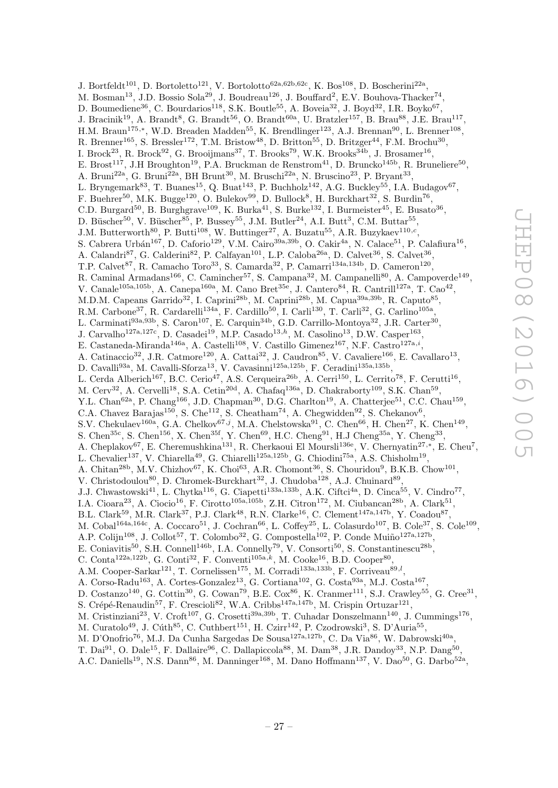J. Bortfeldt<sup>101</sup>, D. Bortoletto<sup>121</sup>, V. Bortolotto<sup>62a,62b,62c</sup>, K. Bos<sup>108</sup>, D. Boscherini<sup>22a</sup>, M. Bosman<sup>13</sup>, J.D. Bossio Sola<sup>29</sup>, J. Boudreau<sup>126</sup>, J. Bouffard<sup>2</sup>, E.V. Bouhova-Thacker<sup>74</sup>, D. Boumediene<sup>36</sup>, C. Bourdarios<sup>118</sup>, S.K. Boutle<sup>55</sup>, A. Boveia<sup>32</sup>, J. Boyd<sup>32</sup>, I.R. Boyko<sup>67</sup>, J. Bracinik<sup>19</sup>, A. Brandt<sup>8</sup>, G. Brandt<sup>56</sup>, O. Brandt<sup>60a</sup>, U. Bratzler<sup>157</sup>, B. Brau<sup>88</sup>, J.E. Brau<sup>117</sup>, H.M. Braun<sup>175,\*</sup>, W.D. Breaden Madden<sup>55</sup>, K. Brendlinger<sup>123</sup>, A.J. Brennan<sup>90</sup>, L. Brenner<sup>108</sup>, R. Brenner<sup>165</sup>, S. Bressler<sup>172</sup>, T.M. Bristow<sup>48</sup>, D. Britton<sup>55</sup>, D. Britzger<sup>44</sup>, F.M. Brochu<sup>30</sup>, I. Brock<sup>23</sup>, R. Brock<sup>92</sup>, G. Brooijmans<sup>37</sup>, T. Brooks<sup>79</sup>, W.K. Brooks<sup>34b</sup>, J. Brosamer<sup>16</sup>, E. Brost<sup>117</sup>, J.H Broughton<sup>19</sup>, P.A. Bruckman de Renstrom<sup>41</sup>, D. Bruncko<sup>145b</sup>, R. Bruneliere<sup>50</sup>, A. Bruni<sup>22a</sup>, G. Bruni<sup>22a</sup>, BH Brunt<sup>30</sup>, M. Bruschi<sup>22a</sup>, N. Bruscino<sup>23</sup>, P. Bryant<sup>33</sup>, L. Bryngemark<sup>83</sup>, T. Buanes<sup>15</sup>, Q. Buat<sup>143</sup>, P. Buchholz<sup>142</sup>, A.G. Buckley<sup>55</sup>, I.A. Budagov<sup>67</sup>, F. Buehrer<sup>50</sup>, M.K. Bugge<sup>120</sup>, O. Bulekov<sup>99</sup>, D. Bullock<sup>8</sup>, H. Burckhart<sup>32</sup>, S. Burdin<sup>76</sup>, C.D. Burgard<sup>50</sup>, B. Burghgrave<sup>109</sup>, K. Burka<sup>41</sup>, S. Burke<sup>132</sup>, I. Burmeister<sup>45</sup>, E. Busato<sup>36</sup>, D. Büscher $^{50}$ , V. Büscher $^{85}$ , P. Bussey $^{55}$ , J.M. Butler $^{24}$ , A.I. Butt $^3$ , C.M. Buttar $^{55}$ , J.M. Butterworth<sup>80</sup>, P. Butti<sup>108</sup>, W. Buttinger<sup>27</sup>, A. Buzatu<sup>55</sup>, A.R. Buzykaev<sup>110,*c*</sup>, S. Cabrera Urbán<sup>167</sup>, D. Caforio<sup>129</sup>, V.M. Cairo<sup>39a,39b</sup>, O. Cakir<sup>4a</sup>, N. Calace<sup>51</sup>, P. Calafiura<sup>16</sup>, A. Calandri<sup>87</sup>, G. Calderini<sup>82</sup>, P. Calfayan<sup>101</sup>, L.P. Caloba<sup>26a</sup>, D. Calvet<sup>36</sup>, S. Calvet<sup>36</sup>, T.P. Calvet<sup>87</sup>, R. Camacho Toro<sup>33</sup>, S. Camarda<sup>32</sup>, P. Camarri<sup>134a,134b</sup>, D. Cameron<sup>120</sup>, R. Caminal Armadans<sup>166</sup>, C. Camincher<sup>57</sup>, S. Campana<sup>32</sup>, M. Campanelli<sup>80</sup>, A. Campoverde<sup>149</sup>, V. Canale<sup>105a,105b</sup>, A. Canepa<sup>160a</sup>, M. Cano Bret<sup>35e</sup>, J. Cantero<sup>84</sup>, R. Cantrill<sup>127a</sup>, T. Cao<sup>42</sup>, M.D.M. Capeans Garrido<sup>32</sup>, I. Caprini<sup>28b</sup>, M. Caprini<sup>28b</sup>, M. Capua<sup>39a,39b</sup>, R. Caputo<sup>85</sup>, R.M. Carbone<sup>37</sup>, R. Cardarelli<sup>134a</sup>, F. Cardillo<sup>50</sup>, I. Carli<sup>130</sup>, T. Carli<sup>32</sup>, G. Carlino<sup>105a</sup>, L. Carminati<sup>93a,93b</sup>, S. Caron<sup>107</sup>, E. Carquin<sup>34b</sup>, G.D. Carrillo-Montoya<sup>32</sup>, J.R. Carter<sup>30</sup>, J. Carvalho<sup>127a,127c</sup>, D. Casadei<sup>19</sup>, M.P. Casado<sup>13,h</sup>, M. Casolino<sup>13</sup>, D.W. Casper<sup>163</sup>, E. Castaneda-Miranda<sup>146a</sup>, A. Castelli<sup>108</sup>, V. Castillo Gimenez<sup>167</sup>, N.F. Castro<sup>127a,*i*</sup>, A. Catinaccio<sup>32</sup>, J.R. Catmore<sup>120</sup>, A. Cattai<sup>32</sup>, J. Caudron<sup>85</sup>, V. Cavaliere<sup>166</sup>, E. Cavallaro<sup>13</sup>, D. Cavalli<sup>93a</sup>, M. Cavalli-Sforza<sup>13</sup>, V. Cavasinni<sup>125a,125b</sup>, F. Ceradini<sup>135a,135b</sup>, L. Cerda Alberich<sup>167</sup>, B.C. Cerio<sup>47</sup>, A.S. Cerqueira<sup>26b</sup>, A. Cerri<sup>150</sup>, L. Cerrito<sup>78</sup>, F. Cerutti<sup>16</sup>, M. Cerv<sup>32</sup>, A. Cervelli<sup>18</sup>, S.A. Cetin<sup>20d</sup>, A. Chafaq<sup>136a</sup>, D. Chakraborty<sup>109</sup>, S.K. Chan<sup>59</sup>, Y.L. Chan<sup>62a</sup>, P. Chang<sup>166</sup>, J.D. Chapman<sup>30</sup>, D.G. Charlton<sup>19</sup>, A. Chatterjee<sup>51</sup>, C.C. Chau<sup>159</sup>, C.A. Chavez Barajas<sup>150</sup>, S. Che<sup>112</sup>, S. Cheatham<sup>74</sup>, A. Chegwidden<sup>92</sup>, S. Chekanov<sup>6</sup>, S.V. Chekulaev<sup>160a</sup>, G.A. Chelkov<sup>67,j</sup>, M.A. Chelstowska<sup>91</sup>, C. Chen<sup>66</sup>, H. Chen<sup>27</sup>, K. Chen<sup>149</sup>, S. Chen<sup>35c</sup>, S. Chen<sup>156</sup>, X. Chen<sup>35f</sup>, Y. Chen<sup>69</sup>, H.C. Cheng<sup>91</sup>, H.J Cheng<sup>35a</sup>, Y. Cheng<sup>33</sup>, A. Cheplakov<sup>67</sup>, E. Cheremushkina<sup>131</sup>, R. Cherkaoui El Moursli<sup>136e</sup>, V. Chernyatin<sup>27,\*</sup>, E. Cheu<sup>7</sup>, L. Chevalier<sup>137</sup>, V. Chiarella<sup>49</sup>, G. Chiarelli<sup>125a,125b</sup>, G. Chiodini<sup>75a</sup>, A.S. Chisholm<sup>19</sup>, A. Chitan<sup>28b</sup>, M.V. Chizhov<sup>67</sup>, K. Choi<sup>63</sup>, A.R. Chomont<sup>36</sup>, S. Chouridou<sup>9</sup>, B.K.B. Chow<sup>101</sup>, V. Christodoulou<sup>80</sup>, D. Chromek-Burckhart<sup>32</sup>, J. Chudoba<sup>128</sup>, A.J. Chuinard<sup>89</sup>, J.J. Chwastowski<sup>41</sup>, L. Chytka<sup>116</sup>, G. Ciapetti<sup>133a,133b</sup>, A.K. Ciftci<sup>4a</sup>, D. Cinca<sup>55</sup>, V. Cindro<sup>77</sup>, I.A. Cioara<sup>23</sup>, A. Ciocio<sup>16</sup>, F. Cirotto<sup>105a,105b</sup>, Z.H. Citron<sup>172</sup>, M. Ciubancan<sup>28b</sup>, A. Clark<sup>51</sup>, B.L. Clark<sup>59</sup>, M.R. Clark<sup>37</sup>, P.J. Clark<sup>48</sup>, R.N. Clarke<sup>16</sup>, C. Clement<sup>147a,147b</sup>, Y. Coadou<sup>87</sup>, M. Cobal<sup>164a,164c</sup>, A. Coccaro<sup>51</sup>, J. Cochran<sup>66</sup>, L. Coffey<sup>25</sup>, L. Colasurdo<sup>107</sup>, B. Cole<sup>37</sup>, S. Cole<sup>109</sup>, A.P. Colijn<sup>108</sup>, J. Collot<sup>57</sup>, T. Colombo<sup>32</sup>, G. Compostella<sup>102</sup>, P. Conde Muiño<sup>127a,127b</sup>, E. Coniavitis<sup>50</sup>, S.H. Connell<sup>146b</sup>, I.A. Connelly<sup>79</sup>, V. Consorti<sup>50</sup>, S. Constantinescu<sup>28b</sup>, C. Conta<sup>122a,122b</sup>, G. Conti<sup>32</sup>, F. Conventi<sup>105a,k</sup>, M. Cooke<sup>16</sup>, B.D. Cooper<sup>80</sup>, A.M. Cooper-Sarkar<sup>121</sup>, T. Cornelissen<sup>175</sup>, M. Corradi<sup>133a,133b</sup>, F. Corriveau<sup>89,*l*</sup>, A. Corso-Radu<sup>163</sup>, A. Cortes-Gonzalez<sup>13</sup>, G. Cortiana<sup>102</sup>, G. Costa<sup>93a</sup>, M.J. Costa<sup>167</sup>, D. Costanzo<sup>140</sup>, G. Cottin<sup>30</sup>, G. Cowan<sup>79</sup>, B.E. Cox<sup>86</sup>, K. Cranmer<sup>111</sup>, S.J. Crawley<sup>55</sup>, G. Cree<sup>31</sup>, S. Crépé-Renaudin<sup>57</sup>, F. Crescioli<sup>82</sup>, W.A. Cribbs<sup>147a,147b</sup>, M. Crispin Ortuzar<sup>121</sup>, M. Cristinziani<sup>23</sup>, V. Croft<sup>107</sup>, G. Crosetti<sup>39a,39b</sup>, T. Cuhadar Donszelmann<sup>140</sup>, J. Cummings<sup>176</sup>, M. Curatolo<sup>49</sup>, J. Cúth<sup>85</sup>, C. Cuthbert<sup>151</sup>, H. Czirr<sup>142</sup>, P. Czodrowski<sup>3</sup>, S. D'Auria<sup>55</sup>, M. D'Onofrio<sup>76</sup>, M.J. Da Cunha Sargedas De Sousa<sup>127a,127b</sup>, C. Da Via<sup>86</sup>, W. Dabrowski<sup>40a</sup>,

T. Dai<sup>91</sup>, O. Dale<sup>15</sup>, F. Dallaire<sup>96</sup>, C. Dallapiccola<sup>88</sup>, M. Dam<sup>38</sup>, J.R. Dandoy<sup>33</sup>, N.P. Dang<sup>50</sup>,

A.C. Daniells<sup>19</sup>, N.S. Dann<sup>86</sup>, M. Danninger<sup>168</sup>, M. Dano Hoffmann<sup>137</sup>, V. Dao<sup>50</sup>, G. Darbo<sup>52a</sup>,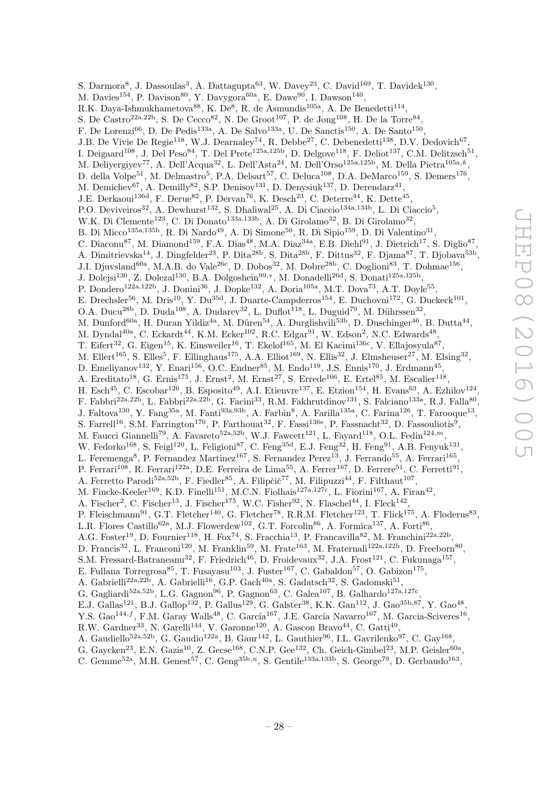S. Darmora<sup>8</sup>, J. Dassoulas<sup>3</sup>, A. Dattagupta<sup>63</sup>, W. Davey<sup>23</sup>, C. David<sup>169</sup>, T. Davidek<sup>130</sup>, M. Davies<sup>154</sup>, P. Davison<sup>80</sup>, Y. Davygora<sup>60a</sup>, E. Dawe<sup>90</sup>, I. Dawson<sup>140</sup>, R.K. Daya-Ishmukhametova $^{88}$ , K. De $^{8}$ , R. de Asmundis<sup>105a</sup>, A. De Benedetti<sup>114</sup>, S. De Castro<sup>22a, 22b</sup>, S. De Cecco<sup>82</sup>, N. De Groot<sup>107</sup>, P. de Jong<sup>108</sup>, H. De la Torre<sup>84</sup>, F. De Lorenzi<sup>66</sup>, D. De Pedis<sup>133a</sup>, A. De Salvo<sup>133a</sup>, U. De Sanctis<sup>150</sup>, A. De Santo<sup>150</sup>, J.B. De Vivie De Regie<sup>118</sup>, W.J. Dearnaley<sup>74</sup>, R. Debbe<sup>27</sup>, C. Debenedetti<sup>138</sup>, D.V. Dedovich<sup>67</sup>, I. Deigaard<sup>108</sup>, J. Del Peso<sup>84</sup>, T. Del Prete<sup>125a,125b</sup>, D. Delgove<sup>118</sup>, F. Deliot<sup>137</sup>, C.M. Delitzsch<sup>51</sup>, M. Deliyergiyev<sup>77</sup>, A. Dell'Acqua<sup>32</sup>, L. Dell'Asta<sup>24</sup>, M. Dell'Orso<sup>125a,125b</sup>, M. Della Pietra<sup>105a,k</sup>, D. della Volpe<sup>51</sup>, M. Delmastro<sup>5</sup>, P.A. Delsart<sup>57</sup>, C. Deluca<sup>108</sup>, D.A. DeMarco<sup>159</sup>, S. Demers<sup>176</sup>, M. Demichev<sup>67</sup>, A. Demilly<sup>82</sup>, S.P. Denisov<sup>131</sup>, D. Denysiuk<sup>137</sup>, D. Derendarz<sup>41</sup>, J.E. Derkaoui<sup>136d</sup>, F. Derue<sup>82</sup>, P. Dervan<sup>76</sup>, K. Desch<sup>23</sup>, C. Deterre<sup>44</sup>, K. Dette<sup>45</sup>, P.O. Deviveiros<sup>32</sup>, A. Dewhurst<sup>132</sup>, S. Dhaliwal<sup>25</sup>, A. Di Ciaccio<sup>134a,134b</sup>, L. Di Ciaccio<sup>5</sup>, W.K. Di Clemente<sup>123</sup>, C. Di Donato<sup>133a,133b</sup>, A. Di Girolamo<sup>32</sup>, B. Di Girolamo<sup>32</sup>, B. Di Micco<sup>135a,135b</sup>, R. Di Nardo<sup>49</sup>, A. Di Simone<sup>50</sup>, R. Di Sipio<sup>159</sup>, D. Di Valentino<sup>31</sup>, C. Diaconu<sup>87</sup>, M. Diamond<sup>159</sup>, F.A. Dias<sup>48</sup>, M.A. Diaz<sup>34a</sup>, E.B. Diehl<sup>91</sup>, J. Dietrich<sup>17</sup>, S. Diglio<sup>87</sup>, A. Dimitrievska<sup>14</sup>, J. Dingfelder<sup>23</sup>, P. Dita<sup>28b</sup>, S. Dita<sup>28b</sup>, F. Dittus<sup>32</sup>, F. Djama<sup>87</sup>, T. Djobava<sup>53b</sup>, J.I. Djuvsland<sup>60a</sup>, M.A.B. do Vale<sup>26c</sup>, D. Dobos<sup>32</sup>, M. Dobre<sup>28b</sup>, C. Doglioni<sup>83</sup>, T. Dohmae<sup>156</sup>, J. Dolejsi<sup>130</sup>, Z. Dolezal<sup>130</sup>, B.A. Dolgoshein<sup>99,\*</sup>, M. Donadelli<sup>26d</sup>, S. Donati<sup>125a,125b</sup>, P. Dondero<sup>122a,122b</sup>, J. Donini<sup>36</sup>, J. Dopke<sup>132</sup>, A. Doria<sup>105a</sup>, M.T. Dova<sup>73</sup>, A.T. Doyle<sup>55</sup>, E. Drechsler<sup>56</sup>, M. Dris<sup>10</sup>, Y. Du<sup>35d</sup>, J. Duarte-Campderros<sup>154</sup>, E. Duchovni<sup>172</sup>, G. Duckeck<sup>101</sup>, O.A. Ducu<sup>28b</sup>, D. Duda<sup>108</sup>, A. Dudarev<sup>32</sup>, L. Duflot<sup>118</sup>, L. Duguid<sup>79</sup>, M. Dührssen<sup>32</sup>, M. Dunford<sup>60a</sup>, H. Duran Yildiz<sup>4a</sup>, M. Düren<sup>54</sup>, A. Durglishvili<sup>53b</sup>, D. Duschinger<sup>46</sup>, B. Dutta<sup>44</sup>, M. Dyndal<sup>40a</sup>, C. Eckardt<sup>44</sup>, K.M. Ecker<sup>102</sup>, R.C. Edgar<sup>91</sup>, W. Edson<sup>2</sup>, N.C. Edwards<sup>48</sup>, T. Eifert<sup>32</sup>, G. Eigen<sup>15</sup>, K. Einsweiler<sup>16</sup>, T. Ekelof<sup>165</sup>, M. El Kacimi<sup>136c</sup>, V. Ellajosyula<sup>87</sup>, M. Ellert<sup>165</sup>, S. Elles<sup>5</sup>, F. Ellinghaus<sup>175</sup>, A.A. Elliot<sup>169</sup>, N. Ellis<sup>32</sup>, J. Elmsheuser<sup>27</sup>, M. Elsing<sup>32</sup>, D. Emeliyanov<sup>132</sup>, Y. Enari<sup>156</sup>, O.C. Endner<sup>85</sup>, M. Endo<sup>119</sup>, J.S. Ennis<sup>170</sup>, J. Erdmann<sup>45</sup>, A. Ereditato<sup>18</sup>, G. Ernis<sup>175</sup>, J. Ernst<sup>2</sup>, M. Ernst<sup>27</sup>, S. Errede<sup>166</sup>, E. Ertel<sup>85</sup>, M. Escalier<sup>118</sup>, H. Esch<sup>45</sup>, C. Escobar<sup>126</sup>, B. Esposito<sup>49</sup>, A.I. Etienvre<sup>137</sup>, E. Etzion<sup>154</sup>, H. Evans<sup>63</sup>, A. Ezhilov<sup>124</sup>, F. Fabbri<sup>22a,22b</sup>, L. Fabbri<sup>22a,22b</sup>, G. Facini<sup>33</sup>, R.M. Fakhrutdinov<sup>131</sup>, S. Falciano<sup>133a</sup>, R.J. Falla<sup>80</sup>, J. Faltova<sup>130</sup>, Y. Fang<sup>35a</sup>, M. Fanti<sup>93a,93b</sup>, A. Farbin<sup>8</sup>, A. Farilla<sup>135a</sup>, C. Farina<sup>126</sup>, T. Farooque<sup>13</sup>, S. Farrell<sup>16</sup>, S.M. Farrington<sup>170</sup>, P. Farthouat<sup>32</sup>, F. Fassi<sup>136e</sup>, P. Fassnacht<sup>32</sup>, D. Fassouliotis<sup>9</sup>, M. Faucci Giannelli<sup>79</sup>, A. Favareto<sup>52a,52b</sup>, W.J. Fawcett<sup>121</sup>, L. Fayard<sup>118</sup>, O.L. Fedin<sup>124,*m*</sup>, W. Fedorko<sup>168</sup>, S. Feigl<sup>120</sup>, L. Feligioni<sup>87</sup>, C. Feng<sup>35d</sup>, E.J. Feng<sup>32</sup>, H. Feng<sup>91</sup>, A.B. Fenyuk<sup>131</sup>, L. Feremenga<sup>8</sup>, P. Fernandez Martinez<sup>167</sup>, S. Fernandez Perez<sup>13</sup>, J. Ferrando<sup>55</sup>, A. Ferrari<sup>165</sup>, P. Ferrari<sup>108</sup>, R. Ferrari<sup>122a</sup>, D.E. Ferreira de Lima<sup>55</sup>, A. Ferrer<sup>167</sup>, D. Ferrere<sup>51</sup>, C. Ferretti<sup>91</sup>, A. Ferretto Parodi<sup>52a,52b</sup>, F. Fiedler<sup>85</sup>, A. Filipčič<sup>77</sup>, M. Filipuzzi<sup>44</sup>, F. Filthaut<sup>107</sup>, M. Fincke-Keeler<sup>169</sup>, K.D. Finelli<sup>151</sup>, M.C.N. Fiolhais<sup>127a,127c</sup>, L. Fiorini<sup>167</sup>, A. Firan<sup>42</sup>, A. Fischer<sup>2</sup>, C. Fischer<sup>13</sup>, J. Fischer<sup>175</sup>, W.C. Fisher<sup>92</sup>, N. Flaschel<sup>44</sup>, I. Fleck<sup>142</sup>, P. Fleischmann<sup>91</sup>, G.T. Fletcher<sup>140</sup>, G. Fletcher<sup>78</sup>, R.R.M. Fletcher<sup>123</sup>, T. Flick<sup>175</sup>, A. Floderus<sup>83</sup>, L.R. Flores Castillo<sup>62a</sup>, M.J. Flowerdew<sup>102</sup>, G.T. Forcolin<sup>86</sup>, A. Formica<sup>137</sup>, A. Forti<sup>86</sup>, A.G. Foster<sup>19</sup>, D. Fournier<sup>118</sup>, H. Fox<sup>74</sup>, S. Fracchia<sup>13</sup>, P. Francavilla<sup>82</sup>, M. Franchini<sup>22a,22b</sup>, D. Francis<sup>32</sup>, L. Franconi<sup>120</sup>, M. Franklin<sup>59</sup>, M. Frate<sup>163</sup>, M. Fraternali<sup>122a,122b</sup>, D. Freeborn<sup>80</sup>, S.M. Fressard-Batraneanu<sup>32</sup>, F. Friedrich<sup>46</sup>, D. Froidevaux<sup>32</sup>, J.A. Frost<sup>121</sup>, C. Fukunaga<sup>157</sup>, E. Fullana Torregrosa<sup>85</sup>, T. Fusayasu<sup>103</sup>, J. Fuster<sup>167</sup>, C. Gabaldon<sup>57</sup>, O. Gabizon<sup>175</sup>, A. Gabrielli<sup>22a,22b</sup>, A. Gabrielli<sup>16</sup>, G.P. Gach<sup>40a</sup>, S. Gadatsch<sup>32</sup>, S. Gadomski<sup>51</sup>, G. Gagliardi<sup>52a,52b</sup>, L.G. Gagnon<sup>96</sup>, P. Gagnon<sup>63</sup>, C. Galea<sup>107</sup>, B. Galhardo<sup>127a,127c</sup>, E.J. Gallas<sup>121</sup>, B.J. Gallop<sup>132</sup>, P. Gallus<sup>129</sup>, G. Galster<sup>38</sup>, K.K. Gan<sup>112</sup>, J. Gao<sup>35b,87</sup>, Y. Gao<sup>48</sup>, Y.S. Gao $^{144,f}$ , F.M. Garay Walls<sup>48</sup>, C. García<sup>167</sup>, J.E. García Navarro<sup>167</sup>, M. Garcia-Sciveres<sup>16</sup>, R.W. Gardner<sup>33</sup>, N. Garelli<sup>144</sup>, V. Garonne<sup>120</sup>, A. Gascon Bravo<sup>44</sup>, C. Gatti<sup>49</sup>, A. Gaudiello<sup>52a,52b</sup>, G. Gaudio<sup>122a</sup>, B. Gaur<sup>142</sup>, L. Gauthier<sup>96</sup>, I.L. Gavrilenko<sup>97</sup>, C. Gay<sup>168</sup>,

G. Gaycken<sup>23</sup>, E.N. Gazis<sup>10</sup>, Z. Gecse<sup>168</sup>, C.N.P. Gee<sup>132</sup>, Ch. Geich-Gimbel<sup>23</sup>, M.P. Geisler<sup>60a</sup>,

C. Gemme<sup>52a</sup>, M.H. Genest<sup>57</sup>, C. Geng<sup>35b,n</sup>, S. Gentile<sup>133a,133b</sup>, S. George<sup>79</sup>, D. Gerbaudo<sup>163</sup>,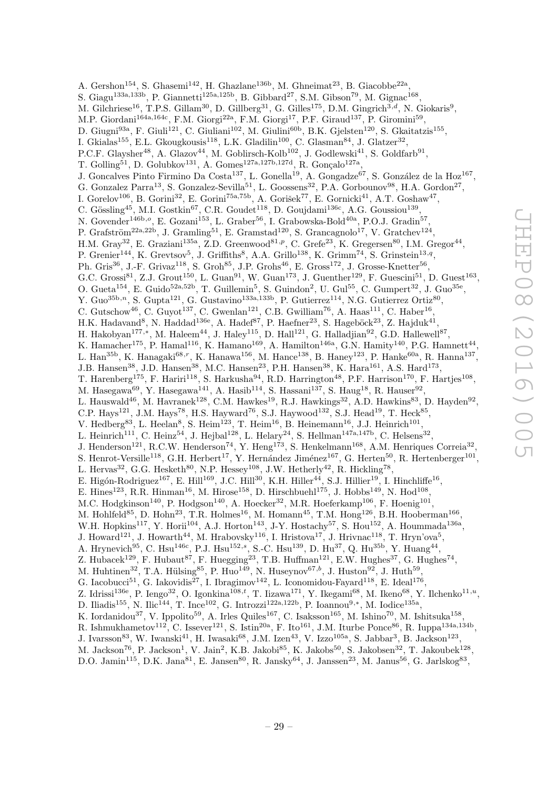A. Gershon<sup>154</sup>, S. Ghasemi<sup>142</sup>, H. Ghazlane<sup>136b</sup>, M. Ghneimat<sup>23</sup>, B. Giacobbe<sup>22a</sup>, S. Giagu<sup>133a,133b</sup>, P. Giannetti<sup>125a,125b</sup>, B. Gibbard<sup>27</sup>, S.M. Gibson<sup>79</sup>, M. Gignac<sup>168</sup>, M. Gilchriese<sup>16</sup>, T.P.S. Gillam<sup>30</sup>, D. Gillberg<sup>31</sup>, G. Gilles<sup>175</sup>, D.M. Gingrich<sup>3,d</sup>, N. Giokaris<sup>9</sup>, M.P. Giordani<sup>164a,164c</sup>, F.M. Giorgi<sup>22a</sup>, F.M. Giorgi<sup>17</sup>, P.F. Giraud<sup>137</sup>, P. Giromini<sup>59</sup>, D. Giugni<sup>93a</sup>, F. Giuli<sup>121</sup>, C. Giuliani<sup>102</sup>, M. Giulini<sup>60b</sup>, B.K. Gjelsten<sup>120</sup>, S. Gkaitatzis<sup>155</sup>, I. Gkialas<sup>155</sup>, E.L. Gkougkousis<sup>118</sup>, L.K. Gladilin<sup>100</sup>, C. Glasman<sup>84</sup>, J. Glatzer<sup>32</sup>, P.C.F. Glaysher<sup>48</sup>, A. Glazov<sup>44</sup>, M. Goblirsch-Kolb<sup>102</sup>, J. Godlewski<sup>41</sup>, S. Goldfarb<sup>91</sup>, T. Golling<sup>51</sup>, D. Golubkov<sup>131</sup>, A. Gomes<sup>127a,127b,127d</sup>, R. Gonçalo<sup>127a</sup>, J. Goncalves Pinto Firmino Da Costa<sup>137</sup>, L. Gonella<sup>19</sup>, A. Gongadze<sup>67</sup>, S. González de la Hoz<sup>167</sup>, G. Gonzalez Parra<sup>13</sup>, S. Gonzalez-Sevilla<sup>51</sup>, L. Goossens<sup>32</sup>, P.A. Gorbounov<sup>98</sup>, H.A. Gordon<sup>27</sup>, I. Gorelov<sup>106</sup>, B. Gorini<sup>32</sup>, E. Gorini<sup>75a,75b</sup>, A. Gorišek<sup>77</sup>, E. Gornicki<sup>41</sup>, A.T. Goshaw<sup>47</sup>, C. Gössling<sup>45</sup>, M.I. Gostkin<sup>67</sup>, C.R. Goudet<sup>118</sup>, D. Goujdami<sup>136c</sup>, A.G. Goussiou<sup>139</sup>, N. Govender<sup>146b,o</sup>, E. Gozani<sup>153</sup>, L. Graber<sup>56</sup>, I. Grabowska-Bold<sup>40a</sup>, P.O.J. Gradin<sup>57</sup>, P. Grafström<sup>22a,22b</sup>, J. Gramling<sup>51</sup>, E. Gramstad<sup>120</sup>, S. Grancagnolo<sup>17</sup>, V. Gratchev<sup>124</sup>, H.M. Gray<sup>32</sup>, E. Graziani<sup>135a</sup>, Z.D. Greenwood<sup>81,p</sup>, C. Grefe<sup>23</sup>, K. Gregersen<sup>80</sup>, I.M. Gregor<sup>44</sup>, P. Grenier<sup>144</sup>, K. Grevtsov<sup>5</sup>, J. Griffiths<sup>8</sup>, A.A. Grillo<sup>138</sup>, K. Grimm<sup>74</sup>, S. Grinstein<sup>13,q</sup>, Ph. Gris<sup>36</sup>, J.-F. Grivaz<sup>118</sup>, S. Groh<sup>85</sup>, J.P. Grohs<sup>46</sup>, E. Gross<sup>172</sup>, J. Grosse-Knetter<sup>56</sup>, G.C. Grossi<sup>81</sup>, Z.J. Grout<sup>150</sup>, L. Guan<sup>91</sup>, W. Guan<sup>173</sup>, J. Guenther<sup>129</sup>, F. Guescini<sup>51</sup>, D. Guest<sup>163</sup>, O. Gueta<sup>154</sup>, E. Guido<sup>52a,52b</sup>, T. Guillemin<sup>5</sup>, S. Guindon<sup>2</sup>, U. Gul<sup>55</sup>, C. Gumpert<sup>32</sup>, J. Guo<sup>35e</sup>, Y. Guo $^{35b,n}$ , S. Gupta<sup>121</sup>, G. Gustavino<sup>133a,133b</sup>, P. Gutierrez<sup>114</sup>, N.G. Gutierrez Ortiz<sup>80</sup>, C. Gutschow<sup>46</sup>, C. Guyot<sup>137</sup>, C. Gwenlan<sup>121</sup>, C.B. Gwilliam<sup>76</sup>, A. Haas<sup>111</sup>, C. Haber<sup>16</sup>, H.K. Hadavand<sup>8</sup>, N. Haddad<sup>136e</sup>, A. Hadef<sup>87</sup>, P. Haefner<sup>23</sup>, S. Hageböck<sup>23</sup>, Z. Hajduk<sup>41</sup>, H. Hakobyan<sup>177,\*</sup>, M. Haleem<sup>44</sup>, J. Haley<sup>115</sup>, D. Hall<sup>121</sup>, G. Halladjian<sup>92</sup>, G.D. Hallewell<sup>87</sup>, K. Hamacher<sup>175</sup>, P. Hamal<sup>116</sup>, K. Hamano<sup>169</sup>, A. Hamilton<sup>146a</sup>, G.N. Hamity<sup>140</sup>, P.G. Hamnett<sup>44</sup>, L. Han<sup>35b</sup>, K. Hanagaki<sup>68,r</sup>, K. Hanawa<sup>156</sup>, M. Hance<sup>138</sup>, B. Haney<sup>123</sup>, P. Hanke<sup>60a</sup>, R. Hanna<sup>137</sup>, J.B. Hansen<sup>38</sup>, J.D. Hansen<sup>38</sup>, M.C. Hansen<sup>23</sup>, P.H. Hansen<sup>38</sup>, K. Hara<sup>161</sup>, A.S. Hard<sup>173</sup>, T. Harenberg<sup>175</sup>, F. Hariri<sup>118</sup>, S. Harkusha<sup>94</sup>, R.D. Harrington<sup>48</sup>, P.F. Harrison<sup>170</sup>, F. Hartjes<sup>108</sup>, M. Hasegawa<sup>69</sup>, Y. Hasegawa<sup>141</sup>, A. Hasib<sup>114</sup>, S. Hassani<sup>137</sup>, S. Haug<sup>18</sup>, R. Hauser<sup>92</sup>, L. Hauswald<sup>46</sup>, M. Havranek<sup>128</sup>, C.M. Hawkes<sup>19</sup>, R.J. Hawkings<sup>32</sup>, A.D. Hawkins<sup>83</sup>, D. Hayden<sup>92</sup>, C.P. Hays<sup>121</sup>, J.M. Hays<sup>78</sup>, H.S. Hayward<sup>76</sup>, S.J. Haywood<sup>132</sup>, S.J. Head<sup>19</sup>, T. Heck<sup>85</sup>, V. Hedberg<sup>83</sup>, L. Heelan<sup>8</sup>, S. Heim<sup>123</sup>, T. Heim<sup>16</sup>, B. Heinemann<sup>16</sup>, J.J. Heinrich<sup>101</sup>, L. Heinrich<sup>111</sup>, C. Heinz<sup>54</sup>, J. Hejbal<sup>128</sup>, L. Helary<sup>24</sup>, S. Hellman<sup>147a,147b</sup>, C. Helsens<sup>32</sup>, J. Henderson<sup>121</sup>, R.C.W. Henderson<sup>74</sup>, Y. Heng<sup>173</sup>, S. Henkelmann<sup>168</sup>, A.M. Henriques Correia<sup>32</sup>, S. Henrot-Versille<sup>118</sup>, G.H. Herbert<sup>17</sup>, Y. Hernández Jiménez<sup>167</sup>, G. Herten<sup>50</sup>, R. Hertenberger<sup>101</sup>, L. Hervas<sup>32</sup>, G.G. Hesketh<sup>80</sup>, N.P. Hessey<sup>108</sup>, J.W. Hetherly<sup>42</sup>, R. Hickling<sup>78</sup>, E. Higón-Rodriguez<sup>167</sup>, E. Hill<sup>169</sup>, J.C. Hill<sup>30</sup>, K.H. Hiller<sup>44</sup>, S.J. Hillier<sup>19</sup>, I. Hinchliffe<sup>16</sup>, E. Hines<sup>123</sup>, R.R. Hinman<sup>16</sup>, M. Hirose<sup>158</sup>, D. Hirschbuehl<sup>175</sup>, J. Hobbs<sup>149</sup>, N. Hod<sup>108</sup>, M.C. Hodgkinson<sup>140</sup>, P. Hodgson<sup>140</sup>, A. Hoecker<sup>32</sup>, M.R. Hoeferkamp<sup>106</sup>, F. Hoenig<sup>101</sup>, M. Hohlfeld<sup>85</sup>, D. Hohn<sup>23</sup>, T.R. Holmes<sup>16</sup>, M. Homann<sup>45</sup>, T.M. Hong<sup>126</sup>, B.H. Hooberman<sup>166</sup>, W.H. Hopkins<sup>117</sup>, Y. Horii<sup>104</sup>, A.J. Horton<sup>143</sup>, J-Y. Hostachy<sup>57</sup>, S. Hou<sup>152</sup>, A. Hoummada<sup>136a</sup>, J. Howard<sup>121</sup>, J. Howarth<sup>44</sup>, M. Hrabovsky<sup>116</sup>, I. Hristova<sup>17</sup>, J. Hrivnac<sup>118</sup>, T. Hryn'ova<sup>5</sup>, A. Hrynevich<sup>95</sup>, C. Hsu<sup>146c</sup>, P.J. Hsu<sup>152,s</sup>, S.-C. Hsu<sup>139</sup>, D. Hu<sup>37</sup>, Q. Hu<sup>35b</sup>, Y. Huang<sup>44</sup>, Z. Hubacek<sup>129</sup>, F. Hubaut<sup>87</sup>, F. Huegging<sup>23</sup>, T.B. Huffman<sup>121</sup>, E.W. Hughes<sup>37</sup>, G. Hughes<sup>74</sup>, M. Huhtinen<sup>32</sup>, T.A. Hülsing<sup>85</sup>, P. Huo<sup>149</sup>, N. Huseynov<sup>67,b</sup>, J. Huston<sup>92</sup>, J. Huth<sup>59</sup>, G. Iacobucci<sup>51</sup>, G. Iakovidis<sup>27</sup>, I. Ibragimov<sup>142</sup>, L. Iconomidou-Fayard<sup>118</sup>, E. Ideal<sup>176</sup>, Z. Idrissi<sup>136e</sup>, P. Iengo<sup>32</sup>, O. Igonkina<sup>108,*t*</sup>, T. Iizawa<sup>171</sup>, Y. Ikegami<sup>68</sup>, M. Ikeno<sup>68</sup>, Y. Ilchenko<sup>11,*u*</sup>, D. Iliadis<sup>155</sup>, N. Ilic<sup>144</sup>, T. Ince<sup>102</sup>, G. Introzzi<sup>122a,122b</sup>, P. Ioannou<sup>9,\*</sup>, M. Iodice<sup>135a</sup>, K. Iordanidou<sup>37</sup>, V. Ippolito<sup>59</sup>, A. Irles Quiles<sup>167</sup>, C. Isaksson<sup>165</sup>, M. Ishino<sup>70</sup>, M. Ishitsuka<sup>158</sup>, R. Ishmukhametov<sup>112</sup>, C. Issever<sup>121</sup>, S. Istin<sup>20a</sup>, F. Ito<sup>161</sup>, J.M. Iturbe Ponce<sup>86</sup>, R. Iuppa<sup>134a,134b</sup>, J. Ivarsson $^{83}$ , W. Iwanski $^{41}$ , H. Iwasaki $^{68}$ , J.M. Izen $^{43}$ , V. Izzo<sup>105a</sup>, S. Jabbar<sup>3</sup>, B. Jackson $^{123}$ , M. Jackson<sup>76</sup>, P. Jackson<sup>1</sup>, V. Jain<sup>2</sup>, K.B. Jakobi<sup>85</sup>, K. Jakobs<sup>50</sup>, S. Jakobsen<sup>32</sup>, T. Jakoubek<sup>128</sup>,

D.O. Jamin<sup>115</sup>, D.K. Jana<sup>81</sup>, E. Jansen<sup>80</sup>, R. Jansky<sup>64</sup>, J. Janssen<sup>23</sup>, M. Janus<sup>56</sup>, G. Jarlskog<sup>83</sup>,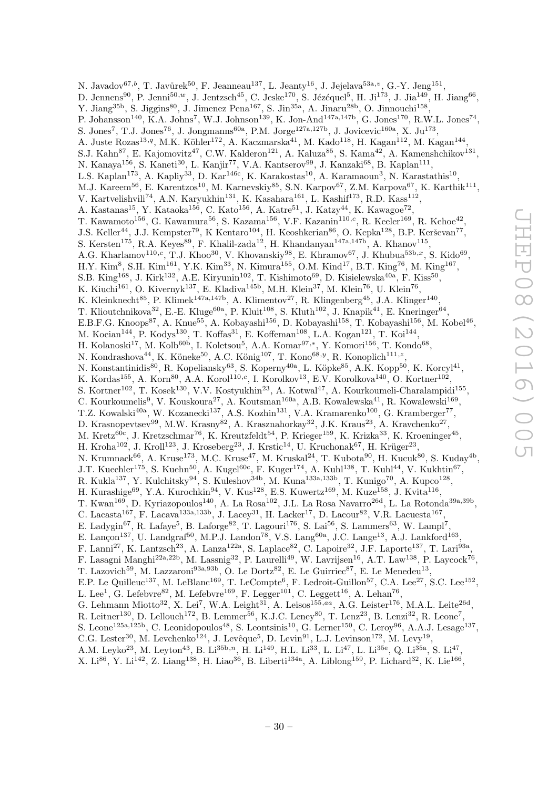N. Javadov $^{67,b}$ , T. Javůrek $^{50}$ , F. Jeanneau $^{137}$ , L. Jeanty $^{16}$ , J. Jejelava $^{53a,v}$ , G.-Y. Jeng $^{151}$ , D. Jennens<sup>90</sup>, P. Jenni<sup>50,w</sup>, J. Jentzsch<sup>45</sup>, C. Jeske<sup>170</sup>, S. Jézéquel<sup>5</sup>, H. Ji<sup>173</sup>, J. Jia<sup>149</sup>, H. Jiang<sup>66</sup>, Y. Jiang<sup>35b</sup>, S. Jiggins<sup>80</sup>, J. Jimenez Pena<sup>167</sup>, S. Jin<sup>35a</sup>, A. Jinaru<sup>28b</sup>, O. Jinnouchi<sup>158</sup>, P. Johansson<sup>140</sup>, K.A. Johns<sup>7</sup>, W.J. Johnson<sup>139</sup>, K. Jon-And<sup>147a,147b</sup>, G. Jones<sup>170</sup>, R.W.L. Jones<sup>74</sup>, S. Jones<sup>7</sup>, T.J. Jones<sup>76</sup>, J. Jongmanns<sup>60a</sup>, P.M. Jorge<sup>127a,127b</sup>, J. Jovicevic<sup>160a</sup>, X. Ju<sup>173</sup>, A. Juste Rozas<sup>13,q</sup>, M.K. Köhler<sup>172</sup>, A. Kaczmarska<sup>41</sup>, M. Kado<sup>118</sup>, H. Kagan<sup>112</sup>, M. Kagan<sup>144</sup>, S.J. Kahn<sup>87</sup>, E. Kajomovitz<sup>47</sup>, C.W. Kalderon<sup>121</sup>, A. Kaluza<sup>85</sup>, S. Kama<sup>42</sup>, A. Kamenshchikov<sup>131</sup>, N. Kanaya<sup>156</sup>, S. Kaneti<sup>30</sup>, L. Kanjir<sup>77</sup>, V.A. Kantserov<sup>99</sup>, J. Kanzaki<sup>68</sup>, B. Kaplan<sup>111</sup>, L.S. Kaplan<sup>173</sup>, A. Kapliy<sup>33</sup>, D. Kar<sup>146c</sup>, K. Karakostas<sup>10</sup>, A. Karamaoun<sup>3</sup>, N. Karastathis<sup>10</sup>, M.J. Kareem<sup>56</sup>, E. Karentzos<sup>10</sup>, M. Karnevskiy<sup>85</sup>, S.N. Karpov<sup>67</sup>, Z.M. Karpova<sup>67</sup>, K. Karthik<sup>111</sup>, V. Kartvelishvili<sup>74</sup>, A.N. Karyukhin<sup>131</sup>, K. Kasahara<sup>161</sup>, L. Kashif<sup>173</sup>, R.D. Kass<sup>112</sup>, A. Kastanas<sup>15</sup>, Y. Kataoka<sup>156</sup>, C. Kato<sup>156</sup>, A. Katre<sup>51</sup>, J. Katzy<sup>44</sup>, K. Kawagoe<sup>72</sup>, T. Kawamoto<sup>156</sup>, G. Kawamura<sup>56</sup>, S. Kazama<sup>156</sup>, V.F. Kazanin<sup>110,c</sup>, R. Keeler<sup>169</sup>, R. Kehoe<sup>42</sup>, J.S. Keller<sup>44</sup>, J.J. Kempster<sup>79</sup>, K Kentaro<sup>104</sup>, H. Keoshkerian<sup>86</sup>, O. Kepka<sup>128</sup>, B.P. Kerševan<sup>77</sup>, S. Kersten<sup>175</sup>, R.A. Keyes<sup>89</sup>, F. Khalil-zada<sup>12</sup>, H. Khandanyan<sup>147a,147b</sup>, A. Khanov<sup>115</sup>, A.G. Kharlamov<sup>110,c</sup>, T.J. Khoo<sup>30</sup>, V. Khovanskiy<sup>98</sup>, E. Khramov<sup>67</sup>, J. Khubua<sup>53b,x</sup>, S. Kido<sup>69</sup>, H.Y. Kim<sup>8</sup>, S.H. Kim<sup>161</sup>, Y.K. Kim<sup>33</sup>, N. Kimura<sup>155</sup>, O.M. Kind<sup>17</sup>, B.T. King<sup>76</sup>, M. King<sup>167</sup>, S.B. King<sup>168</sup>, J. Kirk<sup>132</sup>, A.E. Kiryunin<sup>102</sup>, T. Kishimoto<sup>69</sup>, D. Kisielewska<sup>40a</sup>, F. Kiss<sup>50</sup>, K. Kiuchi<sup>161</sup>, O. Kivernyk<sup>137</sup>, E. Kladiva<sup>145b</sup>, M.H. Klein<sup>37</sup>, M. Klein<sup>76</sup>, U. Klein<sup>76</sup>, K. Kleinknecht<sup>85</sup>, P. Klimek<sup>147a,147b</sup>, A. Klimentov<sup>27</sup>, R. Klingenberg<sup>45</sup>, J.A. Klinger<sup>140</sup>, T. Klioutchnikova<sup>32</sup>, E.-E. Kluge<sup>60a</sup>, P. Kluit<sup>108</sup>, S. Kluth<sup>102</sup>, J. Knapik<sup>41</sup>, E. Kneringer<sup>64</sup>, E.B.F.G. Knoops<sup>87</sup>, A. Knue<sup>55</sup>, A. Kobayashi<sup>156</sup>, D. Kobayashi<sup>158</sup>, T. Kobayashi<sup>156</sup>, M. Kobel<sup>46</sup>, M. Kocian<sup>144</sup>, P. Kodys<sup>130</sup>, T. Koffas<sup>31</sup>, E. Koffeman<sup>108</sup>, L.A. Kogan<sup>121</sup>, T. Koi<sup>144</sup>, H. Kolanoski<sup>17</sup>, M. Kolb<sup>60b</sup>, I. Koletsou<sup>5</sup>, A.A. Komar<sup>97,\*</sup>, Y. Komori<sup>156</sup>, T. Kondo<sup>68</sup>, N. Kondrashova<sup>44</sup>, K. Köneke<sup>50</sup>, A.C. König<sup>107</sup>, T. Kono<sup>68, y</sup>, R. Konoplich<sup>111, z</sup>, N. Konstantinidis<sup>80</sup>, R. Kopeliansky<sup>63</sup>, S. Koperny<sup>40a</sup>, L. Köpke<sup>85</sup>, A.K. Kopp<sup>50</sup>, K. Korcyl<sup>41</sup>, K. Kordas<sup>155</sup>, A. Korn<sup>80</sup>, A.A. Korol<sup>110,c</sup>, I. Korolkov<sup>13</sup>, E.V. Korolkova<sup>140</sup>, O. Kortner<sup>102</sup>, S. Kortner<sup>102</sup>, T. Kosek<sup>130</sup>, V.V. Kostyukhin<sup>23</sup>, A. Kotwal<sup>47</sup>, A. Kourkoumeli-Charalampidi<sup>155</sup>, C. Kourkoumelis<sup>9</sup>, V. Kouskoura<sup>27</sup>, A. Koutsman<sup>160a</sup>, A.B. Kowalewska<sup>41</sup>, R. Kowalewski<sup>169</sup>, T.Z. Kowalski<sup>40a</sup>, W. Kozanecki<sup>137</sup>, A.S. Kozhin<sup>131</sup>, V.A. Kramarenko<sup>100</sup>, G. Kramberger<sup>77</sup>, D. Krasnopevtsev $^{99}$ , M.W. Krasny $^{82}$ , A. Krasznahorkay $^{32}$ , J.K. Kraus $^{23}$ , A. Kravchenko $^{27}$ , M. Kretz<sup>60c</sup>, J. Kretzschmar<sup>76</sup>, K. Kreutzfeldt<sup>54</sup>, P. Krieger<sup>159</sup>, K. Krizka<sup>33</sup>, K. Kroeninger<sup>45</sup>, H. Kroha<sup>102</sup>, J. Kroll<sup>123</sup>, J. Kroseberg<sup>23</sup>, J. Krstic<sup>14</sup>, U. Kruchonak<sup>67</sup>, H. Krüger<sup>23</sup>, N. Krumnack<sup>66</sup>, A. Kruse<sup>173</sup>, M.C. Kruse<sup>47</sup>, M. Kruskal<sup>24</sup>, T. Kubota<sup>90</sup>, H. Kucuk<sup>80</sup>, S. Kuday<sup>4b</sup>, J.T. Kuechler<sup>175</sup>, S. Kuehn<sup>50</sup>, A. Kugel<sup>60c</sup>, F. Kuger<sup>174</sup>, A. Kuhl<sup>138</sup>, T. Kuhl<sup>44</sup>, V. Kukhtin<sup>67</sup>, R. Kukla<sup>137</sup>, Y. Kulchitsky<sup>94</sup>, S. Kuleshov<sup>34b</sup>, M. Kuna<sup>133a,133b</sup>, T. Kunigo<sup>70</sup>, A. Kupco<sup>128</sup>, H. Kurashige $^{69}$ , Y.A. Kurochkin $^{94}$ , V. Kus<sup>128</sup>, E.S. Kuwertz<sup>169</sup>, M. Kuze<sup>158</sup>, J. Kvita<sup>116</sup>, T. Kwan<sup>169</sup>, D. Kyriazopoulos<sup>140</sup>, A. La Rosa<sup>102</sup>, J.L. La Rosa Navarro<sup>26d</sup>, L. La Rotonda<sup>39a,39b</sup>, C. Lacasta<sup>167</sup>, F. Lacava<sup>133a,133b</sup>, J. Lacey<sup>31</sup>, H. Lacker<sup>17</sup>, D. Lacour<sup>82</sup>, V.R. Lacuesta<sup>167</sup>, E. Ladygin<sup>67</sup>, R. Lafaye<sup>5</sup>, B. Laforge<sup>82</sup>, T. Lagouri<sup>176</sup>, S. Lai<sup>56</sup>, S. Lammers<sup>63</sup>, W. Lampl<sup>7</sup>, E. Lançon<sup>137</sup>, U. Landgraf<sup>50</sup>, M.P.J. Landon<sup>78</sup>, V.S. Lang<sup>60a</sup>, J.C. Lange<sup>13</sup>, A.J. Lankford<sup>163</sup>, F. Lanni<sup>27</sup>, K. Lantzsch<sup>23</sup>, A. Lanza<sup>122a</sup>, S. Laplace<sup>82</sup>, C. Lapoire<sup>32</sup>, J.F. Laporte<sup>137</sup>, T. Lari<sup>93a</sup>, F. Lasagni Manghi<sup>22a,22b</sup>, M. Lassnig<sup>32</sup>, P. Laurelli<sup>49</sup>, W. Lavrijsen<sup>16</sup>, A.T. Law<sup>138</sup>, P. Laycock<sup>76</sup>, T. Lazovich<sup>59</sup>, M. Lazzaroni<sup>93a,93b</sup>, O. Le Dortz<sup>82</sup>, E. Le Guirriec<sup>87</sup>, E. Le Menedeu<sup>13</sup>, E.P. Le Quilleuc<sup>137</sup>, M. LeBlanc<sup>169</sup>, T. LeCompte<sup>6</sup>, F. Ledroit-Guillon<sup>57</sup>, C.A. Lee<sup>27</sup>, S.C. Lee<sup>152</sup>, L. Lee<sup>1</sup>, G. Lefebvre<sup>82</sup>, M. Lefebvre<sup>169</sup>, F. Legger<sup>101</sup>, C. Leggett<sup>16</sup>, A. Lehan<sup>76</sup>, G. Lehmann Miotto<sup>32</sup>, X. Lei<sup>7</sup>, W.A. Leight<sup>31</sup>, A. Leisos<sup>155,aa</sup>, A.G. Leister<sup>176</sup>, M.A.L. Leite<sup>26d</sup>, R. Leitner<sup>130</sup>, D. Lellouch<sup>172</sup>, B. Lemmer<sup>56</sup>, K.J.C. Leney<sup>80</sup>, T. Lenz<sup>23</sup>, B. Lenzi<sup>32</sup>, R. Leone<sup>7</sup>, S. Leone<sup>125a,125b</sup>, C. Leonidopoulos<sup>48</sup>, S. Leontsinis<sup>10</sup>, G. Lerner<sup>150</sup>, C. Leroy<sup>96</sup>, A.A.J. Lesage<sup>137</sup>, C.G. Lester<sup>30</sup>, M. Levchenko<sup>124</sup>, J. Levêque<sup>5</sup>, D. Levin<sup>91</sup>, L.J. Levinson<sup>172</sup>, M. Levy<sup>19</sup>,

- 
- A.M. Leyko<sup>23</sup>, M. Leyton<sup>43</sup>, B. Li<sup>35b,n</sup>, H. Li<sup>149</sup>, H.L. Li<sup>33</sup>, L. Li<sup>47</sup>, L. Li<sup>35e</sup>, Q. Li<sup>35a</sup>, S. Li<sup>47</sup>, X. Li<sup>86</sup>, Y. Li<sup>142</sup>, Z. Liang<sup>138</sup>, H. Liao<sup>36</sup>, B. Liberti<sup>134a</sup>, A. Liblong<sup>159</sup>, P. Lichard<sup>32</sup>, K. Lie<sup>166</sup>,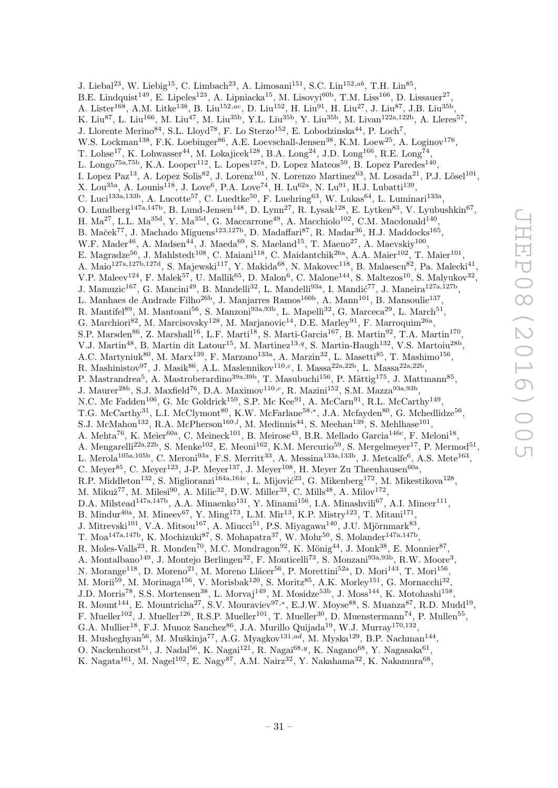J. Liebal<sup>23</sup>, W. Liebig<sup>15</sup>, C. Limbach<sup>23</sup>, A. Limosani<sup>151</sup>, S.C. Lin<sup>152,ab</sup>, T.H. Lin<sup>85</sup>, B.E. Lindquist<sup>149</sup>, E. Lipeles<sup>123</sup>, A. Lipniacka<sup>15</sup>, M. Lisovyi<sup>60b</sup>, T.M. Liss<sup>166</sup>, D. Lissauer<sup>27</sup>, A. Lister<sup>168</sup>, A.M. Litke<sup>138</sup>, B. Liu<sup>152,ac</sup>, D. Liu<sup>152</sup>, H. Liu<sup>91</sup>, H. Liu<sup>27</sup>, J. Liu<sup>87</sup>, J.B. Liu<sup>35b</sup>, K. Liu<sup>87</sup>, L. Liu<sup>166</sup>, M. Liu<sup>47</sup>, M. Liu<sup>35b</sup>, Y.L. Liu<sup>35b</sup>, Y. Liu<sup>35b</sup>, M. Livan<sup>122a,122b</sup>, A. Lleres<sup>57</sup>, J. Llorente Merino<sup>84</sup>, S.L. Lloyd<sup>78</sup>, F. Lo Sterzo<sup>152</sup>, E. Lobodzinska<sup>44</sup>, P. Loch<sup>7</sup>, W.S. Lockman<sup>138</sup>, F.K. Loebinger<sup>86</sup>, A.E. Loevschall-Jensen<sup>38</sup>, K.M. Loew<sup>25</sup>, A. Loginov<sup>176</sup>, T. Lohse<sup>17</sup>, K. Lohwasser<sup>44</sup>, M. Lokajicek<sup>128</sup>, B.A. Long<sup>24</sup>, J.D. Long<sup>166</sup>, R.E. Long<sup>74</sup>, L. Longo<sup>75a,75b</sup>, K.A. Looper<sup>112</sup>, L. Lopes<sup>127a</sup>, D. Lopez Mateos<sup>59</sup>, B. Lopez Paredes<sup>140</sup>, I. Lopez Paz<sup>13</sup>, A. Lopez Solis<sup>82</sup>, J. Lorenz<sup>101</sup>, N. Lorenzo Martinez<sup>63</sup>, M. Losada<sup>21</sup>, P.J. Lösel<sup>101</sup>, X. Lou<sup>35a</sup>, A. Lounis<sup>118</sup>, J. Love<sup>6</sup>, P.A. Love<sup>74</sup>, H. Lu<sup>62a</sup>, N. Lu<sup>91</sup>, H.J. Lubatti<sup>139</sup>, C. Luci<sup>133a,133b</sup>, A. Lucotte<sup>57</sup>, C. Luedtke<sup>50</sup>, F. Luehring<sup>63</sup>, W. Lukas<sup>64</sup>, L. Luminari<sup>133a</sup>, O. Lundberg<sup>147a,147b</sup>, B. Lund-Jensen<sup>148</sup>, D. Lynn<sup>27</sup>, R. Lysak<sup>128</sup>, E. Lytken<sup>83</sup>, V. Lyubushkin<sup>67</sup>, H. Ma<sup>27</sup>, L.L. Ma<sup>35d</sup>, Y. Ma<sup>35d</sup>, G. Maccarrone<sup>49</sup>, A. Macchiolo<sup>102</sup>, C.M. Macdonald<sup>140</sup>, B. Maček<sup>77</sup>, J. Machado Miguens<sup>123,127b</sup>, D. Madaffari<sup>87</sup>, R. Madar<sup>36</sup>, H.J. Maddocks<sup>165</sup>, W.F. Mader<sup>46</sup>, A. Madsen<sup>44</sup>, J. Maeda<sup>69</sup>, S. Maeland<sup>15</sup>, T. Maeno<sup>27</sup>, A. Maevskiy<sup>100</sup>, E. Magradze<sup>56</sup>, J. Mahlstedt<sup>108</sup>, C. Maiani<sup>118</sup>, C. Maidantchik<sup>26a</sup>, A.A. Maier<sup>102</sup>, T. Maier<sup>101</sup>, A. Maio<sup>127a,127b,127d</sup>, S. Majewski<sup>117</sup>, Y. Makida<sup>68</sup>, N. Makovec<sup>118</sup>, B. Malaescu<sup>82</sup>, Pa. Malecki<sup>41</sup>, V.P. Maleev<sup>124</sup>, F. Malek<sup>57</sup>, U. Mallik<sup>65</sup>, D. Malon<sup>6</sup>, C. Malone<sup>144</sup>, S. Maltezos<sup>10</sup>, S. Malyukov<sup>32</sup>, J. Mamuzic<sup>167</sup>, G. Mancini<sup>49</sup>, B. Mandelli<sup>32</sup>, L. Mandelli<sup>93a</sup>, I. Mandić<sup>77</sup>, J. Maneira<sup>127a,127b</sup>, L. Manhaes de Andrade Filho<sup>26b</sup>, J. Manjarres Ramos<sup>160b</sup>, A. Mann<sup>101</sup>, B. Mansoulie<sup>137</sup>, R. Mantifel<sup>89</sup>, M. Mantoani<sup>56</sup>, S. Manzoni<sup>93a,93b</sup>, L. Mapelli<sup>32</sup>, G. Marceca<sup>29</sup>, L. March<sup>51</sup>, G. Marchiori<sup>82</sup>, M. Marcisovsky<sup>128</sup>, M. Marjanovic<sup>14</sup>, D.E. Marley<sup>91</sup>, F. Marroquim<sup>26a</sup>, S.P. Marsden<sup>86</sup>, Z. Marshall<sup>16</sup>, L.F. Marti<sup>18</sup>, S. Marti-Garcia<sup>167</sup>, B. Martin<sup>92</sup>, T.A. Martin<sup>170</sup>, V.J. Martin<sup>48</sup>, B. Martin dit Latour<sup>15</sup>, M. Martinez<sup>13,q</sup>, S. Martin-Haugh<sup>132</sup>, V.S. Martoiu<sup>28b</sup>, A.C. Martyniuk<sup>80</sup>, M. Marx<sup>139</sup>, F. Marzano<sup>133a</sup>, A. Marzin<sup>32</sup>, L. Masetti<sup>85</sup>, T. Mashimo<sup>156</sup>, R. Mashinistov $97$ , J. Masik $^{86}$ , A.L. Maslennikov $^{110,c}$ , I. Massa $^{22a,22b}$ , L. Massa $^{22a,22b}$ , P. Mastrandrea<sup>5</sup>, A. Mastroberardino<sup>39a,39b</sup>, T. Masubuchi<sup>156</sup>, P. Mättig<sup>175</sup>, J. Mattmann<sup>85</sup>, J. Maurer<sup>28b</sup>, S.J. Maxfield<sup>76</sup>, D.A. Maximov<sup>110,c</sup>, R. Mazini<sup>152</sup>, S.M. Mazza<sup>93a,93b</sup>, N.C. Mc Fadden<sup>106</sup>, G. Mc Goldrick<sup>159</sup>, S.P. Mc Kee<sup>91</sup>, A. McCarn<sup>91</sup>, R.L. McCarthy<sup>149</sup>, T.G. McCarthy<sup>31</sup>, L.I. McClymont<sup>80</sup>, K.W. McFarlane<sup>58,\*</sup>, J.A. Mcfayden<sup>80</sup>, G. Mchedlidze<sup>56</sup>, S.J. McMahon<sup>132</sup>, R.A. McPherson<sup>169,*l*</sup>, M. Medinnis<sup>44</sup>, S. Meehan<sup>139</sup>, S. Mehlhase<sup>101</sup>, A. Mehta<sup>76</sup>, K. Meier<sup>60a</sup>, C. Meineck<sup>101</sup>, B. Meirose<sup>43</sup>, B.R. Mellado Garcia<sup>146c</sup>, F. Meloni<sup>18</sup>, A. Mengarelli<sup>22a,22b</sup>, S. Menke<sup>102</sup>, E. Meoni<sup>162</sup>, K.M. Mercurio<sup>59</sup>, S. Mergelmeyer<sup>17</sup>, P. Mermod<sup>51</sup>, L. Merola<sup>105a,105b</sup>, C. Meroni<sup>93a</sup>, F.S. Merritt<sup>33</sup>, A. Messina<sup>133a,133b</sup>, J. Metcalfe<sup>6</sup>, A.S. Mete<sup>163</sup>, C. Meyer<sup>85</sup>, C. Meyer<sup>123</sup>, J-P. Meyer<sup>137</sup>, J. Meyer<sup>108</sup>, H. Meyer Zu Theenhausen<sup>60a</sup>, R.P. Middleton<sup>132</sup>, S. Miglioranzi<sup>164a,164c</sup>, L. Mijović<sup>23</sup>, G. Mikenberg<sup>172</sup>, M. Mikestikova<sup>128</sup>, M. Mikuž $^{77}$ , M. Milesi $^{90}$ , A. Milic $^{32}$ , D.W. Miller $^{33}$ , C. Mills $^{48}$ , A. Milov $^{172}$ , D.A. Milstead<sup>147a,147b</sup>, A.A. Minaenko<sup>131</sup>, Y. Minami<sup>156</sup>, I.A. Minashvili<sup>67</sup>, A.I. Mincer<sup>111</sup>, B. Mindur<sup>40a</sup>, M. Mineev<sup>67</sup>, Y. Ming<sup>173</sup>, L.M. Mir<sup>13</sup>, K.P. Mistry<sup>123</sup>, T. Mitani<sup>171</sup>, J. Mitrevski<sup>101</sup>, V.A. Mitsou<sup>167</sup>, A. Miucci<sup>51</sup>, P.S. Miyagawa<sup>140</sup>, J.U. Mjörnmark<sup>83</sup>, T. Moa<sup>147a,147b</sup>, K. Mochizuki<sup>87</sup>, S. Mohapatra<sup>37</sup>, W. Mohr<sup>50</sup>, S. Molander<sup>147a,147b</sup>, R. Moles-Valls<sup>23</sup>, R. Monden<sup>70</sup>, M.C. Mondragon<sup>92</sup>, K. Mönig<sup>44</sup>, J. Monk<sup>38</sup>, E. Monnier<sup>87</sup>, A. Montalbano<sup>149</sup>, J. Montejo Berlingen<sup>32</sup>, F. Monticelli<sup>73</sup>, S. Monzani<sup>93a,93b</sup>, R.W. Moore<sup>3</sup>, N. Morange<sup>118</sup>, D. Moreno<sup>21</sup>, M. Moreno Llácer<sup>56</sup>, P. Morettini<sup>52a</sup>, D. Mori<sup>143</sup>, T. Mori<sup>156</sup>, M. Morii<sup>59</sup>, M. Morinaga<sup>156</sup>, V. Morisbak<sup>120</sup>, S. Moritz<sup>85</sup>, A.K. Morley<sup>151</sup>, G. Mornacchi<sup>32</sup>, J.D. Morris<sup>78</sup>, S.S. Mortensen<sup>38</sup>, L. Morvaj<sup>149</sup>, M. Mosidze<sup>53b</sup>, J. Moss<sup>144</sup>, K. Motohashi<sup>158</sup>, R. Mount<sup>144</sup>, E. Mountricha<sup>27</sup>, S.V. Mouraviev<sup>97,\*</sup>, E.J.W. Moyse<sup>88</sup>, S. Muanza<sup>87</sup>, R.D. Mudd<sup>19</sup>, F. Mueller<sup>102</sup>, J. Mueller<sup>126</sup>, R.S.P. Mueller<sup>101</sup>, T. Mueller<sup>30</sup>, D. Muenstermann<sup>74</sup>, P. Mullen<sup>55</sup>, G.A. Mullier<sup>18</sup>, F.J. Munoz Sanchez<sup>86</sup>, J.A. Murillo Quijada<sup>19</sup>, W.J. Murray<sup>170,132</sup>, H. Musheghyan<sup>56</sup>, M. Muškinja<sup>77</sup>, A.G. Myagkov<sup>131,ad</sup>, M. Myska<sup>129</sup>, B.P. Nachman<sup>144</sup>, O. Nackenhorst<sup>51</sup>, J. Nadal<sup>56</sup>, K. Nagai<sup>121</sup>, R. Nagai<sup>68, y</sup>, K. Nagano<sup>68</sup>, Y. Nagasaka<sup>61</sup>,

K. Nagata<sup>161</sup>, M. Nagel<sup>102</sup>, E. Nagy<sup>87</sup>, A.M. Nairz<sup>32</sup>, Y. Nakahama<sup>32</sup>, K. Nakamura<sup>68</sup>,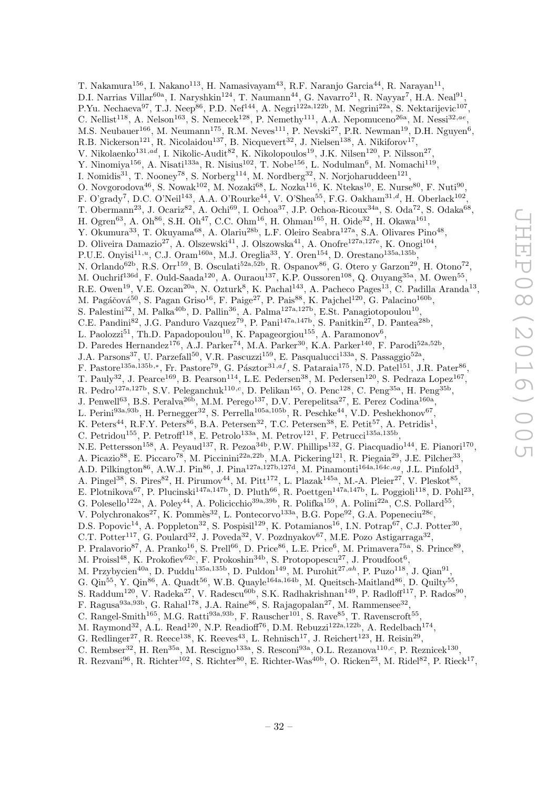T. Nakamura<sup>156</sup>, I. Nakano<sup>113</sup>, H. Namasivayam<sup>43</sup>, R.F. Naranjo Garcia<sup>44</sup>, R. Narayan<sup>11</sup>, D.I. Narrias Villar $^{60a}$ , I. Naryshkin $^{124}$ , T. Naumann $^{44}$ , G. Navarro $^{21}$ , R. Nayyar<sup>7</sup>, H.A. Neal $^{91}$ , P.Yu. Nechaeva<sup>97</sup>, T.J. Neep<sup>86</sup>, P.D. Nef<sup>144</sup>, A. Negri<sup>122a,122b</sup>, M. Negrini<sup>22a</sup>, S. Nektarijevic<sup>107</sup>, C. Nellist<sup>118</sup>, A. Nelson<sup>163</sup>, S. Nemecek<sup>128</sup>, P. Nemethy<sup>111</sup>, A.A. Nepomuceno<sup>26a</sup>, M. Nessi<sup>32,ae</sup>, M.S. Neubauer<sup>166</sup>, M. Neumann<sup>175</sup>, R.M. Neves<sup>111</sup>, P. Nevski<sup>27</sup>, P.R. Newman<sup>19</sup>, D.H. Nguyen<sup>6</sup>, R.B. Nickerson<sup>121</sup>, R. Nicolaidou<sup>137</sup>, B. Nicquevert<sup>32</sup>, J. Nielsen<sup>138</sup>, A. Nikiforov<sup>17</sup>, V. Nikolaenko<sup>131,ad</sup>, I. Nikolic-Audit<sup>82</sup>, K. Nikolopoulos<sup>19</sup>, J.K. Nilsen<sup>120</sup>, P. Nilsson<sup>27</sup>, Y. Ninomiya<sup>156</sup>, A. Nisati<sup>133a</sup>, R. Nisius<sup>102</sup>, T. Nobe<sup>156</sup>, L. Nodulman<sup>6</sup>, M. Nomachi<sup>119</sup>, I. Nomidis<sup>31</sup>, T. Nooney<sup>78</sup>, S. Norberg<sup>114</sup>, M. Nordberg<sup>32</sup>, N. Norjoharuddeen<sup>121</sup>, O. Novgorodova $^{46}$ , S. Nowak<sup>102</sup>, M. Nozaki $^{68}$ , L. Nozka $^{116}$ , K. Ntekas $^{10}$ , E. Nurse $^{80}$ , F. Nuti $^{90}$ , F. O'grady<sup>7</sup>, D.C. O'Neil<sup>143</sup>, A.A. O'Rourke<sup>44</sup>, V. O'Shea<sup>55</sup>, F.G. Oakham<sup>31,d</sup>, H. Oberlack<sup>102</sup>, T. Obermann<sup>23</sup>, J. Ocariz<sup>82</sup>, A. Ochi<sup>69</sup>, I. Ochoa<sup>37</sup>, J.P. Ochoa-Ricoux<sup>34a</sup>, S. Oda<sup>72</sup>, S. Odaka<sup>68</sup>, H. Ogren<sup>63</sup>, A. Oh<sup>86</sup>, S.H. Oh<sup>47</sup>, C.C. Ohm<sup>16</sup>, H. Ohman<sup>165</sup>, H. Oide<sup>32</sup>, H. Okawa<sup>161</sup>, Y. Okumura<sup>33</sup>, T. Okuyama<sup>68</sup>, A. Olariu<sup>28b</sup>, L.F. Oleiro Seabra<sup>127a</sup>, S.A. Olivares Pino<sup>48</sup>, D. Oliveira Damazio<sup>27</sup>, A. Olszewski<sup>41</sup>, J. Olszowska<sup>41</sup>, A. Onofre<sup>127a,127e</sup>, K. Onogi<sup>104</sup>, P.U.E. Onyisi<sup>11,*u*</sup>, C.J. Oram<sup>160a</sup>, M.J. Oreglia<sup>33</sup>, Y. Oren<sup>154</sup>, D. Orestano<sup>135a,135b</sup>, N. Orlando<sup>62b</sup>, R.S. Orr<sup>159</sup>, B. Osculati<sup>52a,52b</sup>, R. Ospanov<sup>86</sup>, G. Otero y Garzon<sup>29</sup>, H. Otono<sup>72</sup>, M. Ouchrif<sup>136d</sup>, F. Ould-Saada<sup>120</sup>, A. Ouraou<sup>137</sup>, K.P. Oussoren<sup>108</sup>, Q. Ouyang<sup>35a</sup>, M. Owen<sup>55</sup>, R.E. Owen<sup>19</sup>, V.E. Ozcan<sup>20a</sup>, N. Ozturk<sup>8</sup>, K. Pachal<sup>143</sup>, A. Pacheco Pages<sup>13</sup>, C. Padilla Aranda<sup>13</sup>, M. Pagáčová<sup>50</sup>, S. Pagan Griso<sup>16</sup>, F. Paige<sup>27</sup>, P. Pais<sup>88</sup>, K. Pajchel<sup>120</sup>, G. Palacino<sup>160b</sup>, S. Palestini<sup>32</sup>, M. Palka<sup>40b</sup>, D. Pallin<sup>36</sup>, A. Palma<sup>127a,127b</sup>, E.St. Panagiotopoulou<sup>10</sup>, C.E. Pandini<sup>82</sup>, J.G. Panduro Vazquez<sup>79</sup>, P. Pani<sup>147a,147b</sup>, S. Panitkin<sup>27</sup>, D. Pantea<sup>28b</sup>, L. Paolozzi<sup>51</sup>, Th.D. Papadopoulou<sup>10</sup>, K. Papageorgiou<sup>155</sup>, A. Paramonov<sup>6</sup>, D. Paredes Hernandez<sup>176</sup>, A.J. Parker<sup>74</sup>, M.A. Parker<sup>30</sup>, K.A. Parker<sup>140</sup>, F. Parodi<sup>52a,52b</sup>, J.A. Parsons<sup>37</sup>, U. Parzefall<sup>50</sup>, V.R. Pascuzzi<sup>159</sup>, E. Pasqualucci<sup>133a</sup>, S. Passaggio<sup>52a</sup>, F. Pastore<sup>135a,135b,\*</sup>, Fr. Pastore<sup>79</sup>, G. Pásztor<sup>31,af</sup>, S. Pataraia<sup>175</sup>, N.D. Patel<sup>151</sup>, J.R. Pater<sup>86</sup>, T. Pauly<sup>32</sup>, J. Pearce<sup>169</sup>, B. Pearson<sup>114</sup>, L.E. Pedersen<sup>38</sup>, M. Pedersen<sup>120</sup>, S. Pedraza Lopez<sup>167</sup>, R. Pedro<sup>127a,127b</sup>, S.V. Peleganchuk<sup>110,c</sup>, D. Pelikan<sup>165</sup>, O. Penc<sup>128</sup>, C. Peng<sup>35a</sup>, H. Peng<sup>35b</sup>, J. Penwell<sup>63</sup>, B.S. Peralva<sup>26b</sup>, M.M. Perego<sup>137</sup>, D.V. Perepelitsa<sup>27</sup>, E. Perez Codina<sup>160a</sup>, L. Perini<sup>93a,93b</sup>, H. Pernegger<sup>32</sup>, S. Perrella<sup>105a,105b</sup>, R. Peschke<sup>44</sup>, V.D. Peshekhonov<sup>67</sup>, K. Peters<sup>44</sup>, R.F.Y. Peters<sup>86</sup>, B.A. Petersen<sup>32</sup>, T.C. Petersen<sup>38</sup>, E. Petit<sup>57</sup>, A. Petridis<sup>1</sup>, C. Petridou<sup>155</sup>, P. Petroff<sup>118</sup>, E. Petrolo<sup>133a</sup>, M. Petrov<sup>121</sup>, F. Petrucci<sup>135a,135b</sup>, N.E. Pettersson<sup>158</sup>, A. Peyaud<sup>137</sup>, R. Pezoa<sup>34b</sup>, P.W. Phillips<sup>132</sup>, G. Piacquadio<sup>144</sup>, E. Pianori<sup>170</sup>, A. Picazio<sup>88</sup>, E. Piccaro<sup>78</sup>, M. Piccinini<sup>22a,22b</sup>, M.A. Pickering<sup>121</sup>, R. Piegaia<sup>29</sup>, J.E. Pilcher<sup>33</sup>, A.D. Pilkington<sup>86</sup>, A.W.J. Pin<sup>86</sup>, J. Pina<sup>127a,127b,127d</sup>, M. Pinamonti<sup>164a,164c,ag</sup>, J.L. Pinfold<sup>3</sup>, A. Pingel<sup>38</sup>, S. Pires<sup>82</sup>, H. Pirumov<sup>44</sup>, M. Pitt<sup>172</sup>, L. Plazak<sup>145a</sup>, M.-A. Pleier<sup>27</sup>, V. Pleskot<sup>85</sup>, E. Plotnikova<sup>67</sup>, P. Plucinski<sup>147a,147b</sup>, D. Pluth<sup>66</sup>, R. Poettgen<sup>147a,147b</sup>, L. Poggioli<sup>118</sup>, D. Pohl<sup>23</sup>, G. Polesello<sup>122a</sup>, A. Poley<sup>44</sup>, A. Policicchio<sup>39a,39b</sup>, R. Polifka<sup>159</sup>, A. Polini<sup>22a</sup>, C.S. Pollard<sup>55</sup>, V. Polychronakos<sup>27</sup>, K. Pommès<sup>32</sup>, L. Pontecorvo<sup>133a</sup>, B.G. Pope<sup>92</sup>, G.A. Popeneciu<sup>28c</sup>, D.S. Popovic<sup>14</sup>, A. Poppleton<sup>32</sup>, S. Pospisil<sup>129</sup>, K. Potamianos<sup>16</sup>, I.N. Potrap<sup>67</sup>, C.J. Potter<sup>30</sup>, C.T. Potter<sup>117</sup>, G. Poulard<sup>32</sup>, J. Poveda<sup>32</sup>, V. Pozdnyakov<sup>67</sup>, M.E. Pozo Astigarraga<sup>32</sup>, P. Pralavorio<sup>87</sup>, A. Pranko<sup>16</sup>, S. Prell<sup>66</sup>, D. Price<sup>86</sup>, L.E. Price<sup>6</sup>, M. Primavera<sup>75a</sup>, S. Prince<sup>89</sup>, M. Proissl<sup>48</sup>, K. Prokofiev<sup>62c</sup>, F. Prokoshin<sup>34b</sup>, S. Protopopescu<sup>27</sup>, J. Proudfoot<sup>6</sup>, M. Przybycien<sup>40a</sup>, D. Puddu<sup>135a,135b</sup>, D. Puldon<sup>149</sup>, M. Purohit<sup>27,ah</sup>, P. Puzo<sup>118</sup>, J. Qian<sup>91</sup>, G. Qin<sup>55</sup>, Y. Qin<sup>86</sup>, A. Quadt<sup>56</sup>, W.B. Quayle<sup>164a,164b</sup>, M. Queitsch-Maitland<sup>86</sup>, D. Quilty<sup>55</sup>, S. Raddum<sup>120</sup>, V. Radeka<sup>27</sup>, V. Radescu<sup>60b</sup>, S.K. Radhakrishnan<sup>149</sup>, P. Radloff<sup>117</sup>, P. Rados<sup>90</sup>, F. Ragusa<sup>93a,93b</sup>, G. Rahal<sup>178</sup>, J.A. Raine<sup>86</sup>, S. Rajagopalan<sup>27</sup>, M. Rammensee<sup>32</sup>, C. Rangel-Smith<sup>165</sup>, M.G. Ratti<sup>93a,93b</sup>, F. Rauscher<sup>101</sup>, S. Rave<sup>85</sup>, T. Ravenscroft<sup>55</sup>, M. Raymond<sup>32</sup>, A.L. Read<sup>120</sup>, N.P. Readioff<sup>76</sup>, D.M. Rebuzzi<sup>122a,122b</sup>, A. Redelbach<sup>174</sup>,

- G. Redlinger<sup>27</sup>, R. Reece<sup>138</sup>, K. Reeves<sup>43</sup>, L. Rehnisch<sup>17</sup>, J. Reichert<sup>123</sup>, H. Reisin<sup>29</sup>,
- C. Rembser<sup>32</sup>, H. Ren<sup>35a</sup>, M. Rescigno<sup>133a</sup>, S. Resconi<sup>93a</sup>, O.L. Rezanova<sup>110,c</sup>, P. Reznicek<sup>130</sup>,
- R. Rezvani<sup>96</sup>, R. Richter<sup>102</sup>, S. Richter<sup>80</sup>, E. Richter-Was<sup>40b</sup>, O. Ricken<sup>23</sup>, M. Ridel<sup>82</sup>, P. Rieck<sup>17</sup>,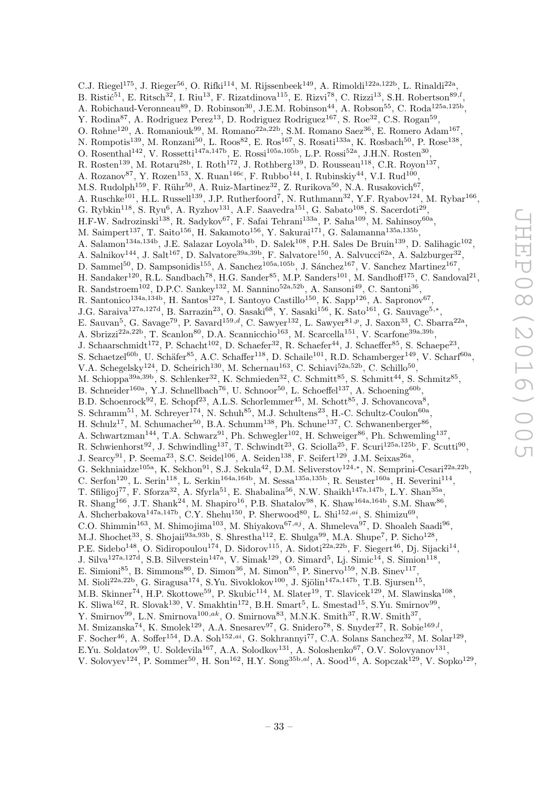C.J. Riegel<sup>175</sup>, J. Rieger<sup>56</sup>, O. Rifki<sup>114</sup>, M. Rijssenbeek<sup>149</sup>, A. Rimoldi<sup>122a,122b</sup>, L. Rinaldi<sup>22a</sup>, B. Risti $\zeta^{51}$ , E. Ritsch<sup>32</sup>, I. Riu<sup>13</sup>, F. Rizatdinova<sup>115</sup>, E. Rizvi<sup>78</sup>, C. Rizzi<sup>13</sup>, S.H. Robertson<sup>89,*l*</sup>, A. Robichaud-Veronneau<sup>89</sup>, D. Robinson<sup>30</sup>, J.E.M. Robinson<sup>44</sup>, A. Robson<sup>55</sup>, C. Roda<sup>125a,125b</sup>, Y. Rodina<sup>87</sup>, A. Rodriguez Perez<sup>13</sup>, D. Rodriguez Rodriguez<sup>167</sup>, S. Roe<sup>32</sup>, C.S. Rogan<sup>59</sup>, O. Røhne<sup>120</sup>, A. Romaniouk<sup>99</sup>, M. Romano<sup>22a, 22b</sup>, S.M. Romano Saez<sup>36</sup>, E. Romero Adam<sup>167</sup>, N. Rompotis<sup>139</sup>, M. Ronzani<sup>50</sup>, L. Roos<sup>82</sup>, E. Ros<sup>167</sup>, S. Rosati<sup>133a</sup>, K. Rosbach<sup>50</sup>, P. Rose<sup>138</sup>, O. Rosenthal<sup>142</sup>, V. Rossetti<sup>147a,147b</sup>, E. Rossi<sup>105a,105b</sup>, L.P. Rossi<sup>52a</sup>, J.H.N. Rosten<sup>30</sup>, R. Rosten<sup>139</sup>, M. Rotaru<sup>28b</sup>, I. Roth<sup>172</sup>, J. Rothberg<sup>139</sup>, D. Rousseau<sup>118</sup>, C.R. Royon<sup>137</sup>, A. Rozanov $^{87}$ , Y. Rozen $^{153}$ , X. Ruan $^{146c}$ , F. Rubbo<sup>144</sup>, I. Rubinskiy $^{44}$ , V.I. Rud $^{100}$ , M.S. Rudolph<sup>159</sup>, F. Rühr<sup>50</sup>, A. Ruiz-Martinez<sup>32</sup>, Z. Rurikova<sup>50</sup>, N.A. Rusakovich<sup>67</sup>, A. Ruschke<sup>101</sup>, H.L. Russell<sup>139</sup>, J.P. Rutherfoord<sup>7</sup>, N. Ruthmann<sup>32</sup>, Y.F. Ryabov<sup>124</sup>, M. Rybar<sup>166</sup>, G. Rybkin<sup>118</sup>, S. Ryu<sup>6</sup>, A. Ryzhov<sup>131</sup>, A.F. Saavedra<sup>151</sup>, G. Sabato<sup>108</sup>, S. Sacerdoti<sup>29</sup>, H.F-W. Sadrozinski<sup>138</sup>, R. Sadykov<sup>67</sup>, F. Safai Tehrani<sup>133a</sup>, P. Saha<sup>109</sup>, M. Sahinsoy<sup>60a</sup>, M. Saimpert<sup>137</sup>, T. Saito<sup>156</sup>, H. Sakamoto<sup>156</sup>, Y. Sakurai<sup>171</sup>, G. Salamanna<sup>135a,135b</sup>, A. Salamon<sup>134a,134b</sup>, J.E. Salazar Loyola<sup>34b</sup>, D. Salek<sup>108</sup>, P.H. Sales De Bruin<sup>139</sup>, D. Salihagic<sup>102</sup>, A. Salnikov<sup>144</sup>, J. Salt<sup>167</sup>, D. Salvatore<sup>39a,39b</sup>, F. Salvatore<sup>150</sup>, A. Salvucci<sup>62a</sup>, A. Salzburger<sup>32</sup>, D. Sammel<sup>50</sup>, D. Sampsonidis<sup>155</sup>, A. Sanchez<sup>105a,105b</sup>, J. Sánchez<sup>167</sup>, V. Sanchez Martinez<sup>167</sup>, H. Sandaker<sup>120</sup>, R.L. Sandbach<sup>78</sup>, H.G. Sander<sup>85</sup>, M.P. Sanders<sup>101</sup>, M. Sandhoff<sup>175</sup>, C. Sandoval<sup>21</sup>, R. Sandstroem<sup>102</sup>, D.P.C. Sankey<sup>132</sup>, M. Sannino<sup>52a,52b</sup>, A. Sansoni<sup>49</sup>, C. Santoni<sup>36</sup>, R. Santonico<sup>134a,134b</sup>, H. Santos<sup>127a</sup>, I. Santoyo Castillo<sup>150</sup>, K. Sapp<sup>126</sup>, A. Sapronov<sup>67</sup>, J.G. Saraiva<sup>127a,127d</sup>, B. Sarrazin<sup>23</sup>, O. Sasaki<sup>68</sup>, Y. Sasaki<sup>156</sup>, K. Sato<sup>161</sup>, G. Sauvage<sup>5,\*</sup>, E. Sauvan<sup>5</sup>, G. Savage<sup>79</sup>, P. Savard<sup>159,d</sup>, C. Sawyer<sup>132</sup>, L. Sawyer<sup>81,p</sup>, J. Saxon<sup>33</sup>, C. Sbarra<sup>22a</sup>, A. Sbrizzi<sup>22a,22b</sup>, T. Scanlon<sup>80</sup>, D.A. Scannicchio<sup>163</sup>, M. Scarcella<sup>151</sup>, V. Scarfone<sup>39a,39b</sup>, J. Schaarschmidt<sup>172</sup>, P. Schacht<sup>102</sup>, D. Schaefer<sup>32</sup>, R. Schaefer<sup>44</sup>, J. Schaeffer<sup>85</sup>, S. Schaepe<sup>23</sup>, S. Schaetzel<sup>60b</sup>, U. Schäfer<sup>85</sup>, A.C. Schaffer<sup>118</sup>, D. Schaile<sup>101</sup>, R.D. Schamberger<sup>149</sup>, V. Scharf<sup>60a</sup>, V.A. Schegelsky<sup>124</sup>, D. Scheirich<sup>130</sup>, M. Schernau<sup>163</sup>, C. Schiavi<sup>52a,52b</sup>, C. Schillo<sup>50</sup>, M. Schioppa<sup>39a,39b</sup>, S. Schlenker<sup>32</sup>, K. Schmieden<sup>32</sup>, C. Schmitt<sup>85</sup>, S. Schmitt<sup>44</sup>, S. Schmitz<sup>85</sup>, B. Schneider<sup>160a</sup>, Y.J. Schnellbach<sup>76</sup>, U. Schnoor<sup>50</sup>, L. Schoeffel<sup>137</sup>, A. Schoening<sup>60b</sup>, B.D. Schoenrock<sup>92</sup>, E. Schopf<sup>23</sup>, A.L.S. Schorlemmer<sup>45</sup>, M. Schott<sup>85</sup>, J. Schovancova<sup>8</sup>, S. Schramm<sup>51</sup>, M. Schreyer<sup>174</sup>, N. Schuh<sup>85</sup>, M.J. Schultens<sup>23</sup>, H.-C. Schultz-Coulon<sup>60a</sup>, H. Schulz<sup>17</sup>, M. Schumacher<sup>50</sup>, B.A. Schumm<sup>138</sup>, Ph. Schune<sup>137</sup>, C. Schwanenberger<sup>86</sup>, A. Schwartzman<sup>144</sup>, T.A. Schwarz<sup>91</sup>, Ph. Schwegler<sup>102</sup>, H. Schweiger<sup>86</sup>, Ph. Schwemling<sup>137</sup>, R. Schwienhorst<sup>92</sup>, J. Schwindling<sup>137</sup>, T. Schwindt<sup>23</sup>, G. Sciolla<sup>25</sup>, F. Scuri<sup>125a,125b</sup>, F. Scutti<sup>90</sup>, J. Searcy<sup>91</sup>, P. Seema<sup>23</sup>, S.C. Seidel<sup>106</sup>, A. Seiden<sup>138</sup>, F. Seifert<sup>129</sup>, J.M. Seixas<sup>26a</sup>, G. Sekhniaidze<sup>105a</sup>, K. Sekhon<sup>91</sup>, S.J. Sekula<sup>42</sup>, D.M. Seliverstov<sup>124,\*</sup>, N. Semprini-Cesari<sup>22a,22b</sup>, C. Serfon<sup>120</sup>, L. Serin<sup>118</sup>, L. Serkin<sup>164a,164b</sup>, M. Sessa<sup>135a,135b</sup>, R. Seuster<sup>160a</sup>, H. Severini<sup>114</sup>, T. Sfiligoj<sup>77</sup>, F. Sforza<sup>32</sup>, A. Sfyrla<sup>51</sup>, E. Shabalina<sup>56</sup>, N.W. Shaikh<sup>147a,147b</sup>, L.Y. Shan<sup>35a</sup>, R. Shang<sup>166</sup>, J.T. Shank<sup>24</sup>, M. Shapiro<sup>16</sup>, P.B. Shatalov<sup>98</sup>, K. Shaw<sup>164a,164b</sup>, S.M. Shaw<sup>86</sup>, A. Shcherbakova<sup>147a,147b</sup>, C.Y. Shehu<sup>150</sup>, P. Sherwood<sup>80</sup>, L. Shi<sup>152,ai</sup>, S. Shimizu<sup>69</sup>, C.O. Shimmin<sup>163</sup>, M. Shimojima<sup>103</sup>, M. Shiyakova<sup>67,aj</sup>, A. Shmeleva<sup>97</sup>, D. Shoaleh Saadi<sup>96</sup>, M.J. Shochet<sup>33</sup>, S. Shojaii<sup>93a,93b</sup>, S. Shrestha<sup>112</sup>, E. Shulga<sup>99</sup>, M.A. Shupe<sup>7</sup>, P. Sicho<sup>128</sup>, P.E. Sidebo<sup>148</sup>, O. Sidiropoulou<sup>174</sup>, D. Sidorov<sup>115</sup>, A. Sidoti<sup>22a,22b</sup>, F. Siegert<sup>46</sup>, Dj. Sijacki<sup>14</sup>, J. Silva<sup>127a,127d</sup>, S.B. Silverstein<sup>147a</sup>, V. Simak<sup>129</sup>, O. Simard<sup>5</sup>, Lj. Simic<sup>14</sup>, S. Simion<sup>118</sup>, E. Simioni<sup>85</sup>, B. Simmons<sup>80</sup>, D. Simon<sup>36</sup>, M. Simon<sup>85</sup>, P. Sinervo<sup>159</sup>, N.B. Sinev<sup>117</sup>, M. Sioli $^{22a,22b}$ , G. Siragusa $^{174}$ , S.Yu. Sivoklokov $^{100}$ , J. Sjölin $^{147a,147b}$ , T.B. Sjursen $^{15}$ , M.B. Skinner<sup>74</sup>, H.P. Skottowe<sup>59</sup>, P. Skubic<sup>114</sup>, M. Slater<sup>19</sup>, T. Slavicek<sup>129</sup>, M. Slawinska<sup>108</sup>, K. Sliwa<sup>162</sup>, R. Slovak<sup>130</sup>, V. Smakhtin<sup>172</sup>, B.H. Smart<sup>5</sup>, L. Smestad<sup>15</sup>, S.Yu. Smirnov<sup>99</sup>, Y. Smirnov<sup>99</sup>, L.N. Smirnova<sup>100,ak</sup>, O. Smirnova<sup>83</sup>, M.N.K. Smith<sup>37</sup>, R.W. Smith<sup>37</sup>, M. Smizanska<sup>74</sup>, K. Smolek<sup>129</sup>, A.A. Snesarev<sup>97</sup>, G. Snidero<sup>78</sup>, S. Snyder<sup>27</sup>, R. Sobie<sup>169,*l*</sup>, F. Socher<sup>46</sup>, A. Soffer<sup>154</sup>, D.A. Soh<sup>152,ai</sup>, G. Sokhrannyi<sup>77</sup>, C.A. Solans Sanchez<sup>32</sup>, M. Solar<sup>129</sup>, E.Yu. Soldatov<sup>99</sup>, U. Soldevila<sup>167</sup>, A.A. Solodkov<sup>131</sup>, A. Soloshenko<sup>67</sup>, O.V. Solovyanov<sup>131</sup>,

V. Solovyev<sup>124</sup>, P. Sommer<sup>50</sup>, H. Son<sup>162</sup>, H.Y. Song<sup>35b,al</sup>, A. Sood<sup>16</sup>, A. Sopczak<sup>129</sup>, V. Sopko<sup>129</sup>,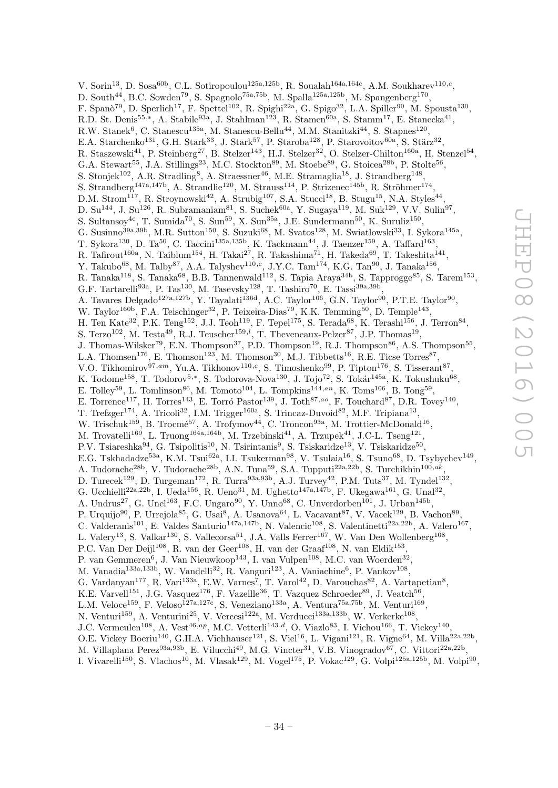V. Sorin<sup>13</sup>, D. Sosa<sup>60b</sup>, C.L. Sotiropoulou<sup>125a,125b</sup>, R. Soualah<sup>164a,164c</sup>, A.M. Soukharev<sup>110,c</sup>, D. South<sup>44</sup>, B.C. Sowden<sup>79</sup>, S. Spagnolo<sup>75a,75b</sup>, M. Spalla<sup>125a,125b</sup>, M. Spangenberg<sup>170</sup>, F. Spanò<sup>79</sup>, D. Sperlich<sup>17</sup>, F. Spettel<sup>102</sup>, R. Spighi<sup>22a</sup>, G. Spigo<sup>32</sup>, L.A. Spiller<sup>90</sup>, M. Spousta<sup>130</sup>, R.D. St. Denis<sup>55,\*</sup>, A. Stabile<sup>93a</sup>, J. Stahlman<sup>123</sup>, R. Stamen<sup>60a</sup>, S. Stamm<sup>17</sup>, E. Stanecka<sup>41</sup>, R.W. Stanek<sup>6</sup>, C. Stanescu<sup>135a</sup>, M. Stanescu-Bellu<sup>44</sup>, M.M. Stanitzki<sup>44</sup>, S. Stapnes<sup>120</sup>, E.A. Starchenko<sup>131</sup>, G.H. Stark<sup>33</sup>, J. Stark<sup>57</sup>, P. Staroba<sup>128</sup>, P. Starovoitov<sup>60a</sup>, S. Stärz<sup>32</sup>, R. Staszewski<sup>41</sup>, P. Steinberg<sup>27</sup>, B. Stelzer<sup>143</sup>, H.J. Stelzer<sup>32</sup>, O. Stelzer-Chilton<sup>160a</sup>, H. Stenzel<sup>54</sup>, G.A. Stewart<sup>55</sup>, J.A. Stillings<sup>23</sup>, M.C. Stockton<sup>89</sup>, M. Stoebe<sup>89</sup>, G. Stoicea<sup>28b</sup>, P. Stolte<sup>56</sup>, S. Stonjek<sup>102</sup>, A.R. Stradling<sup>8</sup>, A. Straessner<sup>46</sup>, M.E. Stramaglia<sup>18</sup>, J. Strandberg<sup>148</sup>, S. Strandberg<sup>147a,147b</sup>, A. Strandlie<sup>120</sup>, M. Strauss<sup>114</sup>, P. Strizenec<sup>145b</sup>, R. Ströhmer<sup>174</sup>, D.M. Strom<sup>117</sup>, R. Stroynowski<sup>42</sup>, A. Strubig<sup>107</sup>, S.A. Stucci<sup>18</sup>, B. Stugu<sup>15</sup>, N.A. Styles<sup>44</sup>, D. Su<sup>144</sup>, J. Su<sup>126</sup>, R. Subramaniam<sup>81</sup>, S. Suchek<sup>60a</sup>, Y. Sugaya<sup>119</sup>, M. Suk<sup>129</sup>, V.V. Sulin<sup>97</sup>, S. Sultansoy<sup>4c</sup>, T. Sumida<sup>70</sup>, S. Sun<sup>59</sup>, X. Sun<sup>35a</sup>, J.E. Sundermann<sup>50</sup>, K. Suruliz<sup>150</sup>, G. Susinno<sup>39a,39b</sup>, M.R. Sutton<sup>150</sup>, S. Suzuki<sup>68</sup>, M. Svatos<sup>128</sup>, M. Swiatlowski<sup>33</sup>, I. Sykora<sup>145a</sup>, T. Sykora<sup>130</sup>, D. Ta<sup>50</sup>, C. Taccini<sup>135a,135b</sup>, K. Tackmann<sup>44</sup>, J. Taenzer<sup>159</sup>, A. Taffard<sup>163</sup>, R. Tafirout<sup>160a</sup>, N. Taiblum<sup>154</sup>, H. Takai<sup>27</sup>, R. Takashima<sup>71</sup>, H. Takeda<sup>69</sup>, T. Takeshita<sup>141</sup>, Y. Takubo<sup>68</sup>, M. Talby<sup>87</sup>, A.A. Talyshev<sup>110,c</sup>, J.Y.C. Tam<sup>174</sup>, K.G. Tan<sup>90</sup>, J. Tanaka<sup>156</sup>, R. Tanaka $^{118}$ , S. Tanaka $^{68}$ , B.B. Tannenwald $^{112}$ , S. Tapia Araya $^{34b}$ , S. Tapprogge $^{85}$ , S. Tarem $^{153}$ , G.F. Tartarelli<sup>93a</sup>, P. Tas<sup>130</sup>, M. Tasevsky<sup>128</sup>, T. Tashiro<sup>70</sup>, E. Tassi<sup>39a,39b</sup>, A. Tavares Delgado<sup>127a,127b</sup>, Y. Tayalati<sup>136d</sup>, A.C. Taylor<sup>106</sup>, G.N. Taylor<sup>90</sup>, P.T.E. Taylor<sup>90</sup>, W. Taylor<sup>160b</sup>, F.A. Teischinger<sup>32</sup>, P. Teixeira-Dias<sup>79</sup>, K.K. Temming<sup>50</sup>, D. Temple<sup>143</sup>, H. Ten Kate<sup>32</sup>, P.K. Teng<sup>152</sup>, J.J. Teoh<sup>119</sup>, F. Tepel<sup>175</sup>, S. Terada<sup>68</sup>, K. Terashi<sup>156</sup>, J. Terron<sup>84</sup>, S. Terzo<sup>102</sup>, M. Testa<sup>49</sup>, R.J. Teuscher<sup>159,*l*</sup>, T. Theveneaux-Pelzer<sup>87</sup>, J.P. Thomas<sup>19</sup>, J. Thomas-Wilsker<sup>79</sup>, E.N. Thompson<sup>37</sup>, P.D. Thompson<sup>19</sup>, R.J. Thompson<sup>86</sup>, A.S. Thompson<sup>55</sup>, L.A. Thomsen<sup>176</sup>, E. Thomson<sup>123</sup>, M. Thomson<sup>30</sup>, M.J. Tibbetts<sup>16</sup>, R.E. Ticse Torres<sup>87</sup>, V.O. Tikhomirov<sup>97,am</sup>, Yu.A. Tikhonov<sup>110,c</sup>, S. Timoshenko<sup>99</sup>, P. Tipton<sup>176</sup>, S. Tisserant<sup>87</sup>, K. Todome<sup>158</sup>, T. Todorov<sup>5,\*</sup>, S. Todorova-Nova<sup>130</sup>, J. Tojo<sup>72</sup>, S. Tokár<sup>145a</sup>, K. Tokushuku<sup>68</sup>, E. Tolley<sup>59</sup>, L. Tomlinson<sup>86</sup>, M. Tomoto<sup>104</sup>, L. Tompkins<sup>144,an</sup>, K. Toms<sup>106</sup>, B. Tong<sup>59</sup>, E. Torrence<sup>117</sup>, H. Torres<sup>143</sup>, E. Torró Pastor<sup>139</sup>, J. Toth<sup>87,ao</sup>, F. Touchard<sup>87</sup>, D.R. Tovey<sup>140</sup>, T. Trefzger<sup>174</sup>, A. Tricoli<sup>32</sup>, I.M. Trigger<sup>160a</sup>, S. Trincaz-Duvoid<sup>82</sup>, M.F. Tripiana<sup>13</sup>, W. Trischuk<sup>159</sup>, B. Trocmé<sup>57</sup>, A. Trofymov<sup>44</sup>, C. Troncon<sup>93a</sup>, M. Trottier-McDonald<sup>16</sup>, M. Trovatelli<sup>169</sup>, L. Truong<sup>164a,164b</sup>, M. Trzebinski<sup>41</sup>, A. Trzupek<sup>41</sup>, J.C-L. Tseng<sup>121</sup>, P.V. Tsiareshka $^{94}$ , G. Tsipolitis<sup>10</sup>, N. Tsirintanis<sup>9</sup>, S. Tsiskaridze<sup>13</sup>, V. Tsiskaridze<sup>50</sup>, E.G. Tskhadadze<sup>53a</sup>, K.M. Tsui<sup>62a</sup>, I.I. Tsukerman<sup>98</sup>, V. Tsulaia<sup>16</sup>, S. Tsuno<sup>68</sup>, D. Tsybychev<sup>149</sup>, A. Tudorache<sup>28b</sup>, V. Tudorache<sup>28b</sup>, A.N. Tuna<sup>59</sup>, S.A. Tupputi<sup>22a,22b</sup>, S. Turchikhin<sup>100,ak</sup>, D. Turecek<sup>129</sup>, D. Turgeman<sup>172</sup>, R. Turra<sup>93a,93b</sup>, A.J. Turvey<sup>42</sup>, P.M. Tuts<sup>37</sup>, M. Tyndel<sup>132</sup>, G. Ucchielli<sup>22a,22b</sup>, I. Ueda<sup>156</sup>, R. Ueno<sup>31</sup>, M. Ughetto<sup>147a,147b</sup>, F. Ukegawa<sup>161</sup>, G. Unal<sup>32</sup>, A. Undrus<sup>27</sup>, G. Unel<sup>163</sup>, F.C. Ungaro<sup>90</sup>, Y. Unno<sup>68</sup>, C. Unverdorben<sup>101</sup>, J. Urban<sup>145b</sup>, P. Urquijo<sup>90</sup>, P. Urrejola<sup>85</sup>, G. Usai<sup>8</sup>, A. Usanova<sup>64</sup>, L. Vacavant<sup>87</sup>, V. Vacek<sup>129</sup>, B. Vachon<sup>89</sup>, C. Valderanis<sup>101</sup>, E. Valdes Santurio<sup>147a,147b</sup>, N. Valencic<sup>108</sup>, S. Valentinetti<sup>22a,22b</sup>, A. Valero<sup>167</sup>, L. Valery<sup>13</sup>, S. Valkar<sup>130</sup>, S. Vallecorsa<sup>51</sup>, J.A. Valls Ferrer<sup>167</sup>, W. Van Den Wollenberg<sup>108</sup>, P.C. Van Der Deijl<sup>108</sup>, R. van der Geer<sup>108</sup>, H. van der Graaf<sup>108</sup>, N. van Eldik<sup>153</sup>, P. van Gemmeren<sup>6</sup>, J. Van Nieuwkoop<sup>143</sup>, I. van Vulpen<sup>108</sup>, M.C. van Woerden<sup>32</sup>, M. Vanadia<sup>133a,133b</sup>, W. Vandelli<sup>32</sup>, R. Vanguri<sup>123</sup>, A. Vaniachine<sup>6</sup>, P. Vankov<sup>108</sup>, G. Vardanyan<sup>177</sup>, R. Vari<sup>133a</sup>, E.W. Varnes<sup>7</sup>, T. Varol<sup>42</sup>, D. Varouchas<sup>82</sup>, A. Vartapetian<sup>8</sup>, K.E. Varvell<sup>151</sup>, J.G. Vasquez<sup>176</sup>, F. Vazeille<sup>36</sup>, T. Vazquez Schroeder<sup>89</sup>, J. Veatch<sup>56</sup>, L.M. Veloce<sup>159</sup>, F. Veloso<sup>127a,127c</sup>, S. Veneziano<sup>133a</sup>, A. Ventura<sup>75a,75b</sup>, M. Venturi<sup>169</sup>, N. Venturi<sup>159</sup>, A. Venturini<sup>25</sup>, V. Vercesi<sup>122a</sup>, M. Verducci<sup>133a,133b</sup>, W. Verkerke<sup>108</sup>, J.C. Vermeulen<sup>108</sup>, A. Vest<sup>46,ap</sup>, M.C. Vetterli<sup>143,d</sup>, O. Viazlo<sup>83</sup>, I. Vichou<sup>166</sup>, T. Vickey<sup>140</sup>, O.E. Vickey Boeriu<sup>140</sup>, G.H.A. Viehhauser<sup>121</sup>, S. Viel<sup>16</sup>, L. Vigani<sup>121</sup>, R. Vigne<sup>64</sup>, M. Villa<sup>22a,22b</sup>, M. Villaplana Perez<sup>93a,93b</sup>, E. Vilucchi<sup>49</sup>, M.G. Vincter<sup>31</sup>, V.B. Vinogradov<sup>67</sup>, C. Vittori<sup>22a,22b</sup>,

I. Vivarelli<sup>150</sup>, S. Vlachos<sup>10</sup>, M. Vlasak<sup>129</sup>, M. Vogel<sup>175</sup>, P. Vokac<sup>129</sup>, G. Volpi<sup>125a,125b</sup>, M. Volpi<sup>90</sup>,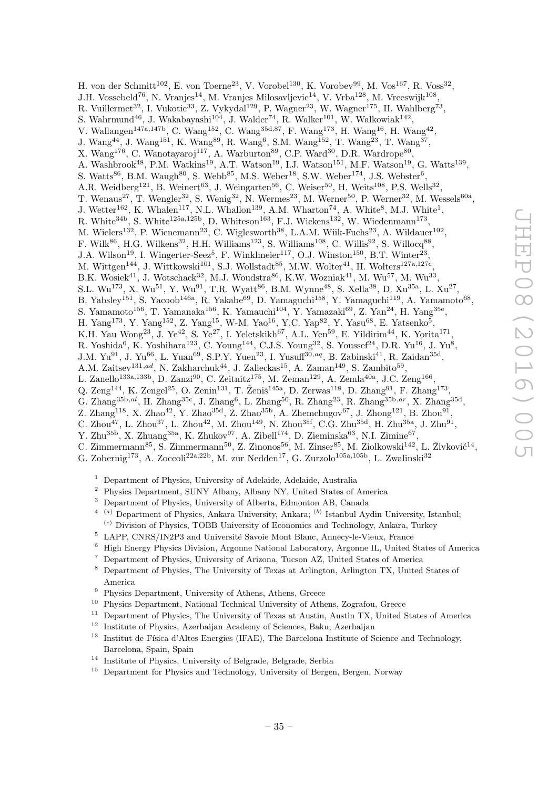H. von der Schmitt<sup>102</sup>, E. von Toerne<sup>23</sup>, V. Vorobel<sup>130</sup>, K. Vorobev<sup>99</sup>, M. Vos<sup>167</sup>, R. Voss<sup>32</sup>, J.H. Vossebeld<sup>76</sup>, N. Vranjes<sup>14</sup>, M. Vranjes Milosavljevic<sup>14</sup>, V. Vrba<sup>128</sup>, M. Vreeswijk<sup>108</sup>, R. Vuillermet<sup>32</sup>, I. Vukotic<sup>33</sup>, Z. Vykydal<sup>129</sup>, P. Wagner<sup>23</sup>, W. Wagner<sup>175</sup>, H. Wahlberg<sup>73</sup>, S. Wahrmund<sup>46</sup>, J. Wakabayashi<sup>104</sup>, J. Walder<sup>74</sup>, R. Walker<sup>101</sup>, W. Walkowiak<sup>142</sup>, V. Wallangen<sup>147a,147b</sup>, C. Wang<sup>152</sup>, C. Wang<sup>35d,87</sup>, F. Wang<sup>173</sup>, H. Wang<sup>16</sup>, H. Wang<sup>42</sup>,  $J.$   $Wang^{44}$ ,  $J.$   $Wang^{151}$ ,  $K.$   $Wang^{89}$ ,  $R.$   $Wang^{6}$ ,  $S.M.$   $Wang^{152}$ ,  $T.$   $Wang^{23}$ ,  $T.$   $Wang^{37}$ , X. Wang<sup>176</sup>, C. Wanotayaroj<sup>117</sup>, A. Warburton<sup>89</sup>, C.P. Ward<sup>30</sup>, D.R. Wardrope<sup>80</sup>, A. Washbrook<sup>48</sup>, P.M. Watkins<sup>19</sup>, A.T. Watson<sup>19</sup>, I.J. Watson<sup>151</sup>, M.F. Watson<sup>19</sup>, G. Watts<sup>139</sup>, S. Watts<sup>86</sup>, B.M. Waugh<sup>80</sup>, S. Webb<sup>85</sup>, M.S. Weber<sup>18</sup>, S.W. Weber<sup>174</sup>, J.S. Webster<sup>6</sup>, A.R. Weidberg<sup>121</sup>, B. Weinert<sup>63</sup>, J. Weingarten<sup>56</sup>, C. Weiser<sup>50</sup>, H. Weits<sup>108</sup>, P.S. Wells<sup>32</sup>, T. Wenaus<sup>27</sup>, T. Wengler<sup>32</sup>, S. Wenig<sup>32</sup>, N. Wermes<sup>23</sup>, M. Werner<sup>50</sup>, P. Werner<sup>32</sup>, M. Wessels<sup>60a</sup>, J. Wetter<sup>162</sup>, K. Whalen<sup>117</sup>, N.L. Whallon<sup>139</sup>, A.M. Wharton<sup>74</sup>, A. White<sup>8</sup>, M.J. White<sup>1</sup>, R. White<sup>34b</sup>, S. White<sup>125a,125b</sup>, D. Whiteson<sup>163</sup>, F.J. Wickens<sup>132</sup>, W. Wiedenmann<sup>173</sup>, M. Wielers<sup>132</sup>, P. Wienemann<sup>23</sup>, C. Wiglesworth<sup>38</sup>, L.A.M. Wiik-Fuchs<sup>23</sup>, A. Wildauer<sup>102</sup>, F. Wilk $^{86}$ , H.G. Wilkens<sup>32</sup>, H.H. Williams<sup>123</sup>, S. Williams<sup>108</sup>, C. Willis<sup>92</sup>, S. Willocq<sup>88</sup>, J.A. Wilson<sup>19</sup>, I. Wingerter-Seez<sup>5</sup>, F. Winklmeier<sup>117</sup>, O.J. Winston<sup>150</sup>, B.T. Winter<sup>23</sup>, M. Wittgen<sup>144</sup>, J. Wittkowski<sup>101</sup>, S.J. Wollstadt<sup>85</sup>, M.W. Wolter<sup>41</sup>, H. Wolters<sup>127a,127c</sup>, B.K. Wosiek<sup>41</sup>, J. Wotschack<sup>32</sup>, M.J. Woudstra<sup>86</sup>, K.W. Wozniak<sup>41</sup>, M. Wu<sup>57</sup>, M. Wu<sup>33</sup>, S.L. Wu<sup>173</sup>, X. Wu<sup>51</sup>, Y. Wu<sup>91</sup>, T.R. Wyatt<sup>86</sup>, B.M. Wynne<sup>48</sup>, S. Xella<sup>38</sup>, D. Xu<sup>35a</sup>, L. Xu<sup>27</sup>, B. Yabsley<sup>151</sup>, S. Yacoob<sup>146a</sup>, R. Yakabe<sup>69</sup>, D. Yamaguchi<sup>158</sup>, Y. Yamaguchi<sup>119</sup>, A. Yamamoto<sup>68</sup>, S. Yamamoto<sup>156</sup>, T. Yamanaka<sup>156</sup>, K. Yamauchi<sup>104</sup>, Y. Yamazaki<sup>69</sup>, Z. Yan<sup>24</sup>, H. Yang<sup>35e</sup>, H. Yang<sup>173</sup>, Y. Yang<sup>152</sup>, Z. Yang<sup>15</sup>, W-M. Yao<sup>16</sup>, Y.C. Yap<sup>82</sup>, Y. Yasu<sup>68</sup>, E. Yatsenko<sup>5</sup>, K.H. Yau Wong<sup>23</sup>, J. Ye<sup>42</sup>, S. Ye<sup>27</sup>, I. Yeletskikh<sup>67</sup>, A.L. Yen<sup>59</sup>, E. Yildirim<sup>44</sup>, K. Yorita<sup>171</sup>, R. Yoshida<sup>6</sup>, K. Yoshihara<sup>123</sup>, C. Young<sup>144</sup>, C.J.S. Young<sup>32</sup>, S. Youssef<sup>24</sup>, D.R. Yu<sup>16</sup>, J. Yu<sup>8</sup>, J.M. Yu<sup>91</sup>, J. Yu<sup>66</sup>, L. Yuan<sup>69</sup>, S.P.Y. Yuen<sup>23</sup>, I. Yusuff<sup>30,aq</sup>, B. Zabinski<sup>41</sup>, R. Zaidan<sup>35d</sup>, A.M. Zaitsev<sup>131,ad</sup>, N. Zakharchuk<sup>44</sup>, J. Zalieckas<sup>15</sup>, A. Zaman<sup>149</sup>, S. Zambito<sup>59</sup>, L. Zanello<sup>133a,133b</sup>, D. Zanzi<sup>90</sup>, C. Zeitnitz<sup>175</sup>, M. Zeman<sup>129</sup>, A. Zemla<sup>40a</sup>, J.C. Zeng<sup>166</sup>, Q. Zeng<sup>144</sup>, K. Zengel<sup>25</sup>, O. Zenin<sup>131</sup>, T. Ženiš<sup>145a</sup>, D. Zerwas<sup>118</sup>, D. Zhang<sup>91</sup>, F. Zhang<sup>173</sup>, G. Zhang<sup>35b,al</sup>, H. Zhang<sup>35c</sup>, J. Zhang<sup>6</sup>, L. Zhang<sup>50</sup>, R. Zhang<sup>23</sup>, R. Zhang<sup>35b,ar</sup>, X. Zhang<sup>35d</sup>, Z. Zhang<sup>118</sup>, X. Zhao<sup>42</sup>, Y. Zhao<sup>35d</sup>, Z. Zhao<sup>35b</sup>, A. Zhemchugov<sup>67</sup>, J. Zhong<sup>121</sup>, B. Zhou<sup>91</sup>, C. Zhou<sup>47</sup>, L. Zhou<sup>37</sup>, L. Zhou<sup>42</sup>, M. Zhou<sup>149</sup>, N. Zhou<sup>35f</sup>, C.G. Zhu<sup>35d</sup>, H. Zhu<sup>35a</sup>, J. Zhu<sup>91</sup>, Y. Zhu<sup>35b</sup>, X. Zhuang<sup>35a</sup>, K. Zhukov<sup>97</sup>, A. Zibell<sup>174</sup>, D. Zieminska<sup>63</sup>, N.I. Zimine<sup>67</sup>, C. Zimmermann $^{85}$ , S. Zimmermann $^{50}$ , Z. Zinonos $^{56}$ , M. Zinser $^{85}$ , M. Ziolkowski $^{142}$ , L. Živković $^{14}$ ,

- G. Zobernig<sup>173</sup>, A. Zoccoli<sup>22a, 22b</sup>, M. zur Nedden<sup>17</sup>, G. Zurzolo<sup>105a, 105b</sup>, L. Zwalinski<sup>32</sup>
	- <sup>1</sup> Department of Physics, University of Adelaide, Adelaide, Australia
	- <sup>2</sup> Physics Department, SUNY Albany, Albany NY, United States of America
	- <sup>3</sup> Department of Physics, University of Alberta, Edmonton AB, Canada
	- <sup>4</sup><sup>(a)</sup> Department of Physics, Ankara University, Ankara;<sup>(b)</sup> Istanbul Aydin University, Istanbul; ( c ) Division of Physics, TOBB University of Economics and Technology, Ankara, Turkey
	- $5$  LAPP, CNRS/IN2P3 and Université Savoie Mont Blanc, Annecy-le-Vieux, France
	- <sup>6</sup> High Energy Physics Division, Argonne National Laboratory, Argonne IL, United States of America
	- <sup>7</sup> Department of Physics, University of Arizona, Tucson AZ, United States of America
	- <sup>8</sup> Department of Physics, The University of Texas at Arlington, Arlington TX, United States of America
	- <sup>9</sup> Physics Department, University of Athens, Athens, Greece
	- <sup>10</sup> Physics Department, National Technical University of Athens, Zografou, Greece
	- <sup>11</sup> Department of Physics, The University of Texas at Austin, Austin TX, United States of America
	- <sup>12</sup> Institute of Physics, Azerbaijan Academy of Sciences, Baku, Azerbaijan
	- <sup>13</sup> Institut de Física d'Altes Energies (IFAE), The Barcelona Institute of Science and Technology, Barcelona, Spain, Spain
	- <sup>14</sup> Institute of Physics, University of Belgrade, Belgrade, Serbia
	- <sup>15</sup> Department for Physics and Technology, University of Bergen, Bergen, Norway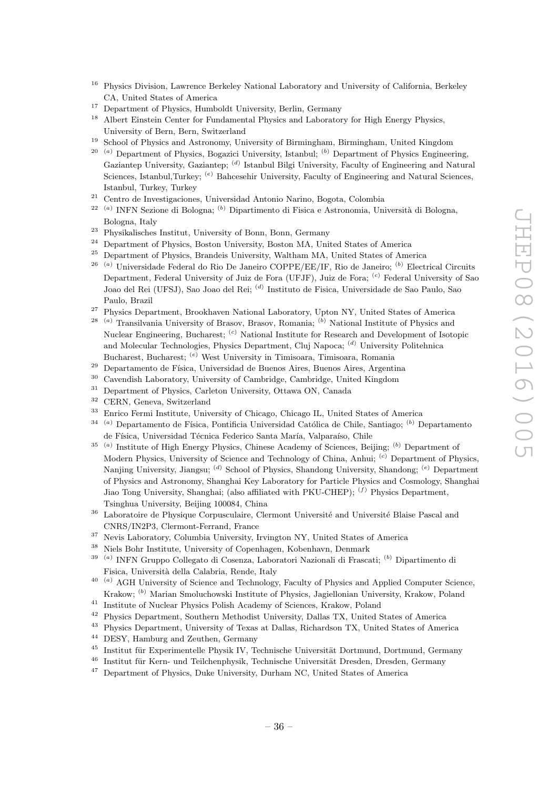- <sup>16</sup> Physics Division, Lawrence Berkeley National Laboratory and University of California, Berkeley CA, United States of America
- <sup>17</sup> Department of Physics, Humboldt University, Berlin, Germany
- <sup>18</sup> Albert Einstein Center for Fundamental Physics and Laboratory for High Energy Physics, University of Bern, Bern, Switzerland
- <sup>19</sup> School of Physics and Astronomy, University of Birmingham, Birmingham, United Kingdom
- <sup>20 (a)</sup> Department of Physics, Bogazici University, Istanbul; <sup>(b)</sup> Department of Physics Engineering, Gaziantep University, Gaziantep; <sup>(d)</sup> Istanbul Bilgi University, Faculty of Engineering and Natural Sciences, Istanbul,Turkey; <sup>(e)</sup> Bahcesehir University, Faculty of Engineering and Natural Sciences, Istanbul, Turkey, Turkey
- <sup>21</sup> Centro de Investigaciones, Universidad Antonio Narino, Bogota, Colombia
- <sup>22 (a</sup>) INFN Sezione di Bologna; <sup>(b</sup>) Dipartimento di Fisica e Astronomia, Università di Bologna, Bologna, Italy
- <sup>23</sup> Physikalisches Institut, University of Bonn, Bonn, Germany<br><sup>24</sup> Department of Physics, Boston University, Boston MA, University
- <sup>24</sup> Department of Physics, Boston University, Boston MA, United States of America<sup>25</sup> Department of Physics, Brandois University, Waltham MA, United States of Amer
- <sup>25</sup> Department of Physics, Brandeis University, Waltham MA, United States of America
- <sup>26 (a)</sup> Universidade Federal do Rio De Janeiro COPPE/EE/IF, Rio de Janeiro; <sup>(b)</sup> Electrical Circuits Department, Federal University of Juiz de Fora (UFJF), Juiz de Fora; <sup>(c)</sup> Federal University of Sao Joao del Rei (UFSJ), Sao Joao del Rei; <sup>(d)</sup> Instituto de Fisica, Universidade de Sao Paulo, Sao Paulo, Brazil
- <sup>27</sup> Physics Department, Brookhaven National Laboratory, Upton NY, United States of America
- <sup>28 (a)</sup> Transilvania University of Brasov, Brasov, Romania; <sup>(b)</sup> National Institute of Physics and Nuclear Engineering, Bucharest; <sup>(c)</sup> National Institute for Research and Development of Isotopic and Molecular Technologies, Physics Department, Cluj Napoca; <sup>(d)</sup> University Politehnica Bucharest, Bucharest; <sup>(e)</sup> West University in Timisoara, Timisoara, Romania
- <sup>29</sup> Departamento de Física, Universidad de Buenos Aires, Buenos Aires, Argentina
- $30$  Cavendish Laboratory, University of Cambridge, Cambridge, United Kingdom<br> $31$  Department of Physics, Carlotan University, Ottowe ON, Canada
- <sup>31</sup> Department of Physics, Carleton University, Ottawa ON, Canada<br><sup>32</sup> CEDN, Canada Suiteerland
- CERN, Geneva, Switzerland
- <sup>33</sup> Enrico Fermi Institute, University of Chicago, Chicago IL, United States of America
- <sup>34 (a)</sup> Departamento de Física, Pontificia Universidad Católica de Chile, Santiago; <sup>(b)</sup> Departamento de Física, Universidad Técnica Federico Santa María, Valparaíso, Chile
- <sup>35</sup><sup>(a)</sup> Institute of High Energy Physics, Chinese Academy of Sciences, Beijing; <sup>(b)</sup> Department of Modern Physics, University of Science and Technology of China, Anhui; <sup>(c)</sup> Department of Physics, Nanjing University, Jiangsu; <sup>(d)</sup> School of Physics, Shandong University, Shandong; <sup>(e)</sup> Department of Physics and Astronomy, Shanghai Key Laboratory for Particle Physics and Cosmology, Shanghai Jiao Tong University, Shanghai; (also affiliated with PKU-CHEP); <sup>(f)</sup> Physics Department, Tsinghua University, Beijing 100084, China
- <sup>36</sup> Laboratoire de Physique Corpusculaire, Clermont Université and Université Blaise Pascal and CNRS/IN2P3, Clermont-Ferrand, France
- <sup>37</sup> Nevis Laboratory, Columbia University, Irvington NY, United States of America<br><sup>38</sup> Niels Behr Institute, University of Conceptorent Koberhaum, Denmark
- <sup>38</sup> Niels Bohr Institute, University of Copenhagen, Kobenhavn, Denmark
- 39 ( <sup>a)</sup> INFN Gruppo Collegato di Cosenza, Laboratori Nazionali di Frascati; <sup>(b)</sup> Dipartimento di Fisica, Università della Calabria, Rende, Italy
- <sup>40</sup> <sup>(a)</sup> AGH University of Science and Technology, Faculty of Physics and Applied Computer Science, Krakow; <sup>(b)</sup> Marian Smoluchowski Institute of Physics, Jagiellonian University, Krakow, Poland
- <sup>41</sup> Institute of Nuclear Physics Polish Academy of Sciences, Krakow, Poland
- <sup>42</sup> Physics Department, Southern Methodist University, Dallas TX, United States of America
- <sup>43</sup> Physics Department, University of Texas at Dallas, Richardson TX, United States of America
- <sup>44</sup> DESY, Hamburg and Zeuthen, Germany
- <sup>45</sup> Institut für Experimentelle Physik IV, Technische Universität Dortmund, Dortmund, Germany
- <sup>46</sup> Institut für Kern- und Teilchenphysik, Technische Universität Dresden, Dresden, Germany
- <sup>47</sup> Department of Physics, Duke University, Durham NC, United States of America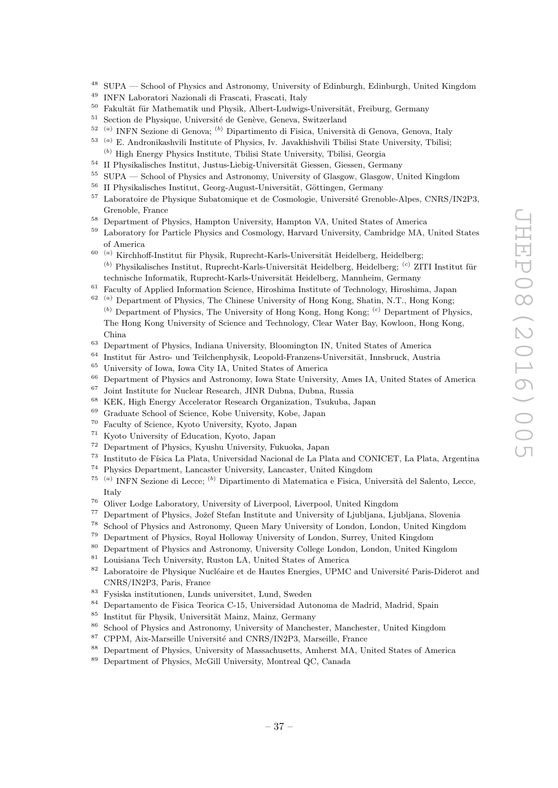- <sup>48</sup> SUPA School of Physics and Astronomy, University of Edinburgh, Edinburgh, United Kingdom
- <sup>49</sup> INFN Laboratori Nazionali di Frascati, Frascati, Italy
- <sup>50</sup> Fakultät für Mathematik und Physik, Albert-Ludwigs-Universität, Freiburg, Germany
- $51$  Section de Physique, Université de Genève, Geneva, Switzerland
- <sup>52 (a)</sup> INFN Sezione di Genova; <sup>(b)</sup> Dipartimento di Fisica, Università di Genova, Genova, Italy
- <sup>53 (a)</sup> E. Andronikashvili Institute of Physics, Iv. Javakhishvili Tbilisi State University, Tbilisi; ( b ) High Energy Physics Institute, Tbilisi State University, Tbilisi, Georgia
- <sup>54</sup> II Physikalisches Institut, Justus-Liebig-Universität Giessen, Giessen, Germany
- <sup>55</sup> SUPA School of Physics and Astronomy, University of Glasgow, Glasgow, United Kingdom
- $56$  II Physikalisches Institut, Georg-August-Universität, Göttingen, Germany
- 57 Laboratoire de Physique Subatomique et de Cosmologie, Université Grenoble-Alpes, CNRS/IN2P3, Grenoble, France
- <sup>58</sup> Department of Physics, Hampton University, Hampton VA, United States of America
- <sup>59</sup> Laboratory for Particle Physics and Cosmology, Harvard University, Cambridge MA, United States of America
- 60 ( <sup>a)</sup> Kirchhoff-Institut für Physik, Ruprecht-Karls-Universität Heidelberg, Heidelberg; <sup>(b)</sup> Physikalisches Institut, Ruprecht-Karls-Universität Heidelberg, Heidelberg; <sup>(c)</sup> ZITI Institut für technische Informatik, Ruprecht-Karls-Universität Heidelberg, Mannheim, Germany
- $61$  Faculty of Applied Information Science, Hiroshima Institute of Technology, Hiroshima, Japan
- $62$ <sup>(a)</sup> Department of Physics, The Chinese University of Hong Kong, Shatin, N.T., Hong Kong;
- <sup>(b)</sup> Department of Physics, The University of Hong Kong, Hong Kong; <sup>(c)</sup> Department of Physics, The Hong Kong University of Science and Technology, Clear Water Bay, Kowloon, Hong Kong, China
- $^{63}$  Department of Physics, Indiana University, Bloomington IN, United States of America<br> $^{64}$  Institut für Astro, und Teilebenphysik, Leonald Franzens Universität, Insekruald, Austr
- Institut für Astro- und Teilchenphysik, Leopold-Franzens-Universität, Innsbruck, Austria
- <sup>65</sup> University of Iowa, Iowa City IA, United States of America
- $^{66}$  Department of Physics and Astronomy, Iowa State University, Ames IA, United States of America<br> $^{67}$  Joint Institute for Nuelear Besearch, JINP Dubpe, Dubpe, Pussie
- $^{67}$  Joint Institute for Nuclear Research, JINR Dubna, Dubna, Russia<br> $^{68}$  KEK, High Energy Asselenting Research Openingtion, Taulusha
- <sup>68</sup> KEK, High Energy Accelerator Research Organization, Tsukuba, Japan
- $^{69}$  Graduate School of Science, Kobe University, Kobe, Japan  $^{70}$  Eaculty of Science, Kyoto University, Kyoto, Japan
- $^{70}$  Faculty of Science, Kyoto University, Kyoto, Japan  $^{71}$  Kyoto University of Education, Kyoto, Japan
- <sup>71</sup> Kyoto University of Education, Kyoto, Japan<br><sup>72</sup> Dopertment of Physics, Kyushu University, Fi
- <sup>72</sup> Department of Physics, Kyushu University, Fukuoka, Japan
- <sup>73</sup> Instituto de Física La Plata, Universidad Nacional de La Plata and CONICET, La Plata, Argentina
- <sup>74</sup> Physics Department, Lancaster University, Lancaster, United Kingdom
- <sup>75 (a)</sup> INFN Sezione di Lecce; <sup>(b)</sup> Dipartimento di Matematica e Fisica, Università del Salento, Lecce, Italy
- <sup>76</sup> Oliver Lodge Laboratory, University of Liverpool, Liverpool, United Kingdom
- <sup>77</sup> Department of Physics, Jožef Stefan Institute and University of Ljubliana, Ljubliana, Slovenia
- <sup>78</sup> School of Physics and Astronomy, Queen Mary University of London, London, United Kingdom<br><sup>79</sup> Department of Physics, Boyal Holloway University of London, Surrey, United Kingdom
- <sup>79</sup> Department of Physics, Royal Holloway University of London, Surrey, United Kingdom<br><sup>80</sup> Department of Physics and Astronomy, University College London, London, United King
- <sup>80</sup> Department of Physics and Astronomy, University College London, London, United Kingdom<br><sup>81</sup> Louisians Tash University Puston LA, United States of America
- $81$  Louisiana Tech University, Ruston LA, United States of America<br> $82$  Laboratoire de Physique Nucléaire et de Hautes Epergies HPMC
- Laboratoire de Physique Nucléaire et de Hautes Energies, UPMC and Université Paris-Diderot and CNRS/IN2P3, Paris, France
- <sup>83</sup> Fysiska institutionen, Lunds universitet, Lund, Sweden
- <sup>84</sup> Departamento de Fisica Teorica C-15, Universidad Autonoma de Madrid, Madrid, Spain
- <sup>85</sup> Institut für Physik, Universität Mainz, Mainz, Germany
- <sup>86</sup> School of Physics and Astronomy, University of Manchester, Manchester, United Kingdom
- <sup>87</sup> CPPM, Aix-Marseille Université and CNRS/IN2P3, Marseille, France
- <sup>88</sup> Department of Physics, University of Massachusetts, Amherst MA, United States of America
- <sup>89</sup> Department of Physics, McGill University, Montreal QC, Canada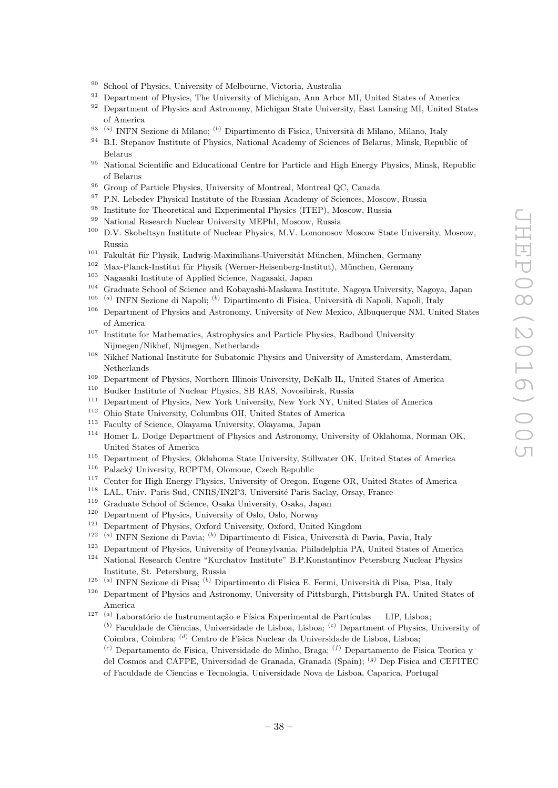- <sup>90</sup> School of Physics, University of Melbourne, Victoria, Australia<br><sup>91</sup> Department of Physics, The University of Michigan, Ann Arbo
- <sup>91</sup> Department of Physics, The University of Michigan, Ann Arbor MI, United States of America<br><sup>92</sup> Department of Physics and Astronomy Michigan State University East Lansing MI, United St
- <sup>92</sup> Department of Physics and Astronomy, Michigan State University, East Lansing MI, United States of America
- <sup>93 (a)</sup> INFN Sezione di Milano; <sup>(b)</sup> Dipartimento di Fisica, Università di Milano, Milano, Italy
- <sup>94</sup> B.I. Stepanov Institute of Physics, National Academy of Sciences of Belarus, Minsk, Republic of Belarus
- <sup>95</sup> National Scientific and Educational Centre for Particle and High Energy Physics, Minsk, Republic of Belarus
- <sup>96</sup> Group of Particle Physics, University of Montreal, Montreal QC, Canada
- <sup>97</sup> P.N. Lebedev Physical Institute of the Russian Academy of Sciences, Moscow, Russia
- <sup>98</sup> Institute for Theoretical and Experimental Physics (ITEP), Moscow, Russia
- <sup>99</sup> National Research Nuclear University MEPhI, Moscow, Russia
- <sup>100</sup> D.V. Skobeltsyn Institute of Nuclear Physics, M.V. Lomonosov Moscow State University, Moscow, Russia
- $101$  Fakultät für Physik, Ludwig-Maximilians-Universität München, München, Germany
- <sup>102</sup> Max-Planck-Institut für Physik (Werner-Heisenberg-Institut), München, Germany
- <sup>103</sup> Nagasaki Institute of Applied Science, Nagasaki, Japan<br><sup>104</sup> Curricute School of Science and Kahasashi Machama In
- <sup>104</sup> Graduate School of Science and Kobayashi-Maskawa Institute, Nagoya University, Nagoya, Japan
- $105\,$ <sup>a)</sup> INFN Sezione di Napoli; <sup>(b)</sup> Dipartimento di Fisica, Università di Napoli, Napoli, Italy
- <sup>106</sup> Department of Physics and Astronomy, University of New Mexico, Albuquerque NM, United States of America
- <sup>107</sup> Institute for Mathematics, Astrophysics and Particle Physics, Radboud University Nijmegen/Nikhef, Nijmegen, Netherlands
- <sup>108</sup> Nikhef National Institute for Subatomic Physics and University of Amsterdam, Amsterdam, Netherlands
- <sup>109</sup> Department of Physics, Northern Illinois University, DeKalb IL, United States of America<br><sup>110</sup> Budker Institute of Nuclear Physics, SB RAS, Novesibirsk, Bussia
- <sup>110</sup> Budker Institute of Nuclear Physics, SB RAS, Novosibirsk, Russia<br><sup>111</sup> Department of Physics, New York University, New York NY, Unit
- <sup>111</sup> Department of Physics, New York University, New York NY, United States of America
- <sup>112</sup> Ohio State University, Columbus OH, United States of America<br><sup>113</sup> Faculty of Science, Okayama University, Okayama, Japan
- <sup>113</sup> Faculty of Science, Okayama University, Okayama, Japan<br><sup>114</sup> Homor L. Dodge Department of Physics and Astronomy
- <sup>114</sup> Homer L. Dodge Department of Physics and Astronomy, University of Oklahoma, Norman OK, United States of America
- <sup>115</sup> Department of Physics, Oklahoma State University, Stillwater OK, United States of America
- <sup>116</sup> Palacký University, RCPTM, Olomouc, Czech Republic
- <sup>117</sup> Center for High Energy Physics, University of Oregon, Eugene OR, United States of America
- $^{118}\,$  LAL, Univ. Paris-Sud, CNRS/IN2P3, Université Paris-Saclay, Orsay, France
- <sup>119</sup> Graduate School of Science, Osaka University, Osaka, Japan
- <sup>120</sup> Department of Physics, University of Oslo, Oslo, Norway
- <sup>121</sup> Department of Physics, Oxford University, Oxford, United Kingdom
- $122\,$ <sup>a)</sup> INFN Sezione di Pavia; <sup>(b)</sup> Dipartimento di Fisica, Università di Pavia, Pavia, Italy
- <sup>123</sup> Department of Physics, University of Pennsylvania, Philadelphia PA, United States of America<br><sup>124</sup> National Bessensk Contre "Kurshator Institute", P.B.Konstantinov Petersburg Nuelsen Physics
- <sup>124</sup> National Research Centre "Kurchatov Institute" B.P.Konstantinov Petersburg Nuclear Physics Institute, St. Petersburg, Russia
- <sup>125 (a)</sup> INFN Sezione di Pisa; <sup>(b)</sup> Dipartimento di Fisica E. Fermi, Università di Pisa, Pisa, Italy
- <sup>126</sup> Department of Physics and Astronomy, University of Pittsburgh, Pittsburgh PA, United States of America
- <sup>127 (a)</sup> Laboratório de Instrumentação e Física Experimental de Partículas LIP, Lisboa;  $<sup>(b)</sup>$  Faculdade de Ciências, Universidade de Lisboa, Lisboa;  $<sup>(c)</sup>$  Department of Physics, University of</sup></sup> Coimbra, Coimbra; <sup>(d)</sup> Centro de Física Nuclear da Universidade de Lisboa, Lisboa;
	- <sup>(e)</sup> Departamento de Fisica, Universidade do Minho, Braga;  $(f)$  Departamento de Fisica Teorica y
	- del Cosmos and CAFPE, Universidad de Granada, Granada (Spain); <sup>(g)</sup> Dep Fisica and CEFITEC of Faculdade de Ciencias e Tecnologia, Universidade Nova de Lisboa, Caparica, Portugal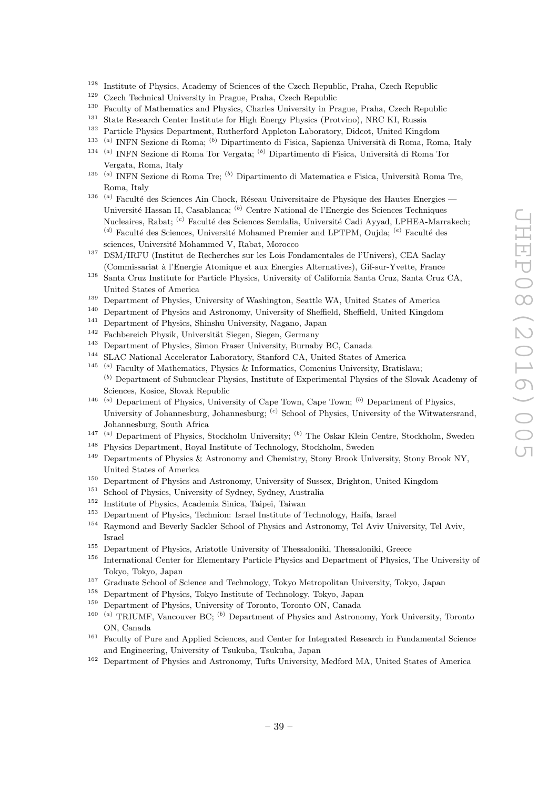- <sup>128</sup> Institute of Physics, Academy of Sciences of the Czech Republic, Praha, Czech Republic<br><sup>129</sup> Creek Technical University in Prague, Praha, Czech Republic,
- Czech Technical University in Prague, Praha, Czech Republic
- <sup>130</sup> Faculty of Mathematics and Physics, Charles University in Prague, Praha, Czech Republic
- <sup>131</sup> State Research Center Institute for High Energy Physics (Protvino), NRC KI, Russia<br><sup>132</sup> Portials Physics Department, Butberford Appleton, Laboratory, Didact, United Kingdo
- <sup>132</sup> Particle Physics Department, Rutherford Appleton Laboratory, Didcot, United Kingdom
- <sup>133 (a)</sup> INFN Sezione di Roma; <sup>(b)</sup> Dipartimento di Fisica, Sapienza Università di Roma, Roma, Italy
- <sup>134 (a)</sup> INFN Sezione di Roma Tor Vergata; <sup>(b)</sup> Dipartimento di Fisica, Università di Roma Tor Vergata, Roma, Italy
- <sup>135 (a)</sup> INFN Sezione di Roma Tre; <sup>(b)</sup> Dipartimento di Matematica e Fisica, Università Roma Tre, Roma, Italy
- <sup>136 (a)</sup> Faculté des Sciences Ain Chock, Réseau Universitaire de Physique des Hautes Energies Université Hassan II, Casablanca; <sup>(b)</sup> Centre National de l'Energie des Sciences Techniques Nucleaires, Rabat; <sup>(c)</sup> Faculté des Sciences Semlalia, Université Cadi Ayyad, LPHEA-Marrakech; (d) Faculté des Sciences, Université Mohamed Premier and LPTPM, Oujda;  $^{(e)}$  Faculté des sciences, Université Mohammed V, Rabat, Morocco
- <sup>137</sup> DSM/IRFU (Institut de Recherches sur les Lois Fondamentales de l'Univers), CEA Saclay (Commissariat `a l'Energie Atomique et aux Energies Alternatives), Gif-sur-Yvette, France
- <sup>138</sup> Santa Cruz Institute for Particle Physics, University of California Santa Cruz, Santa Cruz CA, United States of America
- <sup>139</sup> Department of Physics, University of Washington, Seattle WA, United States of America
- <sup>140</sup> Department of Physics and Astronomy, University of Sheffield, Sheffield, United Kingdom
- <sup>141</sup> Department of Physics, Shinshu University, Nagano, Japan
- $142$  Fachbereich Physik, Universität Siegen, Siegen, Germany
- <sup>143</sup> Department of Physics, Simon Fraser University, Burnaby BC, Canada<br><sup>144</sup> SLAC National Accelerator Laboratory Stanford CA. United States of
- <sup>144</sup> SLAC National Accelerator Laboratory, Stanford CA, United States of America
- <sup>145 (a)</sup> Faculty of Mathematics, Physics & Informatics, Comenius University, Bratislava; <sup>(b)</sup> Department of Subnuclear Physics, Institute of Experimental Physics of the Slovak Academy of Sciences, Kosice, Slovak Republic
- <sup>146</sup> (a) Department of Physics, University of Cape Town, Cape Town; <sup>(b)</sup> Department of Physics, University of Johannesburg, Johannesburg; <sup>(c)</sup> School of Physics, University of the Witwatersrand, Johannesburg, South Africa
- <sup>147 (a)</sup> Department of Physics, Stockholm University; <sup>(b)</sup> The Oskar Klein Centre, Stockholm, Sweden
- <sup>148</sup> Physics Department, Royal Institute of Technology, Stockholm, Sweden<br><sup>149</sup> Departments of Physics & Astronomy and Chemistry Stony Brook Uni
- <sup>149</sup> Departments of Physics & Astronomy and Chemistry, Stony Brook University, Stony Brook NY, United States of America
- <sup>150</sup> Department of Physics and Astronomy, University of Sussex, Brighton, United Kingdom
- <sup>151</sup> School of Physics, University of Sydney, Sydney, Australia
- <sup>152</sup> Institute of Physics, Academia Sinica, Taipei, Taiwan
- <sup>153</sup> Department of Physics, Technion: Israel Institute of Technology, Haifa, Israel
- <sup>154</sup> Raymond and Beverly Sackler School of Physics and Astronomy, Tel Aviv University, Tel Aviv, Israel
- <sup>155</sup> Department of Physics, Aristotle University of Thessaloniki, Thessaloniki, Greece<br><sup>156</sup> International Canter for Elementary Partials Physics and Department of Physics
- <sup>156</sup> International Center for Elementary Particle Physics and Department of Physics, The University of Tokyo, Tokyo, Japan
- <sup>157</sup> Graduate School of Science and Technology, Tokyo Metropolitan University, Tokyo, Japan<br><sup>158</sup> Department of Physics, Tokyo Institute of Technology, Tokyo, Japan
- <sup>158</sup> Department of Physics, Tokyo Institute of Technology, Tokyo, Japan
- <sup>159</sup> Department of Physics, University of Toronto, Toronto ON, Canada
- <sup>160 (a)</sup> TRIUMF, Vancouver BC; <sup>(b)</sup> Department of Physics and Astronomy, York University, Toronto ON, Canada
- <sup>161</sup> Faculty of Pure and Applied Sciences, and Center for Integrated Research in Fundamental Science and Engineering, University of Tsukuba, Tsukuba, Japan
- <sup>162</sup> Department of Physics and Astronomy, Tufts University, Medford MA, United States of America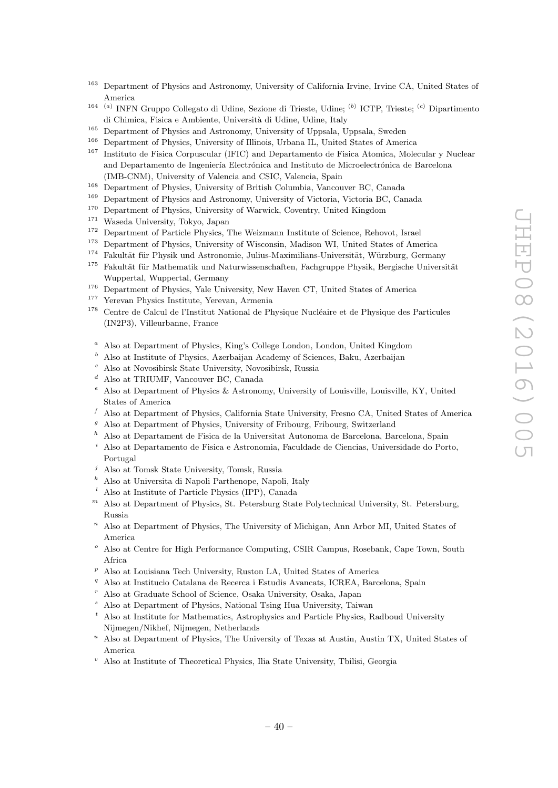- <sup>163</sup> Department of Physics and Astronomy, University of California Irvine, Irvine CA, United States of America
- <sup>164 (a)</sup> INFN Gruppo Collegato di Udine, Sezione di Trieste, Udine; <sup>(b)</sup> ICTP, Trieste; <sup>(c)</sup> Dipartimento di Chimica, Fisica e Ambiente, Universit`a di Udine, Udine, Italy
- <sup>165</sup> Department of Physics and Astronomy, University of Uppsala, Uppsala, Sweden<br><sup>166</sup> Department of Physics University of Illinois United States of Ameri
- <sup>166</sup> Department of Physics, University of Illinois, Urbana IL, United States of America
- <sup>167</sup> Instituto de Fisica Corpuscular (IFIC) and Departamento de Fisica Atomica, Molecular y Nuclear and Departamento de Ingeniería Electrónica and Instituto de Microelectrónica de Barcelona (IMB-CNM), University of Valencia and CSIC, Valencia, Spain
- <sup>168</sup> Department of Physics, University of British Columbia, Vancouver BC, Canada
- <sup>169</sup> Department of Physics and Astronomy, University of Victoria, Victoria BC, Canada<br><sup>170</sup> Department of Physics University of Warwick, Coventry, United Kingdom
- <sup>170</sup> Department of Physics, University of Warwick, Coventry, United Kingdom
- <sup>171</sup> Waseda University, Tokyo, Japan
- <sup>172</sup> Department of Particle Physics, The Weizmann Institute of Science, Rehovot, Israel<br><sup>173</sup> Department of Physics, University of Wisconsin, Medican WL United States of Ameri
- <sup>173</sup> Department of Physics, University of Wisconsin, Madison WI, United States of America
- <sup>174</sup> Fakultät für Physik und Astronomie, Julius-Maximilians-Universität, Würzburg, Germany<br><sup>175</sup> Fakultät für Mathematik und Naturwissenschaften. Fachgruppe Physik. Bergische Univers
- Fakultät für Mathematik und Naturwissenschaften, Fachgruppe Physik, Bergische Universität Wuppertal, Wuppertal, Germany
- <sup>176</sup> Department of Physics, Yale University, New Haven CT, United States of America<br><sup>177</sup> Versus Physics Institute Versus Armenia
- <sup>177</sup> Yerevan Physics Institute, Yerevan, Armenia<br><sup>178</sup> Centre de Calcul de l'Institut National de Ph
- Centre de Calcul de l'Institut National de Physique Nucléaire et de Physique des Particules (IN2P3), Villeurbanne, France
- <sup>a</sup> Also at Department of Physics, King's College London, London, United Kingdom
- $<sup>b</sup>$  Also at Institute of Physics, Azerbaijan Academy of Sciences, Baku, Azerbaijan</sup>
- <sup>c</sup> Also at Novosibirsk State University, Novosibirsk, Russia
- <sup>d</sup> Also at TRIUMF, Vancouver BC, Canada
- <sup>e</sup> Also at Department of Physics & Astronomy, University of Louisville, Louisville, KY, United States of America
- $f$  Also at Department of Physics, California State University, Fresno CA, United States of America
- $\sigma$  Also at Department of Physics, University of Fribourg, Fribourg, Switzerland
- $h$  Also at Departament de Fisica de la Universitat Autonoma de Barcelona, Barcelona, Spain
- <sup>i</sup> Also at Departamento de Fisica e Astronomia, Faculdade de Ciencias, Universidade do Porto, Portugal
- <sup>j</sup> Also at Tomsk State University, Tomsk, Russia
- <sup>k</sup> Also at Universita di Napoli Parthenope, Napoli, Italy
- <sup>l</sup> Also at Institute of Particle Physics (IPP), Canada
- $<sup>m</sup>$  Also at Department of Physics, St. Petersburg State Polytechnical University, St. Petersburg,</sup> Russia
- <sup>n</sup> Also at Department of Physics, The University of Michigan, Ann Arbor MI, United States of America
- <sup>o</sup> Also at Centre for High Performance Computing, CSIR Campus, Rosebank, Cape Town, South Africa
- $P$  Also at Louisiana Tech University, Ruston LA, United States of America
- <sup>q</sup> Also at Institucio Catalana de Recerca i Estudis Avancats, ICREA, Barcelona, Spain
- <sup>r</sup> Also at Graduate School of Science, Osaka University, Osaka, Japan
- Also at Department of Physics, National Tsing Hua University, Taiwan
- <sup>t</sup> Also at Institute for Mathematics, Astrophysics and Particle Physics, Radboud University Nijmegen/Nikhef, Nijmegen, Netherlands
- <sup>u</sup> Also at Department of Physics, The University of Texas at Austin, Austin TX, United States of America
- <sup>v</sup> Also at Institute of Theoretical Physics, Ilia State University, Tbilisi, Georgia